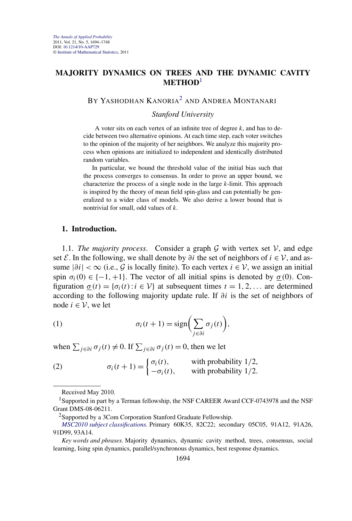# <span id="page-0-0"></span>**MAJORITY DYNAMICS ON TREES AND THE DYNAMIC CAVITY METHOD**<sup>1</sup>

# BY YASHODHAN KANORIA<sup>2</sup> AND ANDREA MONTANARI

#### *Stanford University*

A voter sits on each vertex of an infinite tree of degree *k*, and has to decide between two alternative opinions. At each time step, each voter switches to the opinion of the majority of her neighbors. We analyze this majority process when opinions are initialized to independent and identically distributed random variables.

In particular, we bound the threshold value of the initial bias such that the process converges to consensus. In order to prove an upper bound, we characterize the process of a single node in the large *k*-limit. This approach is inspired by the theory of mean field spin-glass and can potentially be generalized to a wider class of models. We also derive a lower bound that is nontrivial for small, odd values of *k*.

#### **1. Introduction.**

1.1. *The majority process.* Consider a graph  $G$  with vertex set  $V$ , and edge set  $\mathcal E$ . In the following, we shall denote by  $\partial i$  the set of neighbors of  $i \in \mathcal V$ , and assume  $|\partial i| < \infty$  (i.e., G is locally finite). To each vertex  $i \in V$ , we assign an initial spin  $\sigma_i(0) \in \{-1, +1\}$ . The vector of all initial spins is denoted by  $\sigma(0)$ . Configuration  $\underline{\sigma}(t) = {\sigma_i(t) : i \in V}$  at subsequent times  $t = 1, 2, \ldots$  are determined according to the following majority update rule. If *∂i* is the set of neighbors of node  $i$  ∈  $V$ , we let

(1) 
$$
\sigma_i(t+1) = \text{sign}\bigg(\sum_{j \in \partial i} \sigma_j(t)\bigg),
$$

when  $\sum_{j \in \partial i} \sigma_j(t) \neq 0$ . If  $\sum_{j \in \partial i} \sigma_j(t) = 0$ , then we let

(2) 
$$
\sigma_i(t+1) = \begin{cases} \sigma_i(t), & \text{with probability } 1/2, \\ -\sigma_i(t), & \text{with probability } 1/2. \end{cases}
$$

Received May 2010.

<sup>&</sup>lt;sup>1</sup>Supported in part by a Terman fellowship, the NSF CAREER Award CCF-0743978 and the NSF Grant DMS-08-06211.

<sup>&</sup>lt;sup>2</sup>Supported by a 3Com Corporation Stanford Graduate Fellowship.

*[MSC2010 subject classifications.](http://www.ams.org/mathscinet/msc/msc2010.html)* Primary 60K35, 82C22; secondary 05C05, 91A12, 91A26, 91D99, 93A14.

*Key words and phrases.* Majority dynamics, dynamic cavity method, trees, consensus, social learning, Ising spin dynamics, parallel/synchronous dynamics, best response dynamics.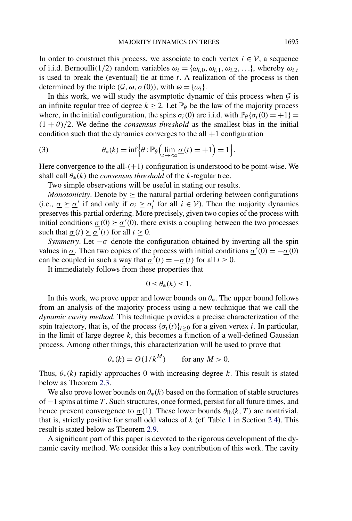<span id="page-1-0"></span>In order to construct this process, we associate to each vertex  $i \in V$ , a sequence of i.i.d. Bernoulli(1/2) random variables  $\omega_i = {\omega_{i,0}, \omega_{i,1}, \omega_{i,2}, \ldots}$ , whereby  $\omega_{i,t}$ is used to break the (eventual) tie at time *t*. A realization of the process is then determined by the triple  $(G, \omega, \sigma(0))$ , with  $\omega = {\omega_i}$ .

In this work, we will study the asymptotic dynamic of this process when  $G$  is an infinite regular tree of degree  $k \ge 2$ . Let  $\mathbb{P}_{\theta}$  be the law of the majority process where, in the initial configuration, the spins  $\sigma_i(0)$  are i.i.d. with  $\mathbb{P}_{\theta} {\sigma_i(0) = +1}$  $(1 + \theta)/2$ . We define the *consensus threshold* as the smallest bias in the initial condition such that the dynamics converges to the all  $+1$  configuration

(3) 
$$
\theta_*(k) = \inf \Biggl\{ \theta : \mathbb{P}_{\theta} \Bigl( \lim_{t \to \infty} \underline{\sigma}(t) = \underline{+1} \Bigr) = 1 \Biggr\}.
$$

Here convergence to the all-*(*+1*)* configuration is understood to be point-wise. We shall call  $\theta_*(k)$  the *consensus threshold* of the *k*-regular tree.

Two simple observations will be useful in stating our results.

*Monotonicity*. Denote by  $\succeq$  the natural partial ordering between configurations (i.e.,  $\underline{\sigma} \geq \underline{\sigma}'$  if and only if  $\sigma_i \geq \sigma'_i$  for all  $i \in V$ ). Then the majority dynamics preserves this partial ordering. More precisely, given two copies of the process with initial conditions  $\underline{\sigma}(0) \succeq \underline{\sigma}'(0)$ , there exists a coupling between the two processes such that  $\underline{\sigma}(t) \succeq \underline{\sigma}'(t)$  for all  $t \geq 0$ .

*Symmetry*. Let  $-\underline{\sigma}$  denote the configuration obtained by inverting all the spin values in  $\sigma$ . Then two copies of the process with initial conditions  $\sigma'(0) = -\sigma(0)$ can be coupled in such a way that  $\sigma'(t) = -\sigma(t)$  for all  $t \ge 0$ .

It immediately follows from these properties that

$$
0 \le \theta_*(k) \le 1.
$$

In this work, we prove upper and lower bounds on  $\theta_*$ . The upper bound follows from an analysis of the majority process using a new technique that we call the *dynamic cavity method*. This technique provides a precise characterization of the spin trajectory, that is, of the process  $\{\sigma_i(t)\}_{t\geq0}$  for a given vertex *i*. In particular, in the limit of large degree *k*, this becomes a function of a well-defined Gaussian process. Among other things, this characterization will be used to prove that

$$
\theta_*(k) = O(1/k^M) \qquad \text{for any } M > 0.
$$

Thus, *θ*∗*(k)* rapidly approaches 0 with increasing degree *k*. This result is stated below as Theorem [2.3.](#page-5-0)

We also prove lower bounds on  $\theta_*(k)$  based on the formation of stable structures of −1 spins at time *T* . Such structures, once formed, persist for all future times, and hence prevent convergence to  $\underline{\sigma}(1)$ . These lower bounds  $\theta_{\text{lb}}(k, T)$  are nontrivial, that is, strictly positive for small odd values of *k* (cf. Table [1](#page-10-0) in Section [2.4\)](#page-9-0). This result is stated below as Theorem [2.9.](#page-8-0)

A significant part of this paper is devoted to the rigorous development of the dynamic cavity method. We consider this a key contribution of this work. The cavity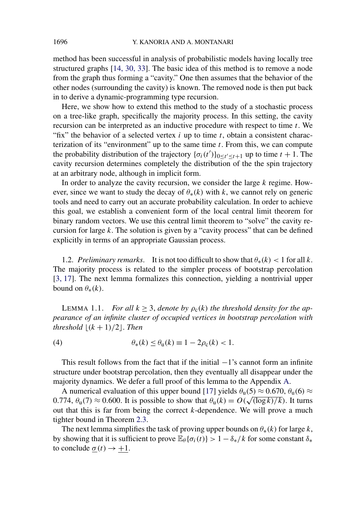method has been successful in analysis of probabilistic models having locally tree structured graphs [\[14, 30, 33\]](#page-53-0). The basic idea of this method is to remove a node from the graph thus forming a "cavity." One then assumes that the behavior of the other nodes (surrounding the cavity) is known. The removed node is then put back in to derive a dynamic-programming type recursion.

Here, we show how to extend this method to the study of a stochastic process on a tree-like graph, specifically the majority process. In this setting, the cavity recursion can be interpreted as an inductive procedure with respect to time *t*. We "fix" the behavior of a selected vertex *i* up to time *t*, obtain a consistent characterization of its "environment" up to the same time *t*. From this, we can compute the probability distribution of the trajectory  $\{\sigma_i(t')\}_{0 \leq t' \leq t+1}$  up to time  $t + 1$ . The cavity recursion determines completely the distribution of the the spin trajectory at an arbitrary node, although in implicit form.

In order to analyze the cavity recursion, we consider the large *k* regime. However, since we want to study the decay of  $\theta_*(k)$  with *k*, we cannot rely on generic tools and need to carry out an accurate probability calculation. In order to achieve this goal, we establish a convenient form of the local central limit theorem for binary random vectors. We use this central limit theorem to "solve" the cavity recursion for large *k*. The solution is given by a "cavity process" that can be defined explicitly in terms of an appropriate Gaussian process.

1.2. *Preliminary remarks*. It is not too difficult to show that  $\theta_*(k) < 1$  for all k. The majority process is related to the simpler process of bootstrap percolation [\[3, 17\]](#page-52-0). The next lemma formalizes this connection, yielding a nontrivial upper bound on  $\theta_*(k)$ .

LEMMA 1.1. *For all*  $k \geq 3$ , *denote by*  $\rho_c(k)$  *the threshold density for the appearance of an infinite cluster of occupied vertices in bootstrap percolation with threshold*  $|(k+1)/2|$ . *Then* 

(4) 
$$
\theta_*(k) \le \theta_{\mathbf{u}}(k) \equiv 1 - 2\rho_{\mathbf{c}}(k) < 1.
$$

This result follows from the fact that if the initial  $-1$ 's cannot form an infinite structure under bootstrap percolation, then they eventually all disappear under the majority dynamics. We defer a full proof of this lemma to the Appendix [A.](#page-39-0)

A numerical evaluation of this upper bound [\[17\]](#page-53-0) yields  $\theta_u(5) \approx 0.670$ ,  $\theta_u(6) \approx$ 0.774,  $\theta_u(7) \approx 0.600$ . It is possible to show that  $\theta_u(k) = O(\sqrt{(\log k)/k})$ . It turns out that this is far from being the correct *k*-dependence. We will prove a much tighter bound in Theorem [2.3.](#page-5-0)

The next lemma simplifies the task of proving upper bounds on  $\theta_*(k)$  for large  $k$ , by showing that it is sufficient to prove  $\mathbb{E}_{\theta} {\{\sigma_i(t)\}} > 1 - \delta_*/k$  for some constant  $\delta_*$ to conclude  $\underline{\sigma}(t) \rightarrow +1$ .

<span id="page-2-0"></span>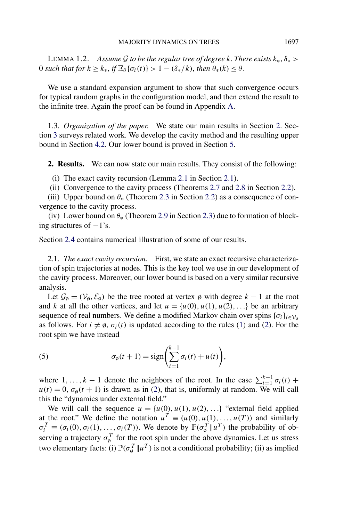<span id="page-3-0"></span>**LEMMA 1.2.** *Assume G to be the regular tree of degree k. There exists*  $k_*, \delta_*$  > 0 *such that for*  $k \geq k_*, \text{ if } \mathbb{E}_{\theta} \{ \sigma_i(t) \} > 1 - (\delta_*/k), \text{ then } \theta_*(k) \leq \theta.$ 

We use a standard expansion argument to show that such convergence occurs for typical random graphs in the configuration model, and then extend the result to the infinite tree. Again the proof can be found in Appendix [A.](#page-39-0)

1.3. *Organization of the paper*. We state our main results in Section 2. Section [3](#page-11-0) surveys related work. We develop the cavity method and the resulting upper bound in Section [4.2.](#page-15-0) Our lower bound is proved in Section [5.](#page-31-0)

**2. Results.** We can now state our main results. They consist of the following:

(i) The exact cavity recursion (Lemma [2.1](#page-4-0) in Section 2.1).

(ii) Convergence to the cavity process (Theorems [2.7](#page-6-0) and [2.8](#page-7-0) in Section [2.2\)](#page-5-0).

(iii) Upper bound on *θ*∗ (Theorem [2.3](#page-5-0) in Section [2.2\)](#page-5-0) as a consequence of convergence to the cavity process.

(iv) Lower bound on *θ*∗ (Theorem [2.9](#page-8-0) in Section [2.3\)](#page-8-0) due to formation of blocking structures of  $-1$ 's.

Section [2.4](#page-9-0) contains numerical illustration of some of our results.

2.1. *The exact cavity recursion*. First, we state an exact recursive characterization of spin trajectories at nodes. This is the key tool we use in our development of the cavity process. Moreover, our lower bound is based on a very similar recursive analysis.

Let  $\mathcal{G}_{\emptyset} = (\mathcal{V}_{\emptyset}, \mathcal{E}_{\emptyset})$  be the tree rooted at vertex  $\emptyset$  with degree  $k - 1$  at the root and *k* at all the other vertices, and let  $u = \{u(0), u(1), u(2), ...\}$  be an arbitrary sequence of real numbers. We define a modified Markov chain over spins  ${\{\sigma_i\}}_{i \in \mathcal{V}_\alpha}$ as follows. For  $i \neq \emptyset$ ,  $\sigma_i(t)$  is updated according to the rules [\(1\)](#page-0-0) and [\(2\)](#page-0-0). For the root spin we have instead

(5) 
$$
\sigma_{\emptyset}(t+1) = \text{sign}\left(\sum_{i=1}^{k-1} \sigma_i(t) + u(t)\right),
$$

where 1,...,  $k-1$  denote the neighbors of the root. In the case  $\sum_{i=1}^{k-1} \sigma_i(t)$  +  $u(t) = 0$ ,  $\sigma_{\varphi}(t + 1)$  is drawn as in [\(2\)](#page-0-0), that is, uniformly at random. We will call this the "dynamics under external field."

We will call the sequence  $u = \{u(0), u(1), u(2), \ldots\}$  "external field applied at the root." We define the notation  $u^T \equiv (u(0), u(1), \ldots, u(T))$  and similarly  $\sigma_i^T \equiv (\sigma_i(0), \sigma_i(1), \dots, \sigma_i(T))$ . We denote by  $\mathbb{P}(\sigma_{\phi}^T || u^T)$  the probability of observing a trajectory  $\sigma_{\varphi}^T$  for the root spin under the above dynamics. Let us stress two elementary facts: (i)  $\mathbb{P}(\sigma_{\phi}^T \| u^T)$  is not a conditional probability; (ii) as implied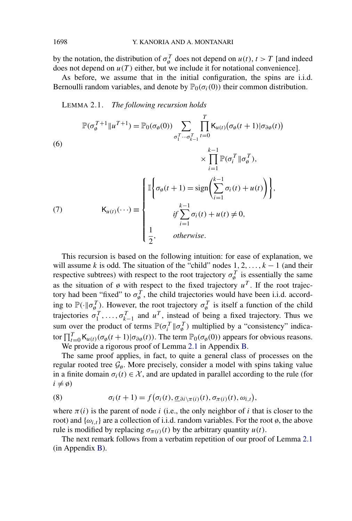by the notation, the distribution of  $\sigma_{\varphi}^{T}$  does not depend on  $u(t)$ ,  $t>T$  [and indeed does not depend on  $u(T)$  either, but we include it for notational convenience].

As before, we assume that in the initial configuration, the spins are i.i.d. Bernoulli random variables, and denote by  $\mathbb{P}_0(\sigma_i(0))$  their common distribution.

LEMMA 2.1. *The following recursion holds*

(6)  
\n
$$
\mathbb{P}(\sigma_{\emptyset}^{T+1} \| u^{T+1}) = \mathbb{P}_{0}(\sigma_{\emptyset}(0)) \sum_{\sigma_{1}^{T} \cdots \sigma_{k-1}^{T} t=0} \prod_{t=0}^{T} \mathsf{K}_{u(t)}(\sigma_{\emptyset}(t+1) | \sigma_{\partial \emptyset}(t))
$$
\n
$$
\times \prod_{i=1}^{k-1} \mathbb{P}(\sigma_{i}^{T} \| \sigma_{\emptyset}^{T}),
$$
\n
$$
\mathsf{K}_{u(t)}(\cdots) \equiv \begin{cases}\n\mathbb{I} \left\{ \sigma_{\emptyset}(t+1) = \text{sign}\left(\sum_{i=1}^{k-1} \sigma_{i}(t) + u(t)\right) \right\}, \\
\text{if } \sum_{i=1}^{k-1} \sigma_{i}(t) + u(t) \neq 0, \\
\frac{1}{2}, \quad \text{otherwise.} \n\end{cases}
$$

This recursion is based on the following intuition: for ease of explanation, we will assume *k* is odd. The situation of the "child" nodes  $1, 2, \ldots, k - 1$  (and their respective subtrees) with respect to the root trajectory  $\sigma_{\phi}^{T}$  is essentially the same as the situation of  $\emptyset$  with respect to the fixed trajectory  $u^T$ . If the root trajectory had been "fixed" to  $\sigma_{\phi}^{T}$ , the child trajectories would have been i.i.d. according to  $\mathbb{P}(\cdot \| \sigma_{\theta}^T)$ . However, the root trajectory  $\sigma_{\theta}^T$  is itself a function of the child trajectories  $\sigma_1^T, \ldots, \sigma_{k-1}^T$  and  $u^T$ , instead of being a fixed trajectory. Thus we sum over the product of terms  $\mathbb{P}(\sigma_i^T || \sigma_{\emptyset}^T)$  multiplied by a "consistency" indicator  $\prod_{t=0}^{T}$  K<sub>*u*(*t*)</sub>( $\sigma_{\emptyset}(t+1)$ | $\sigma_{\partial\emptyset}(t)$ ). The term  $\mathbb{P}_0(\sigma_{\emptyset}(0))$  appears for obvious reasons.

We provide a rigorous proof of Lemma 2.1 in Appendix [B.](#page-42-0)

The same proof applies, in fact, to quite a general class of processes on the regular rooted tree  $\mathcal{G}_{\varphi}$ . More precisely, consider a model with spins taking value in a finite domain  $\sigma_i(t) \in \mathcal{X}$ , and are updated in parallel according to the rule (for  $i \neq \emptyset$ 

(8) 
$$
\sigma_i(t+1) = f(\sigma_i(t), \underline{\sigma}_{\partial i \setminus \pi(i)}(t), \sigma_{\pi(i)}(t), \omega_{i,t}),
$$

where  $\pi(i)$  is the parent of node *i* (i.e., the only neighbor of *i* that is closer to the root) and  $\{\omega_{i,t}\}\$ are a collection of i.i.d. random variables. For the root  $\emptyset$ , the above rule is modified by replacing  $\sigma_{\pi(i)}(t)$  by the arbitrary quantity  $u(t)$ .

The next remark follows from a verbatim repetition of our proof of Lemma 2.1 (in Appendix [B\)](#page-42-0).

<span id="page-4-0"></span>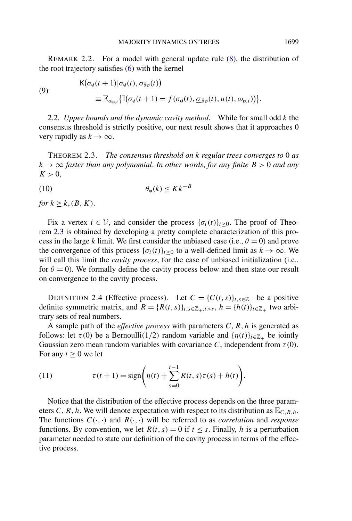<span id="page-5-0"></span>REMARK 2.2. For a model with general update rule [\(8\)](#page-4-0), the distribution of the root trajectory satisfies [\(6\)](#page-4-0) with the kernel

(9)  
\n
$$
\begin{aligned}\n\mathsf{K}(\sigma_{\emptyset}(t+1)|\sigma_{\emptyset}(t),\sigma_{\partial\emptyset}(t)) \\
\equiv \mathbb{E}_{\omega_{\emptyset,t}}\big\{\mathbb{I}(\sigma_{\emptyset}(t+1)=f(\sigma_{\emptyset}(t),\underline{\sigma}_{\partial\emptyset}(t),u(t),\omega_{\emptyset,t})\big)\big\}.\n\end{aligned}
$$

2.2. *Upper bounds and the dynamic cavity method*. While for small odd *k* the consensus threshold is strictly positive, our next result shows that it approaches 0 very rapidly as  $k \to \infty$ .

THEOREM 2.3. *The consensus threshold on k regular trees converges to* 0 *as*  $k \rightarrow \infty$  *faster than any polynomial. In other words, for any finite*  $B > 0$  *and any*  $K > 0$ ,

$$
(10) \qquad \theta_*(k) \le Kk^{-B}
$$

*for*  $k \geq k_*(B,K)$ .

Fix a vertex  $i \in V$ , and consider the process  $\{\sigma_i(t)\}_{t \geq 0}$ . The proof of Theorem 2.3 is obtained by developing a pretty complete characterization of this process in the large *k* limit. We first consider the unbiased case (i.e.,  $\theta = 0$ ) and prove the convergence of this process  $\{\sigma_i(t)\}_{t>0}$  to a well-defined limit as  $k \to \infty$ . We will call this limit the *cavity process*, for the case of unbiased initialization (i.e., for  $\theta = 0$ ). We formally define the cavity process below and then state our result on convergence to the cavity process.

DEFINITION 2.4 (Effective process). Let  $C = \{C(t, s)\}_{t, s \in \mathbb{Z}_+}$  be a positive definite symmetric matrix, and  $R = {R(t, s)}_{t, s \in \mathbb{Z}_+, t > s}$ ,  $h = {h(t)}_{t \in \mathbb{Z}_+}$  two arbitrary sets of real numbers.

A sample path of the *effective process* with parameters *C,R,h* is generated as follows: let  $\tau(0)$  be a Bernoulli(1/2) random variable and  $\{\eta(t)\}_{t\in\mathbb{Z}_+}$  be jointly Gaussian zero mean random variables with covariance *C*, independent from  $\tau(0)$ . For any  $t \geq 0$  we let

(11) 
$$
\tau(t+1) = \text{sign}\bigg(\eta(t) + \sum_{s=0}^{t-1} R(t,s)\tau(s) + h(t)\bigg).
$$

Notice that the distribution of the effective process depends on the three parameters *C*, *R*, *h*. We will denote expectation with respect to its distribution as  $\mathbb{E}_{C,R,h}$ . The functions  $C(\cdot, \cdot)$  and  $R(\cdot, \cdot)$  will be referred to as *correlation* and *response* functions. By convention, we let  $R(t, s) = 0$  if  $t \leq s$ . Finally, *h* is a perturbation parameter needed to state our definition of the cavity process in terms of the effective process.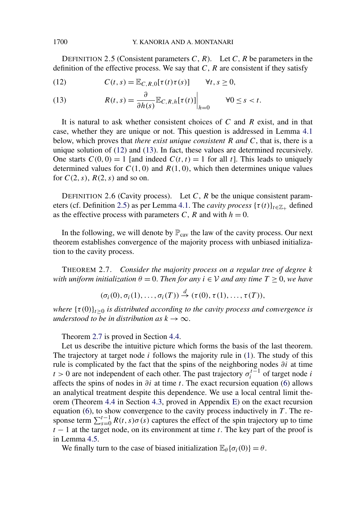<span id="page-6-0"></span>DEFINITION 2.5 (Consistent parameters  $C, R$ ). Let  $C, R$  be parameters in the definition of the effective process. We say that *C*, *R* are consistent if they satisfy

(12) 
$$
C(t,s) = \mathbb{E}_{C,R,0}[\tau(t)\tau(s)] \quad \forall t,s \geq 0,
$$

(13) 
$$
R(t,s) = \frac{\partial}{\partial h(s)} \mathbb{E}_{C,R,h}[\tau(t)] \Big|_{h=0} \qquad \forall 0 \le s < t.
$$

It is natural to ask whether consistent choices of *C* and *R* exist, and in that case, whether they are unique or not. This question is addressed in Lemma [4.1](#page-15-0) below, which proves that *there exist unique consistent R and C*, that is, there is a unique solution of (12) and (13). In fact, these values are determined recursively. One starts  $C(0, 0) = 1$  [and indeed  $C(t, t) = 1$  for all t]. This leads to uniquely determined values for  $C(1, 0)$  and  $R(1, 0)$ , which then determines unique values for *C(*2*,s)*, *R(*2*,s)* and so on.

DEFINITION 2.6 (Cavity process). Let *C*, *R* be the unique consistent param-eters (cf. Definition 2.5) as per Lemma [4.1.](#page-15-0) The *cavity process*  $\{\tau(t)\}_{t \in \mathbb{Z}_+}$  defined as the effective process with parameters *C*, *R* and with  $h = 0$ .

In the following, we will denote by  $\mathbb{P}_{\text{cav}}$  the law of the cavity process. Our next theorem establishes convergence of the majority process with unbiased initialization to the cavity process.

THEOREM 2.7. *Consider the majority process on a regular tree of degree k with uniform initialization*  $\theta = 0$ . *Then for any*  $i \in V$  *and any time*  $T \geq 0$ *, we have* 

$$
(\sigma_i(0),\sigma_i(1),\ldots,\sigma_i(T)) \stackrel{d}{\rightarrow} (\tau(0),\tau(1),\ldots,\tau(T)),
$$

*where*  $\{\tau(0)\}_{t\geq0}$  *is distributed according to the cavity process and convergence is understood to be in distribution as*  $k \to \infty$ .

Theorem 2.7 is proved in Section [4.4.](#page-18-0)

Let us describe the intuitive picture which forms the basis of the last theorem. The trajectory at target node *i* follows the majority rule in [\(1\)](#page-0-0). The study of this rule is complicated by the fact that the spins of the neighboring nodes *∂i* at time *t* > 0 are not independent of each other. The past trajectory  $\sigma_i^{t-1}$  of target node *i* affects the spins of nodes in *∂i* at time *t*. The exact recursion equation [\(6\)](#page-4-0) allows an analytical treatment despite this dependence. We use a local central limit theorem (Theorem [4.4](#page-17-0) in Section [4.3,](#page-17-0) proved in Appendix [E\)](#page-50-0) on the exact recursion equation [\(6\)](#page-4-0), to show convergence to the cavity process inductively in *T* . The response term  $\sum_{s=0}^{t-1} R(t,s)\sigma(s)$  captures the effect of the spin trajectory up to time *t* − 1 at the target node, on its environment at time *t*. The key part of the proof is in Lemma [4.5.](#page-19-0)

We finally turn to the case of biased initialization  $\mathbb{E}_{\theta} {\sigma_i(0)} = \theta$ .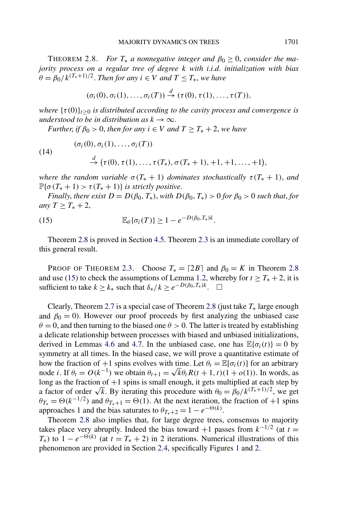<span id="page-7-0"></span>THEOREM 2.8. *For*  $T_*$  *a* nonnegative integer and  $\beta_0 \geq 0$ , consider the ma*jority process on a regular tree of degree k with i*.*i*.*d*. *initialization with bias*  $\theta = \frac{\beta_0}{k^{(T_*+1)/2}}$ . *Then for any*  $i \in V$  *and*  $T \leq T_*$ , we have

$$
(\sigma_i(0),\sigma_i(1),\ldots,\sigma_i(T)) \stackrel{d}{\rightarrow} (\tau(0),\tau(1),\ldots,\tau(T)),
$$

*where*  $\{\tau(0)\}_{t\geq0}$  *is distributed according to the cavity process and convergence is understood to be in distribution as*  $k \to \infty$ .

*Further, if*  $\beta_0 > 0$ *, then for any*  $i \in V$  *and*  $T \geq T_* + 2$ *, we have* 

$$
(\sigma_i(0), \sigma_i(1), \ldots, \sigma_i(T))
$$
  
\n
$$
\stackrel{d}{\rightarrow} (\tau(0), \tau(1), \ldots, \tau(T_*), \sigma(T_*+1), +1, +1, \ldots, +1)
$$

*where the random variable*  $\sigma(T_* + 1)$  *dominates stochastically*  $\tau(T_* + 1)$ *, and*  $\mathbb{P}\{\sigma(T_*+1) > \tau(T_*+1)\}\$ is strictly positive.

*Finally, there exist*  $D = D(\beta_0, T_*)$ , *with*  $D(\beta_0, T_*) > 0$  *for*  $\beta_0 > 0$  *such that, for any*  $T \geq T_* + 2$ ,

(15) 
$$
\mathbb{E}_{\theta}\{\sigma_i(T)\} \geq 1 - e^{-D(\beta_0,T_*)k}.
$$

 $(14)$ 

Theorem 2.8 is proved in Section [4.5.](#page-23-0) Theorem [2.3](#page-5-0) is an immediate corollary of this general result.

PROOF OF THEOREM [2.3.](#page-5-0) Choose  $T_* = [2B]$  and  $\beta_0 = K$  in Theorem 2.8 and use (15) to check the assumptions of Lemma [1.2,](#page-3-0) whereby for  $t \geq T_* + 2$ , it is sufficient to take  $k \ge k_*$  such that  $\delta_*/k \ge e^{-D(\beta_0, T_*)k}$ .  $\Box$ 

Clearly, Theorem [2.7](#page-6-0) is a special case of Theorem 2.8 (just take *T*∗ large enough and  $\beta_0 = 0$ ). However our proof proceeds by first analyzing the unbiased case  $\theta = 0$ , and then turning to the biased one  $\theta > 0$ . The latter is treated by establishing a delicate relationship between processes with biased and unbiased initializations, derived in Lemmas [4.6](#page-24-0) and [4.7.](#page-29-0) In the unbiased case, one has  $\mathbb{E}{\lbrace \sigma_i(t) \rbrace} = 0$  by symmetry at all times. In the biased case, we will prove a quantitative estimate of how the fraction of  $+1$  spins evolves with time. Let  $\theta_t = \mathbb{E}[\sigma_i(t)]$  for an arbitrary node *i*. If  $\theta_t = O(k^{-1})$  we obtain  $\theta_{t+1} = \sqrt{k} \theta_t R(t+1, t) (1 + o(1))$ . In words, as long as the fraction of  $+1$  spins is small enough, it gets multiplied at each step by a factor of order  $\sqrt{k}$ . By iterating this procedure with  $\theta_0 = \beta_0 / k^{(T_*+1)/2}$ , we get  $\theta_{T_*} = \Theta(k^{-1/2})$  and  $\theta_{T_*+1} = \Theta(1)$ . At the next iteration, the fraction of +1 spins approaches 1 and the bias saturates to  $\theta_{T_*+2} = 1 - e^{-\Theta(k)}$ .

Theorem 2.8 also implies that, for large degree trees, consensus to majority takes place very abruptly. Indeed the bias toward +1 passes from  $k^{-1/2}$  (at  $t =$  $T_{*}$ ) to 1 –  $e^{-\Theta(k)}$  (at  $t = T_{*} + 2$ ) in 2 iterations. Numerical illustrations of this phenomenon are provided in Section [2.4,](#page-9-0) specifically Figures [1](#page-11-0) and [2.](#page-12-0)

*,*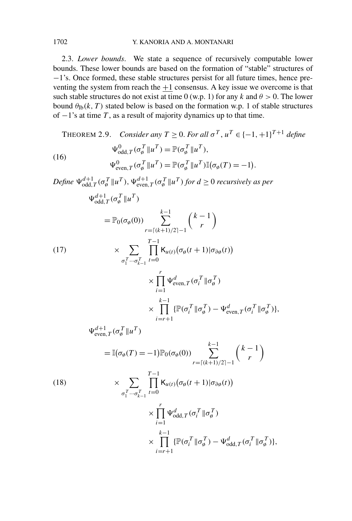### <span id="page-8-0"></span>1702 Y. KANORIA AND A. MONTANARI

2.3. *Lower bounds*. We state a sequence of recursively computable lower bounds. These lower bounds are based on the formation of "stable" structures of −1's. Once formed, these stable structures persist for all future times, hence preventing the system from reach the  $+1$  consensus. A key issue we overcome is that such stable structures do not exist at time 0 (w.p. 1) for any  $k$  and  $\theta > 0$ . The lower bound  $\theta_{\text{lb}}(k,T)$  stated below is based on the formation w.p. 1 of stable structures of  $-1$ 's at time *T*, as a result of majority dynamics up to that time.

THEOREM 2.9. Consider any 
$$
T \ge 0
$$
. For all  $\sigma^T$ ,  $u^T \in \{-1, +1\}^{T+1}$  define  
\n
$$
\Psi_{\text{odd},T}^{0}(\sigma_{\theta}^T || u^T) = \mathbb{P}(\sigma_{\theta}^T || u^T),
$$
\n(16)  
\n
$$
\Psi_{\text{even},T}^{0}(\sigma_{\theta}^T || u^T) = \mathbb{P}(\sigma_{\theta}^T || u^T) \mathbb{I}(\sigma_{\theta}(T)) = -1).
$$
\n
$$
\text{Define } \Psi_{\text{odd},T}^{d+1}(\sigma_{\theta}^T || u^T), \Psi_{\text{even},T}^{d+1}(\sigma_{\theta}^T || u^T) \text{ for } d \ge 0 \text{ recursively as per}
$$
\n
$$
\Psi_{\text{odd},T}^{d+1}(\sigma_{\theta}^T || u^T)
$$
\n
$$
= \mathbb{P}_0(\sigma_{\theta}(0)) \sum_{r=[(k+1)/2]-1}^{k-1} {k-1 \choose r}
$$
\n(17)  
\n
$$
\times \sum_{r=[(k+1)/2]-1}^{T-1} \left[ \mathbb{K}_{u(r)}(\sigma_{\theta}(t+1) | \sigma_{\theta \theta}(t)) \right]
$$
\n
$$
\times \prod_{i=1}^r \Psi_{\text{even},T}^d(\sigma_i^T || \sigma_{\theta}^T)
$$
\n
$$
\times \prod_{i=r+1}^{k-1} {\mathbb{P}}(\sigma_i^T || \sigma_{\theta}^T) - \Psi_{\text{even},T}^d(\sigma_i^T || \sigma_{\theta}^T) ],
$$
\n
$$
\Psi_{\text{even},T}^{d+1}(\sigma_{\theta}^T || u^T)
$$
\n
$$
= \mathbb{I}(\sigma_{\theta}(T) = -1) \mathbb{P}_0(\sigma_{\theta}(0)) \sum_{r=[(k+1)/2]-1}^{k-1} {k-1 \choose r}
$$
\n(18)  
\n
$$
\times \sum_{r=[1}^{T-1} \mathbb{K}_{u(r)}(\sigma_{\theta}(t+1) | \sigma_{\theta \theta}(t))
$$
\n
$$
\times \prod_{i=1}^r \Psi_{\text{odd},T}^d(\sigma_i^T || \sigma_{\theta}^
$$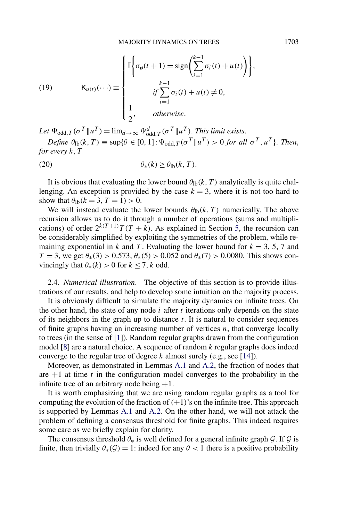<span id="page-9-0"></span>(19) 
$$
\mathsf{K}_{u(t)}(\cdots) \equiv \begin{cases} \mathbb{I}\left\{\sigma_{\emptyset}(t+1) = \text{sign}\left(\sum_{i=1}^{k-1} \sigma_{i}(t) + u(t)\right)\right\}, \\ \qquad \qquad \qquad \text{if } \sum_{i=1}^{k-1} \sigma_{i}(t) + u(t) \neq 0, \\ \frac{1}{2}, \qquad \text{otherwise.} \end{cases}
$$

 $Let \Psi_{odd, T}(\sigma^T \| u^T) = \lim_{d \to \infty} \Psi_{odd, T}^d(\sigma^T \| u^T)$ . *This limit exists.* 

*Define*  $\theta_{\text{lb}}(k,T) \equiv \sup \{ \theta \in [0,1] : \Psi_{\text{odd},T}(\sigma^T | u^T) > 0 \text{ for all } \sigma^T, u^T \}.$  Then, *for every k,T*

$$
\theta_*(k) \ge \theta_{\text{lb}}(k, T).
$$

It is obvious that evaluating the lower bound  $\theta_{\text{lb}}(k, T)$  analytically is quite challenging. An exception is provided by the case  $k = 3$ , where it is not too hard to show that  $\theta_{\text{lb}}(k = 3, T = 1) > 0$ .

We will instead evaluate the lower bounds  $\theta_{\text{lb}}(k, T)$  numerically. The above recursion allows us to do it through a number of operations (sums and multiplications) of order  $2^{k(T+1)}T(T+k)$ . As explained in Section [5,](#page-31-0) the recursion can be considerably simplified by exploiting the symmetries of the problem, while remaining exponential in *k* and *T*. Evaluating the lower bound for  $k = 3, 5, 7$  and *T* = 3, we get  $\theta_*(3) > 0.573$ ,  $\theta_*(5) > 0.052$  and  $\theta_*(7) > 0.0080$ . This shows convincingly that  $\theta_*(k) > 0$  for  $k \le 7$ , k odd.

2.4. *Numerical illustration*. The objective of this section is to provide illustrations of our results, and help to develop some intuition on the majority process.

It is obviously difficult to simulate the majority dynamics on infinite trees. On the other hand, the state of any node  $i$  after  $t$  iterations only depends on the state of its neighbors in the graph up to distance *t*. It is natural to consider sequences of finite graphs having an increasing number of vertices *n*, that converge locally to trees (in the sense of [\[1\]](#page-52-0)). Random regular graphs drawn from the configuration model [\[8\]](#page-52-0) are a natural choice. A sequence of random *k* regular graphs does indeed converge to the regular tree of degree *k* almost surely (e.g., see [\[14\]](#page-53-0)).

Moreover, as demonstrated in Lemmas [A.1](#page-40-0) and [A.2,](#page-40-0) the fraction of nodes that are  $+1$  at time  $t$  in the configuration model converges to the probability in the infinite tree of an arbitrary node being  $+1$ .

It is worth emphasizing that we are using random regular graphs as a tool for computing the evolution of the fraction of  $(+1)$ 's on the infinite tree. This approach is supported by Lemmas [A.1](#page-40-0) and [A.2.](#page-40-0) On the other hand, we will not attack the problem of defining a consensus threshold for finite graphs. This indeed requires some care as we briefly explain for clarity.

The consensus threshold  $\theta_*$  is well defined for a general infinite graph G. If G is finite, then trivially  $\theta_*(\mathcal{G}) = 1$ : indeed for any  $\theta < 1$  there is a positive probability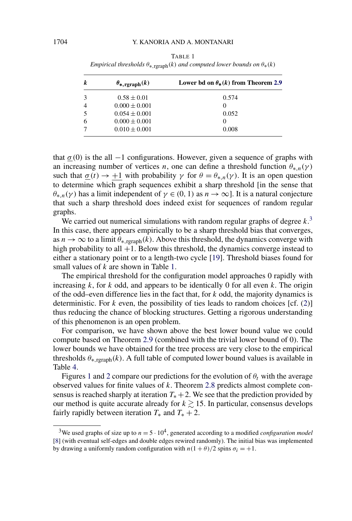| k | $\theta_{*, \text{rgraph}}(k)$ | Lower bd on $\theta_*(k)$ from Theorem 2.9 |  |  |
|---|--------------------------------|--------------------------------------------|--|--|
| 3 | $0.58 \pm 0.01$                | 0.574                                      |  |  |
|   | $0.000 \pm 0.001$              | $\theta$                                   |  |  |
|   | $0.054 \pm 0.001$              | 0.052                                      |  |  |
| 6 | $0.000 \pm 0.001$              | $\left( \right)$                           |  |  |
|   | $0.010 \pm 0.001$              | 0.008                                      |  |  |

<span id="page-10-0"></span>TABLE 1 *Empirical thresholds*  $\theta_*$  <sub>roranh</sub> $(k)$  *and computed lower bounds on*  $\theta_*(k)$ 

that  $\sigma$  (0) is the all  $-1$  configurations. However, given a sequence of graphs with an increasing number of vertices *n*, one can define a threshold function  $\theta_{*,n}(\gamma)$ such that  $\sigma(t) \rightarrow +1$  with probability  $\gamma$  for  $\theta = \theta_{*,n}(\gamma)$ . It is an open question to determine which graph sequences exhibit a sharp threshold [in the sense that *θ*\**n*(γ) has a limit independent of  $γ ∈ (0, 1)$  as  $n → ∞$ ]. It is a natural conjecture that such a sharp threshold does indeed exist for sequences of random regular graphs.

We carried out numerical simulations with random regular graphs of degree  $k$ <sup>3</sup> In this case, there appears empirically to be a sharp threshold bias that converges, as  $n \to \infty$  to a limit  $\theta_{*,\text{graph}}(k)$ . Above this threshold, the dynamics converge with high probability to all  $+1$ . Below this threshold, the dynamics converge instead to either a stationary point or to a length-two cycle [\[19\]](#page-53-0). Threshold biases found for small values of *k* are shown in Table 1.

The empirical threshold for the configuration model approaches 0 rapidly with increasing *k*, for *k* odd, and appears to be identically 0 for all even *k*. The origin of the odd–even difference lies in the fact that, for *k* odd, the majority dynamics is deterministic. For *k* even, the possibility of ties leads to random choices [cf. [\(2\)](#page-0-0)] thus reducing the chance of blocking structures. Getting a rigorous understanding of this phenomenon is an open problem.

For comparison, we have shown above the best lower bound value we could compute based on Theorem [2.9](#page-8-0) (combined with the trivial lower bound of 0). The lower bounds we have obtained for the tree process are very close to the empirical thresholds  $\theta_{*,\text{graph}}(k)$ . A full table of computed lower bound values is available in Table [4.](#page-38-0)

Figures [1](#page-11-0) and [2](#page-12-0) compare our predictions for the evolution of  $\theta_t$  with the average observed values for finite values of *k*. Theorem [2.8](#page-7-0) predicts almost complete consensus is reached sharply at iteration  $T_* + 2$ . We see that the prediction provided by our method is quite accurate already for  $k \ge 15$ . In particular, consensus develops fairly rapidly between iteration  $T_*$  and  $T_* + 2$ .

<sup>&</sup>lt;sup>3</sup>We used graphs of size up to  $n = 5 \cdot 10^4$ , generated according to a modified *configuration model* [\[8\]](#page-52-0) (with eventual self-edges and double edges rewired randomly). The initial bias was implemented by drawing a uniformly random configuration with  $n(1 + \theta)/2$  spins  $\sigma_i = +1$ .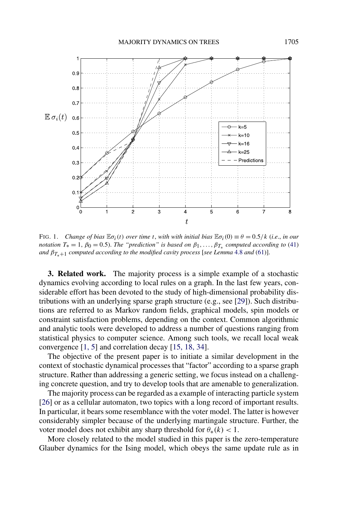<span id="page-11-0"></span>

FIG. 1. *Change of bias*  $\mathbb{E}\sigma_i(t)$  *over time t, with with initial bias*  $\mathbb{E}\sigma_i(0) \equiv \theta = 0.5/k$  (*i.e., in our notation*  $T_* = 1$ ,  $\beta_0 = 0.5$ ). *The "prediction" is based on*  $\beta_1, \ldots, \beta_{T_*}$  *computed according to* [\(41\)](#page-24-0) *and*  $\beta_{T_*+1}$  *computed according to the modified cavity process* [*see Lemma* [4.8](#page-30-0) *and* [\(61\)](#page-31-0)].

**3. Related work.** The majority process is a simple example of a stochastic dynamics evolving according to local rules on a graph. In the last few years, considerable effort has been devoted to the study of high-dimensional probability distributions with an underlying sparse graph structure (e.g., see [\[29\]](#page-53-0)). Such distributions are referred to as Markov random fields, graphical models, spin models or constraint satisfaction problems, depending on the context. Common algorithmic and analytic tools were developed to address a number of questions ranging from statistical physics to computer science. Among such tools, we recall local weak convergence [\[1, 5\]](#page-52-0) and correlation decay [\[15, 18, 34\]](#page-53-0).

The objective of the present paper is to initiate a similar development in the context of stochastic dynamical processes that "factor" according to a sparse graph structure. Rather than addressing a generic setting, we focus instead on a challenging concrete question, and try to develop tools that are amenable to generalization.

The majority process can be regarded as a example of interacting particle system [\[26\]](#page-53-0) or as a cellular automaton, two topics with a long record of important results. In particular, it bears some resemblance with the voter model. The latter is however considerably simpler because of the underlying martingale structure. Further, the voter model does not exhibit any sharp threshold for  $\theta_*(k) < 1$ .

More closely related to the model studied in this paper is the zero-temperature Glauber dynamics for the Ising model, which obeys the same update rule as in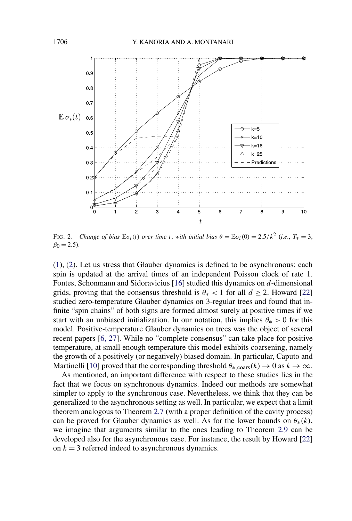<span id="page-12-0"></span>

FIG. 2. *Change of bias*  $\mathbb{E}\sigma_i(t)$  *over time t, with initial bias*  $\theta = \mathbb{E}\sigma_i(0) = 2.5/k^2$  (*i.e.*,  $T_* = 3$ ,  $\beta_0 = 2.5$ ).

[\(1\)](#page-0-0), [\(2\)](#page-0-0). Let us stress that Glauber dynamics is defined to be asynchronous: each spin is updated at the arrival times of an independent Poisson clock of rate 1. Fontes, Schonmann and Sidoravicius [\[16\]](#page-53-0) studied this dynamics on *d*-dimensional grids, proving that the consensus threshold is  $\theta_* < 1$  for all  $d \ge 2$ . Howard [\[22\]](#page-53-0) studied zero-temperature Glauber dynamics on 3-regular trees and found that infinite "spin chains" of both signs are formed almost surely at positive times if we start with an unbiased initialization. In our notation, this implies  $\theta_* > 0$  for this model. Positive-temperature Glauber dynamics on trees was the object of several recent papers [\[6, 27\]](#page-52-0). While no "complete consensus" can take place for positive temperature, at small enough temperature this model exhibits coarsening, namely the growth of a positively (or negatively) biased domain. In particular, Caputo and Martinelli [\[10\]](#page-53-0) proved that the corresponding threshold  $\theta_{*,\text{coars}}(k) \to 0$  as  $k \to \infty$ .

As mentioned, an important difference with respect to these studies lies in the fact that we focus on synchronous dynamics. Indeed our methods are somewhat simpler to apply to the synchronous case. Nevertheless, we think that they can be generalized to the asynchronous setting as well. In particular, we expect that a limit theorem analogous to Theorem [2.7](#page-6-0) (with a proper definition of the cavity process) can be proved for Glauber dynamics as well. As for the lower bounds on  $\theta_*(k)$ , we imagine that arguments similar to the ones leading to Theorem [2.9](#page-8-0) can be developed also for the asynchronous case. For instance, the result by Howard [\[22\]](#page-53-0) on  $k = 3$  referred indeed to asynchronous dynamics.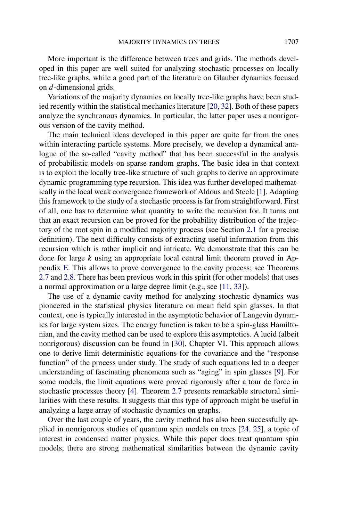More important is the difference between trees and grids. The methods developed in this paper are well suited for analyzing stochastic processes on locally tree-like graphs, while a good part of the literature on Glauber dynamics focused on *d*-dimensional grids.

Variations of the majority dynamics on locally tree-like graphs have been studied recently within the statistical mechanics literature [\[20, 32\]](#page-53-0). Both of these papers analyze the synchronous dynamics. In particular, the latter paper uses a nonrigorous version of the cavity method.

The main technical ideas developed in this paper are quite far from the ones within interacting particle systems. More precisely, we develop a dynamical analogue of the so-called "cavity method" that has been successful in the analysis of probabilistic models on sparse random graphs. The basic idea in that context is to exploit the locally tree-like structure of such graphs to derive an approximate dynamic-programming type recursion. This idea was further developed mathematically in the local weak convergence framework of Aldous and Steele [\[1\]](#page-52-0). Adapting this framework to the study of a stochastic process is far from straightforward. First of all, one has to determine what quantity to write the recursion for. It turns out that an exact recursion can be proved for the probability distribution of the trajectory of the root spin in a modified majority process (see Section [2.1](#page-3-0) for a precise definition). The next difficulty consists of extracting useful information from this recursion which is rather implicit and intricate. We demonstrate that this can be done for large *k* using an appropriate local central limit theorem proved in Appendix [E.](#page-50-0) This allows to prove convergence to the cavity process; see Theorems [2.7](#page-6-0) and [2.8.](#page-7-0) There has been previous work in this spirit (for other models) that uses a normal approximation or a large degree limit (e.g., see [\[11, 33\]](#page-53-0)).

The use of a dynamic cavity method for analyzing stochastic dynamics was pioneered in the statistical physics literature on mean field spin glasses. In that context, one is typically interested in the asymptotic behavior of Langevin dynamics for large system sizes. The energy function is taken to be a spin-glass Hamiltonian, and the cavity method can be used to explore this asymptotics. A lucid (albeit nonrigorous) discussion can be found in [\[30\]](#page-53-0), Chapter VI. This approach allows one to derive limit deterministic equations for the covariance and the "response function" of the process under study. The study of such equations led to a deeper understanding of fascinating phenomena such as "aging" in spin glasses [\[9\]](#page-53-0). For some models, the limit equations were proved rigorously after a tour de force in stochastic processes theory [\[4\]](#page-52-0). Theorem [2.7](#page-6-0) presents remarkable structural similarities with these results. It suggests that this type of approach might be useful in analyzing a large array of stochastic dynamics on graphs.

Over the last couple of years, the cavity method has also been successfully applied in nonrigorous studies of quantum spin models on trees [\[24, 25\]](#page-53-0), a topic of interest in condensed matter physics. While this paper does treat quantum spin models, there are strong mathematical similarities between the dynamic cavity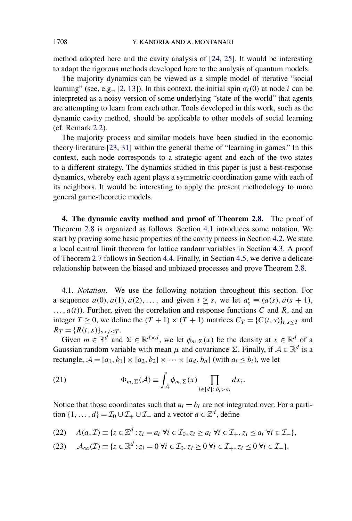<span id="page-14-0"></span>method adopted here and the cavity analysis of [\[24, 25\]](#page-53-0). It would be interesting to adapt the rigorous methods developed here to the analysis of quantum models.

The majority dynamics can be viewed as a simple model of iterative "social learning" (see, e.g., [\[2, 13\]](#page-52-0)). In this context, the initial spin  $\sigma_i(0)$  at node *i* can be interpreted as a noisy version of some underlying "state of the world" that agents are attempting to learn from each other. Tools developed in this work, such as the dynamic cavity method, should be applicable to other models of social learning (cf. Remark [2.2\)](#page-5-0).

The majority process and similar models have been studied in the economic theory literature [\[23, 31\]](#page-53-0) within the general theme of "learning in games." In this context, each node corresponds to a strategic agent and each of the two states to a different strategy. The dynamics studied in this paper is just a best-response dynamics, whereby each agent plays a symmetric coordination game with each of its neighbors. It would be interesting to apply the present methodology to more general game-theoretic models.

**4. The dynamic cavity method and proof of Theorem [2.8.](#page-7-0)** The proof of Theorem [2.8](#page-7-0) is organized as follows. Section 4.1 introduces some notation. We start by proving some basic properties of the cavity process in Section [4.2.](#page-15-0) We state a local central limit theorem for lattice random variables in Section [4.3.](#page-17-0) A proof of Theorem [2.7](#page-6-0) follows in Section [4.4.](#page-18-0) Finally, in Section [4.5,](#page-23-0) we derive a delicate relationship between the biased and unbiased processes and prove Theorem [2.8.](#page-7-0)

4.1. *Notation*. We use the following notation throughout this section. For a sequence  $a(0), a(1), a(2), \ldots$ , and given  $t \geq s$ , we let  $a_s^t \equiv (a(s), a(s + 1))$ , *...,a(t))*. Further, given the correlation and response functions *C* and *R*, and an integer  $T \ge 0$ , we define the  $(T + 1) \times (T + 1)$  matrices  $C_T = {C(t, s)}_{t, s < T}$  and  $R_T = \{R(t, s)\}_{s < t \leq T}$ .

Given  $m \in \mathbb{R}^d$  and  $\Sigma \in \mathbb{R}^{d \times d}$ , we let  $\phi_m(\Sigma(x))$  be the density at  $x \in \mathbb{R}^d$  of a Gaussian random variable with mean  $\mu$  and covariance  $\Sigma$ . Finally, if  $\mathcal{A} \in \mathbb{R}^d$  is a rectangle,  $A = [a_1, b_1] \times [a_2, b_2] \times \cdots \times [a_d, b_d]$  (with  $a_i \leq b_i$ ), we let

(21) 
$$
\Phi_{m,\Sigma}(\mathcal{A}) \equiv \int_{\mathcal{A}} \phi_{m,\Sigma}(x) \prod_{i \in [d]: b_i > a_i} dx_i.
$$

Notice that those coordinates such that  $a_i = b_i$  are not integrated over. For a partition  $\{1, \ldots, d\} = \mathcal{I}_0 \cup \mathcal{I}_+ \cup \mathcal{I}_-$  and a vector  $a \in \mathbb{Z}^d$ , define

(22) 
$$
A(a,\mathcal{I}) \equiv \{z \in \mathbb{Z}^d : z_i = a_i \,\,\forall i \in \mathcal{I}_0, z_i \geq a_i \,\,\forall i \in \mathcal{I}_+, z_i \leq a_i \,\,\forall i \in \mathcal{I}_-\},
$$

$$
(23) \quad \mathcal{A}_{\infty}(\mathcal{I}) \equiv \{z \in \mathbb{R}^d : z_i = 0 \,\forall i \in \mathcal{I}_0, z_i \ge 0 \,\forall i \in \mathcal{I}_+, z_i \le 0 \,\forall i \in \mathcal{I}_-\}.
$$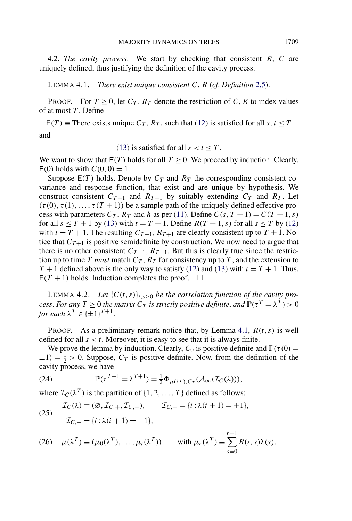<span id="page-15-0"></span>4.2. *The cavity process*. We start by checking that consistent *R*, *C* are uniquely defined, thus justifying the definition of the cavity process.

LEMMA 4.1. *There exist unique consistent C*, *R* (*cf*. *Definition* [2.5\)](#page-6-0).

**PROOF.** For  $T \ge 0$ , let  $C_T$ ,  $R_T$  denote the restriction of C, R to index values of at most *T* . Define

 $E(T)$  = There exists unique  $C_T$ ,  $R_T$ , such that [\(12\)](#page-6-0) is satisfied for all  $s, t \leq T$ and

[\(13\)](#page-6-0) is satisfied for all  $s < t \leq T$ .

We want to show that  $E(T)$  holds for all  $T \ge 0$ . We proceed by induction. Clearly,  $E(0)$  holds with  $C(0, 0) = 1$ .

Suppose  $E(T)$  holds. Denote by  $C_T$  and  $R_T$  the corresponding consistent covariance and response function, that exist and are unique by hypothesis. We construct consistent  $C_{T+1}$  and  $R_{T+1}$  by suitably extending  $C_T$  and  $R_T$ . Let  $(\tau(0), \tau(1), \ldots, \tau(T+1))$  be a sample path of the uniquely defined effective process with parameters  $C_T$ ,  $R_T$  and h as per [\(11\)](#page-5-0). Define  $C(s, T + 1) = C(T + 1, s)$ for all  $s \leq T + 1$  by [\(13\)](#page-6-0) with  $t = T + 1$ . Define  $R(T + 1, s)$  for all  $s \leq T$  by [\(12\)](#page-6-0) with  $t = T + 1$ . The resulting  $C_{T+1}$ ,  $R_{T+1}$  are clearly consistent up to  $T + 1$ . Notice that  $C_{T+1}$  is positive semidefinite by construction. We now need to argue that there is no other consistent  $C_{T+1}$ ,  $R_{T+1}$ . But this is clearly true since the restriction up to time *T must* match  $C_T$ ,  $R_T$  for consistency up to *T*, and the extension to  $T + 1$  defined above is the only way to satisfy [\(12\)](#page-6-0) and [\(13\)](#page-6-0) with  $t = T + 1$ . Thus,  $E(T + 1)$  holds. Induction completes the proof.  $\Box$ 

LEMMA 4.2. Let  ${C(t, s)}_{t, s \geq 0}$  *be the correlation function of the cavity process. For any*  $T \geq 0$  *the matrix*  $C_T$  *is strictly positive definite, and*  $\mathbb{P}(\tau^T = \lambda^T) > 0$ *for each*  $\lambda^T \in {\pm 1}^{T+1}$ .

PROOF. As a preliminary remark notice that, by Lemma 4.1, *R(t,s)* is well defined for all  $s < t$ . Moreover, it is easy to see that it is always finite.

We prove the lemma by induction. Clearly,  $C_0$  is positive definite and  $\mathbb{P}(\tau(0) =$  $\pm 1$ ) =  $\frac{1}{2}$  > 0. Suppose,  $C_T$  is positive definite. Now, from the definition of the cavity process, we have

(24) 
$$
\mathbb{P}(\tau^{T+1} = \lambda^{T+1}) = \frac{1}{2} \Phi_{\mu(\lambda^T), C_T}(\mathcal{A}_{\infty}(\mathcal{I}_C(\lambda))),
$$

where  $\mathcal{I}_C(\lambda^T)$  is the partition of  $\{1, 2, ..., T\}$  defined as follows:

(25) 
$$
\mathcal{I}_C(\lambda) \equiv (\emptyset, \mathcal{I}_{C,+}, \mathcal{I}_{C,-}), \qquad \mathcal{I}_{C,+} = \{i : \lambda(i+1) = +1\},\
$$

$$
\mathcal{I}_{C,-} = \{i : \lambda(i+1) = -1\},\
$$

(26) 
$$
\mu(\lambda^T) \equiv (\mu_0(\lambda^T), \dots, \mu_t(\lambda^T))
$$
 with  $\mu_r(\lambda^T) \equiv \sum_{s=0}^{r-1} R(r, s) \lambda(s)$ .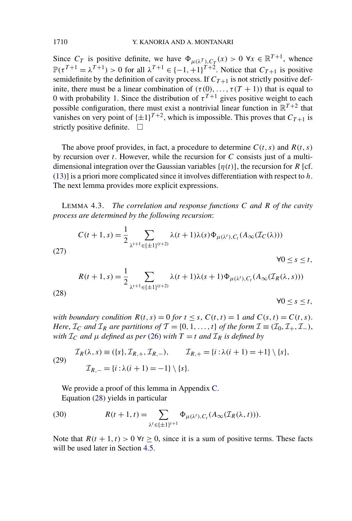Since  $C_T$  is positive definite, we have  $\Phi_{\mu(\lambda^T),C_T}(x) > 0 \ \forall x \in \mathbb{R}^{T+1}$ , whence  $\mathbb{P}(\tau^{T+1} = \lambda^{T+1}) > 0$  for all  $\lambda^{T+1} \in \{-1, +1\}^{T+2}$ . Notice that  $C_{T+1}$  is positive semidefinite by the definition of cavity process. If  $C_{T+1}$  is not strictly positive definite, there must be a linear combination of  $(\tau(0),...,\tau(T+1))$  that is equal to 0 with probability 1. Since the distribution of  $\tau^{T+1}$  gives positive weight to each possible configuration, there must exist a nontrivial linear function in  $\mathbb{R}^{T+2}$  that vanishes on very point of  $\{\pm 1\}^{T+2}$ , which is impossible. This proves that  $C_{T+1}$  is strictly positive definite.  $\Box$ 

The above proof provides, in fact, a procedure to determine  $C(t, s)$  and  $R(t, s)$ by recursion over *t*. However, while the recursion for *C* consists just of a multidimensional integration over the Gaussian variables  $\{\eta(t)\}\$ , the recursion for *R* [cf. [\(13\)](#page-6-0)] is a priori more complicated since it involves differentiation with respect to *h*. The next lemma provides more explicit expressions.

LEMMA 4.3. *The correlation and response functions C and R of the cavity process are determined by the following recursion*:

(27)  
\n
$$
C(t+1,s) = \frac{1}{2} \sum_{\lambda^{t+1} \in \{\pm 1\}^{(t+2)}} \lambda(t+1)\lambda(s)\Phi_{\mu(\lambda^t),C_t}(A_{\infty}(\mathcal{I}_C(\lambda)))
$$
\n
$$
\forall 0 \le s \le t,
$$
\n
$$
R(t+1,s) = \frac{1}{2} \sum_{\lambda^{t+1} \in \{\pm 1\}^{(t+2)}} \lambda(t+1)\lambda(s+1)\Phi_{\mu(\lambda^t),C_t}(A_{\infty}(\mathcal{I}_R(\lambda,s)))
$$
\n(28)

 $\forall 0 \leq s \leq t$ ,

*with boundary condition*  $R(t,s) = 0$  *for*  $t \leq s$ ,  $C(t,t) = 1$  *and*  $C(s,t) = C(t,s)$ . *Here*,  $\mathcal{I}_C$  *and*  $\mathcal{I}_R$  *are partitions of*  $\mathcal{T} = \{0, 1, ..., t\}$  *of the form*  $\mathcal{I} \equiv (\mathcal{I}_0, \mathcal{I}_+, \mathcal{I}_-),$ *with*  $I_c$  *and*  $\mu$  *defined as per* [\(26\)](#page-15-0) *with*  $T = t$  *and*  $I_R$  *is defined by* 

(29) 
$$
\mathcal{I}_R(\lambda, s) \equiv (\{s\}, \mathcal{I}_{R,+}, \mathcal{I}_{R,-}), \qquad \mathcal{I}_{R,+} = \{i : \lambda(i+1) = +1\} \setminus \{s\},
$$

$$
\mathcal{I}_{R,-} = \{i : \lambda(i+1) = -1\} \setminus \{s\}.
$$

We provide a proof of this lemma in Appendix [C.](#page-45-0) Equation (28) yields in particular

(30) 
$$
R(t+1,t) = \sum_{\lambda^t \in \{\pm 1\}^{t+1}} \Phi_{\mu(\lambda^t),C_t}(A_\infty(\mathcal{I}_R(\lambda,t))).
$$

Note that  $R(t + 1, t) > 0 \ \forall t \geq 0$ , since it is a sum of positive terms. These facts will be used later in Section [4.5.](#page-23-0)

<span id="page-16-0"></span>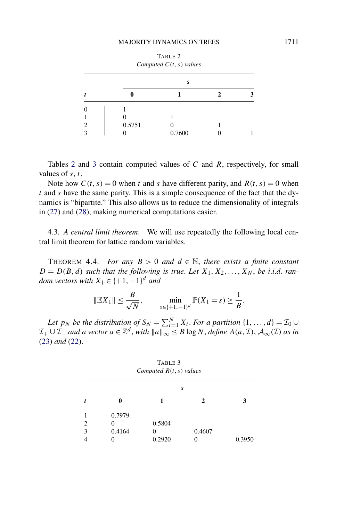<span id="page-17-0"></span>

| Computed $C(t, s)$ values |        |        |  |  |  |  |  |
|---------------------------|--------|--------|--|--|--|--|--|
|                           | S      |        |  |  |  |  |  |
|                           |        |        |  |  |  |  |  |
|                           |        |        |  |  |  |  |  |
|                           |        |        |  |  |  |  |  |
| 2                         | 0.5751 |        |  |  |  |  |  |
|                           |        | 0.7600 |  |  |  |  |  |

Tables 2 and 3 contain computed values of *C* and *R*, respectively, for small values of *s*, *t*.

Note how  $C(t, s) = 0$  when *t* and *s* have different parity, and  $R(t, s) = 0$  when *t* and *s* have the same parity. This is a simple consequence of the fact that the dynamics is "bipartite." This also allows us to reduce the dimensionality of integrals in [\(27\)](#page-16-0) and [\(28\)](#page-16-0), making numerical computations easier.

4.3. *A central limit theorem*. We will use repeatedly the following local central limit theorem for lattice random variables.

THEOREM 4.4. *For any*  $B > 0$  *and*  $d \in \mathbb{N}$ , *there exists a finite constant*  $D = D(B, d)$  *such that the following is true. Let*  $X_1, X_2, \ldots, X_N$ , *be i.i.d. random vectors with*  $X_1 \in \{+1, -1\}^d$  *and* 

$$
\|\mathbb{E}X_1\| \le \frac{B}{\sqrt{N}}, \qquad \min_{s \in \{+1, -1\}^d} \mathbb{P}(X_1 = s) \ge \frac{1}{B}.
$$

*Let p<sub>N</sub> be the distribution of*  $S_N = \sum_{i=1}^N X_i$ . *For a partition*  $\{1, \ldots, d\} = \mathcal{I}_0 \cup$  $\mathcal{I}_+ \cup \mathcal{I}_-$  *and a vector a* ∈  $\mathbb{Z}^d$ , *with*  $||a||_{\infty} \leq B \log N$ , *define*  $A(a,\mathcal{I})$ ,  $\mathcal{A}_{\infty}(\mathcal{I})$  *as in* [\(23\)](#page-14-0) *and* [\(22\)](#page-14-0).

|                | S      |        |        |        |  |
|----------------|--------|--------|--------|--------|--|
|                | O      |        |        |        |  |
|                | 0.7979 |        |        |        |  |
| $\overline{c}$ |        | 0.5804 |        |        |  |
| 3              | 0.4164 |        | 0.4607 |        |  |
|                | ∩      | 0.2920 |        | 0.3950 |  |

TABLE 3 *Computed R(t,s) values*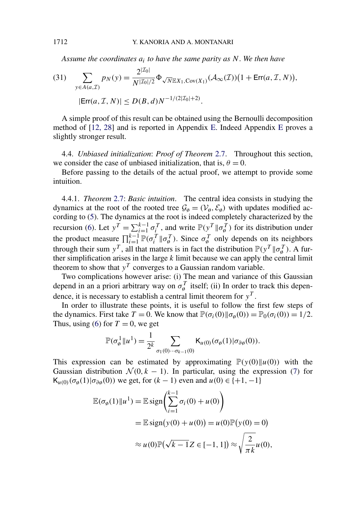*Assume the coordinates ai to have the same parity as N*. *We then have*

(31) 
$$
\sum_{y \in A(a,\mathcal{I})} p_N(y) = \frac{2^{|\mathcal{I}_0|}}{N^{|\mathcal{I}_0|/2}} \Phi_{\sqrt{N} \mathbb{E} X_1, \text{Cov}(X_1)} (\mathcal{A}_{\infty}(\mathcal{I})) \big( 1 + \text{Err}(a, \mathcal{I}, N) \big),
$$
  
\n
$$
|\text{Err}(a, \mathcal{I}, N)| \le D(B, d) N^{-1/(2|\mathcal{I}_0|+2)}.
$$

A simple proof of this result can be obtained using the Bernoulli decomposition method of [\[12, 28\]](#page-53-0) and is reported in Appendix [E.](#page-50-0) Indeed Appendix [E](#page-50-0) proves a slightly stronger result.

4.4. *Unbiased initialization*: *Proof of Theorem* [2.7.](#page-6-0) Throughout this section, we consider the case of unbiased initialization, that is,  $\theta = 0$ .

Before passing to the details of the actual proof, we attempt to provide some intuition.

4.4.1. *Theorem* [2.7:](#page-6-0) *Basic intuition*. The central idea consists in studying the dynamics at the root of the rooted tree  $\mathcal{G}_{\emptyset} = (\mathcal{V}_{\emptyset}, \mathcal{E}_{\emptyset})$  with updates modified according to [\(5\)](#page-3-0). The dynamics at the root is indeed completely characterized by the recursion [\(6\)](#page-4-0). Let  $y^T = \sum_{i=1}^{k-1} \sigma_i^T$ , and write  $P(y^T || \sigma_{\emptyset}^T)$  for its distribution under the product measure  $\prod_{i=1}^{k-1} \mathbb{P}(\sigma_i^T || \sigma_j^T)$ . Since  $\sigma_{\emptyset}^T$  only depends on its neighbors through their sum  $y^T$ , all that matters is in fact the distribution  $\mathbb{P}(y^T \| \sigma_{\phi}^T)$ . A further simplification arises in the large *k* limit because we can apply the central limit theorem to show that  $y<sup>T</sup>$  converges to a Gaussian random variable.

Two complications however arise: (i) The mean and variance of this Gaussian depend in an a priori arbitrary way on  $\sigma_{\phi}^{T}$  itself; (ii) In order to track this dependence, it is necessary to establish a central limit theorem for  $y<sup>T</sup>$ .

In order to illustrate these points, it is useful to follow the first few steps of the dynamics. First take  $T = 0$ . We know that  $\mathbb{P}(\sigma_i(0) \| \sigma_0(0)) = \mathbb{P}_0(\sigma_i(0)) = 1/2$ . Thus, using [\(6\)](#page-4-0) for  $T = 0$ , we get

$$
\mathbb{P}(\sigma_{\theta}^1 \|u^1) = \frac{1}{2^k} \sum_{\sigma_1(0)\cdots\sigma_{k-1}(0)} \mathsf{K}_{u(0)}(\sigma_{\theta}(1)|\sigma_{\partial\theta}(0)).
$$

This expression can be estimated by approximating  $\mathbb{P}(\gamma(0) \| u(0))$  with the Gaussian distribution  $\mathcal{N}(0, k - 1)$ . In particular, using the expression [\(7\)](#page-4-0) for K<sub>*u*(0)</sub>( $\sigma$ <sub>ø</sub>(1)| $\sigma$ <sub>∂ø</sub>(0)) we get, for (k − 1) even and *u*(0) ∈ {+1,−1}

$$
\mathbb{E}(\sigma_{\emptyset}(1)\|u^{1}) = \mathbb{E}\operatorname{sign}\left(\sum_{i=1}^{k-1}\sigma_{i}(0) + u(0)\right)
$$
  
= 
$$
\mathbb{E}\operatorname{sign}(y(0) + u(0)) = u(0)\mathbb{P}(y(0) = 0)
$$
  

$$
\approx u(0)\mathbb{P}(\sqrt{k-1}Z \in [-1, 1]) \approx \sqrt{\frac{2}{\pi k}}u(0),
$$

<span id="page-18-0"></span>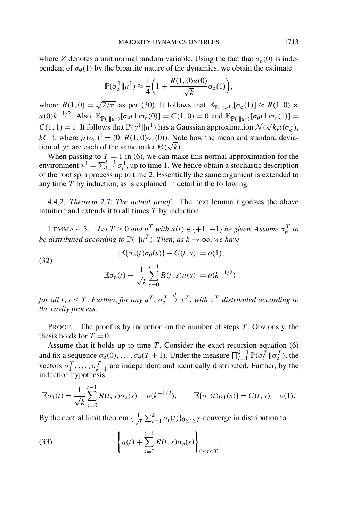<span id="page-19-0"></span>where *Z* denotes a unit normal random variable. Using the fact that  $\sigma_{\varphi}(0)$  is independent of  $\sigma_{\emptyset}(1)$  by the bipartite nature of the dynamics, we obtain the estimate

$$
\mathbb{P}(\sigma_{\phi}^1||u^1) \approx \frac{1}{4}\bigg(1 + \frac{R(1,0)u(0)}{\sqrt{k}}\sigma_{\phi}(1)\bigg),\,
$$

where  $R(1,0) = \sqrt{2/\pi}$  as per [\(30\)](#page-16-0). It follows that  $\mathbb{E}_{\mathbb{P}(\cdot|\cdot|u^1)}[\sigma_\emptyset(1)] \approx R(1,0) \times R(1,0)$  $u(0)k^{-1/2}$ . Also,  $\mathbb{E}_{\mathbb{P}(\cdot||u^1)}[\sigma_\emptyset(1)\sigma_\emptyset(0)] = C(1,0) = 0$  and  $\mathbb{E}_{\mathbb{P}(\cdot||u^1)}[\sigma_\emptyset(1)\sigma_\emptyset(1)] =$  $C(1, 1) = 1$ . It follows that  $\mathbb{P}(y^1 || u^1)$  has a Gaussian approximation  $\mathcal{N}(\sqrt{k}\mu(\sigma_\phi^1))$ ,<br> $C(1, 1) = 1$ . It follows that  $\mathbb{P}(y^1 || u^1)$  has a Gaussian approximation  $\mathcal{N}(\sqrt{k}\mu(\sigma_\phi^1))$ ,  $kC_1$ , where  $\mu(\sigma_0)^1 = (0 \ R(1,0)\sigma_0(0))$ . Note how the mean and standard deviation of  $y^1$  are each of the same order  $\Theta(\sqrt{k})$ .

When passing to  $T = 1$  in [\(6\)](#page-4-0), we can make this normal approximation for the environment  $y^1 = \sum_{i=1}^{k-1} \sigma_i^1$ , up to time 1. We hence obtain a stochastic description of the root spin process up to time 2. Essentially the same argument is extended to any time *T* by induction, as is explained in detail in the following.

4.4.2. *Theorem* [2.7:](#page-6-0) *The actual proof*. The next lemma rigorizes the above intuition and extends it to all times *T* by induction.

LEMMA 4.5. *Let*  $T \ge 0$  *and*  $u^T$  *with*  $u(t) \in \{+1, -1\}$  *be given. Assume*  $\sigma_{\phi}^T$  *to be distributed according to*  $\mathbb{P}(\cdot | u^T)$ . *Then, as*  $k \to \infty$ *, we have* 

(32)  

$$
|\mathbb{E}\{\sigma_{\emptyset}(t)\sigma_{\emptyset}(s)\} - C(t,s)| = o(1),
$$

$$
\left|\mathbb{E}\sigma_{\emptyset}(t) - \frac{1}{\sqrt{k}}\sum_{s=0}^{t-1} R(t,s)u(s)\right| = o(k^{-1/2})
$$

*for all t*, *s*  $\leq T$ . *Further, for any*  $u^T$ ,  $\sigma_{\emptyset}^T$ *d* → *τ <sup>T</sup>* , *with τ <sup>T</sup> distributed according to the cavity process*.

PROOF. The proof is by induction on the number of steps *T* . Obviously, the thesis holds for  $T = 0$ .

Assume that it holds up to time *T* . Consider the exact recursion equation [\(6\)](#page-4-0) and fix a sequence  $\sigma_{\emptyset}(0), \ldots, \sigma_{\emptyset}(T+1)$ . Under the measure  $\prod_{i=1}^{k-1} \mathbb{P}(\sigma_i^T \| \sigma_{\emptyset}^T)$ , the vectors  $\sigma_1^T, \ldots, \sigma_{k-1}^T$  are independent and identically distributed. Further, by the induction hypothesis

$$
\mathbb{E}\sigma_1(t) = \frac{1}{\sqrt{k}} \sum_{s=0}^{t-1} R(t,s)\sigma_{\emptyset}(s) + o(k^{-1/2}), \qquad \mathbb{E}\{\sigma_1(t)\sigma_1(s)\} = C(t,s) + o(1).
$$

By the central limit theorem  $\{\frac{1}{\sqrt{2}}\}$  $\frac{1}{k} \sum_{i=1}^{k} \sigma_i(t)$ <sub>0≤*t*≤*T* converge in distribution to</sub>

(33) 
$$
\left\{\eta(t)+\sum_{s=0}^{t-1}R(t,s)\sigma_{\emptyset}(s)\right\}_{0\leq t\leq T},
$$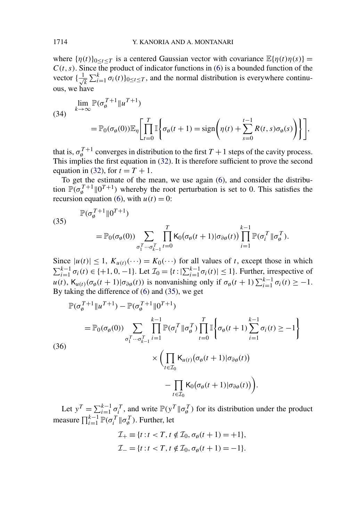<span id="page-20-0"></span>where  $\{\eta(t)\}_{0 \le t \le T}$  is a centered Gaussian vector with covariance  $\mathbb{E}\{\eta(t)\eta(s)\}$  =  $C(t, s)$ . Since the product of indicator functions in [\(6\)](#page-4-0) is a bounded function of the vector  $\{\frac{1}{\sqrt{2}}\}$  $\frac{1}{k} \sum_{i=1}^{k} \sigma_i(t)$ <sub>0≤*t*≤*T*</sub>, and the normal distribution is everywhere continuous, we have

(34) 
$$
\lim_{k \to \infty} \mathbb{P}(\sigma_{\theta}^{T+1} || u^{T+1})
$$
  
= 
$$
\mathbb{P}_0(\sigma_{\theta}(0)) \mathbb{E}_{\eta} \left[ \prod_{t=0}^T \mathbb{I} \left\{ \sigma_{\theta}(t+1) = \text{sign} \left( \eta(t) + \sum_{s=0}^{t-1} R(t,s) \sigma_{\theta}(s) \right) \right\} \right],
$$

that is,  $\sigma_{\phi}^{T+1}$  converges in distribution to the first  $T+1$  steps of the cavity process. This implies the first equation in [\(32\)](#page-19-0). It is therefore sufficient to prove the second equation in [\(32\)](#page-19-0), for  $t = T + 1$ .

To get the estimate of the mean, we use again [\(6\)](#page-4-0), and consider the distribution  $\mathbb{P}(\sigma_{\phi}^{T+1} \| 0^{T+1})$  whereby the root perturbation is set to 0. This satisfies the recursion equation [\(6\)](#page-4-0), with  $u(t) = 0$ :

(35)  
\n
$$
\mathbb{P}(\sigma_{\emptyset}^{T+1} \| 0^{T+1})
$$
\n
$$
= \mathbb{P}_0(\sigma_{\emptyset}(0)) \sum_{\sigma_1^T \cdots \sigma_{k-1}^T} \prod_{t=0}^T K_0(\sigma_{\emptyset}(t+1) | \sigma_{\partial \emptyset}(t)) \prod_{i=1}^{k-1} \mathbb{P}(\sigma_i^T \| \sigma_{\emptyset}^T).
$$

Since  $|u(t)| \leq 1$ ,  $K_{u(t)}(\dots) = K_0(\dots)$  for all values of *t*, except those in which  $\sum_{i=1}^{k-1} \sigma_i(t) \in \{+1, 0, -1\}$ . Let  $\mathcal{I}_0 = \{t : |\sum_{i=1}^{k-1} \sigma_i(t)| \leq 1\}$ . Further, irrespective of  $u(t)$ ,  $\mathsf{K}_{u(t)}(\sigma_{\emptyset}(t+1)|\sigma_{\partial\emptyset}(t))$  is nonvanishing only if  $\sigma_{\emptyset}(t+1)\sum_{i=1}^{k-1}\sigma_i(t) \geq -1$ . By taking the difference of [\(6\)](#page-4-0) and (35), we get

$$
\mathbb{P}(\sigma_{\emptyset}^{T+1} \| u^{T+1}) - \mathbb{P}(\sigma_{\emptyset}^{T+1} \| 0^{T+1})
$$
\n
$$
= \mathbb{P}_0(\sigma_{\emptyset}(0)) \sum_{\sigma_1^T \cdots \sigma_{k-1}^T} \prod_{i=1}^{k-1} \mathbb{P}(\sigma_i^T \| \sigma_{\emptyset}^T) \prod_{t=0}^T \mathbb{I} \left\{ \sigma_{\emptyset}(t+1) \sum_{i=1}^{k-1} \sigma_i(t) \ge -1 \right\}
$$
\n(36)\n
$$
\times \left( \prod_{t \in \mathcal{I}_0} \mathsf{K}_{u(t)} (\sigma_{\emptyset}(t+1) | \sigma_{\partial \emptyset}(t)) - \prod_{t \in \mathcal{I}_0} \mathsf{K}_0 (\sigma_{\emptyset}(t+1) | \sigma_{\partial \emptyset}(t)) \right).
$$

Let  $y^T = \sum_{i=1}^{k-1} \sigma_i^T$ , and write  $\mathbb{P}(y^T || \sigma_{\emptyset}^T)$  for its distribution under the product measure  $\prod_{i=1}^{k-1} \mathbb{P}(\sigma_i^T \| \sigma_{\emptyset}^T)$ . Further, let

$$
\mathcal{I}_{+} \equiv \{t : t < T, t \notin \mathcal{I}_{0}, \sigma_{\emptyset}(t+1) = +1\},
$$
\n
$$
\mathcal{I}_{-} = \{t : t < T, t \notin \mathcal{I}_{0}, \sigma_{\emptyset}(t+1) = -1\}.
$$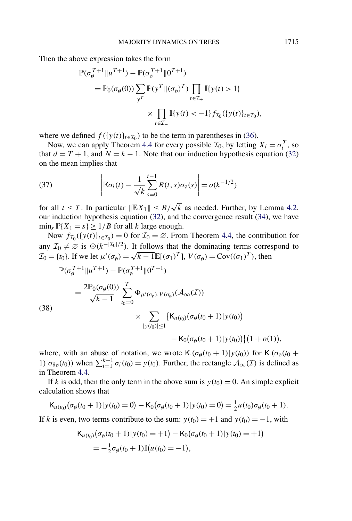<span id="page-21-0"></span>Then the above expression takes the form

$$
\mathbb{P}(\sigma_{\emptyset}^{T+1} \| u^{T+1}) - \mathbb{P}(\sigma_{\emptyset}^{T+1} \| 0^{T+1})
$$
\n
$$
= \mathbb{P}_0(\sigma_{\emptyset}(0)) \sum_{y^T} \mathbb{P}(y^T \| (\sigma_{\emptyset})^T) \prod_{t \in \mathcal{I}_+} \mathbb{I}\{y(t) > 1\}
$$
\n
$$
\times \prod_{t \in \mathcal{I}_-} \mathbb{I}\{y(t) < -1\} f_{\mathcal{I}_0}(\{y(t)\}_{t \in \mathcal{I}_0}),
$$

where we defined  $f({y(t)}_{t\in\mathcal{I}_0})$  to be the term in parentheses in [\(36\)](#page-20-0).

Now, we can apply Theorem [4.4](#page-17-0) for every possible  $\mathcal{I}_0$ , by letting  $X_i = \sigma_i^T$ , so that  $d = T + 1$ , and  $N = k - 1$ . Note that our induction hypothesis equation [\(32\)](#page-19-0) on the mean implies that

(37) 
$$
\left| \mathbb{E} \sigma_i(t) - \frac{1}{\sqrt{k}} \sum_{s=0}^{t-1} R(t, s) \sigma_{\emptyset}(s) \right| = o(k^{-1/2})
$$

for all  $t \leq T$ . In particular  $||\mathbb{E}[X]|| \leq B/\sqrt{k}$  as needed. Further, by Lemma [4.2,](#page-15-0) our induction hypothesis equation [\(32\)](#page-19-0), and the convergence result [\(34\)](#page-20-0), we have  $\min_{s} \mathbb{P}\{X_1 = s\} \ge 1/B$  for all *k* large enough.

Now  $f_{\mathcal{I}_0}(\{y(t)\}_{t \in \mathcal{I}_0}) = 0$  for  $\mathcal{I}_0 = \emptyset$ . From Theorem [4.4,](#page-17-0) the contribution for any  $\mathcal{I}_0 \neq \emptyset$  is  $\Theta(k^{-|\mathcal{I}_0|/2})$ . It follows that the dominating terms correspond to  $\mathcal{I}_0 = \{t_0\}$ . If we let  $\mu'(\sigma_\emptyset) = \sqrt{k-1} \mathbb{E}[(\sigma_1)^T]$ ,  $V(\sigma_\emptyset) = \text{Cov}((\sigma_1)^T)$ , then

$$
\mathbb{P}(\sigma_{\emptyset}^{T+1} \| u^{T+1}) - \mathbb{P}(\sigma_{\emptyset}^{T+1} \| 0^{T+1})
$$
\n
$$
= \frac{2\mathbb{P}_{0}(\sigma_{\emptyset}(0))}{\sqrt{k-1}} \sum_{t_{0}=0}^{T} \Phi_{\mu'(\sigma_{\emptyset}), V(\sigma_{\emptyset})}(\mathcal{A}_{\infty}(T))
$$
\n(38)\n
$$
\times \sum_{|y(t_{0})| \leq 1} \{K_{\mu(t_{0})}(\sigma_{\emptyset}(t_{0}+1)|y(t_{0})) - K_{0}(\sigma_{\emptyset}(t_{0}+1)|y(t_{0}))\}(1+o(1)),
$$

where, with an abuse of notation, we wrote K $(\sigma_{\phi}(t_0 + 1))y(t_0)$  for K $(\sigma_{\phi}(t_0 +$ *i*)| $\sigma_{\partial\varphi}(t_0)$ ) when  $\sum_{i=1}^{k-1} \sigma_i(t_0) = y(t_0)$ . Further, the rectangle  $\mathcal{A}_{\infty}(\mathcal{I})$  is defined as in Theorem [4.4.](#page-17-0)

If *k* is odd, then the only term in the above sum is  $y(t_0) = 0$ . An simple explicit calculation shows that

$$
\mathsf{K}_{u(t_0)}(\sigma_\emptyset(t_0+1)|y(t_0)=0)-\mathsf{K}_0(\sigma_\emptyset(t_0+1)|y(t_0)=0)=\tfrac{1}{2}u(t_0)\sigma_\emptyset(t_0+1).
$$

If *k* is even, two terms contribute to the sum:  $y(t_0) = +1$  and  $y(t_0) = -1$ , with

$$
\begin{aligned} \mathsf{K}_{u(t_0)}\big(\sigma_{\emptyset}(t_0+1)|y(t_0)=+1\big)-\mathsf{K}_0\big(\sigma_{\emptyset}(t_0+1)|y(t_0)=+1\big) \\ &=-\tfrac{1}{2}\sigma_{\emptyset}(t_0+1)\mathbb{I}\big(u(t_0)=-1\big), \end{aligned}
$$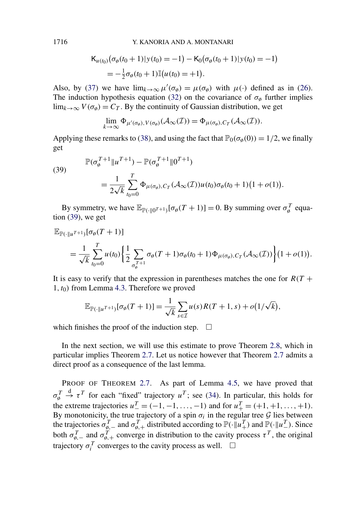$$
\mathsf{K}_{u(t_0)}\big(\sigma_{\emptyset}(t_0+1)|y(t_0)=-1\big)-\mathsf{K}_0\big(\sigma_{\emptyset}(t_0+1)|y(t_0)=-1\big)\\
= -\frac{1}{2}\sigma_{\emptyset}(t_0+1)\mathbb{I}\big(u(t_0)=-1\big).
$$

Also, by [\(37\)](#page-21-0) we have  $\lim_{k\to\infty} \mu'(\sigma_{\emptyset}) = \mu(\sigma_{\emptyset})$  with  $\mu(\cdot)$  defined as in [\(26\)](#page-15-0). The induction hypothesis equation [\(32\)](#page-19-0) on the covariance of  $\sigma_{\varphi}$  further implies lim<sub>*k*→∞</sub>  $V(\sigma_{\emptyset}) = C_T$ . By the continuity of Gaussian distribution, we get

$$
\lim_{k\to\infty}\Phi_{\mu'(\sigma_{\emptyset}),V(\sigma_{\emptyset})}(\mathcal{A}_{\infty}(I))=\Phi_{\mu(\sigma_{\emptyset}),C_{I}}(\mathcal{A}_{\infty}(I)).
$$

Applying these remarks to [\(38\)](#page-21-0), and using the fact that  $\mathbb{P}_0(\sigma_0(0)) = 1/2$ , we finally get

(39)  

$$
\mathbb{P}(\sigma_{\emptyset}^{T+1}||u^{T+1}) - \mathbb{P}(\sigma_{\emptyset}^{T+1}||0^{T+1})
$$

$$
= \frac{1}{2\sqrt{k}} \sum_{t_0=0}^{T} \Phi_{\mu(\sigma_{\emptyset}),C_T}(\mathcal{A}_{\infty}(T))u(t_0)\sigma_{\emptyset}(t_0+1)(1+o(1)).
$$

By symmetry, we have  $\mathbb{E}_{\mathbb{P}(\cdot |0^{T+1})}[\sigma_{\emptyset}(T+1)] = 0$ . By summing over  $\sigma_{\emptyset}^{T}$  equation (39), we get

$$
\mathbb{E}_{\mathbb{P}(\cdot||u^{T+1})}[\sigma_{\emptyset}(T+1)]
$$
\n
$$
=\frac{1}{\sqrt{k}}\sum_{t_0=0}^{T}u(t_0)\left\{\frac{1}{2}\sum_{\sigma_{\emptyset}^{T+1}}\sigma_{\emptyset}(T+1)\sigma_{\emptyset}(t_0+1)\Phi_{\mu(\sigma_{\emptyset}),C_{T}}(\mathcal{A}_{\infty}(T))\right\}(1+o(1)).
$$

It is easy to verify that the expression in parentheses matches the one for  $R(T +$ 1*,t*0*)* from Lemma [4.3.](#page-16-0) Therefore we proved

$$
\mathbb{E}_{\mathbb{P}(\cdot||u^{T+1})}[\sigma_{\emptyset}(T+1)] = \frac{1}{\sqrt{k}} \sum_{s \in \mathcal{I}} u(s)R(T+1,s) + o(1/\sqrt{k}),
$$

which finishes the proof of the induction step.  $\Box$ 

In the next section, we will use this estimate to prove Theorem [2.8,](#page-7-0) which in particular implies Theorem [2.7.](#page-6-0) Let us notice however that Theorem [2.7](#page-6-0) admits a direct proof as a consequence of the last lemma.

PROOF OF THEOREM [2.7.](#page-6-0) As part of Lemma [4.5,](#page-19-0) we have proved that *σ T* ø  $\stackrel{\text{d}}{\rightarrow} \tau^T$  for each "fixed" trajectory  $u^T$ ; see [\(34\)](#page-20-0). In particular, this holds for the extreme trajectories  $u_{-}^{T} = (-1, -1, \ldots, -1)$  and for  $u_{+}^{T} = (+1, +1, \ldots, +1)$ . By monotonicity, the true trajectory of a spin  $\sigma_i$  in the regular tree  $\mathcal G$  lies between the trajectories  $\sigma_{\emptyset,-}^T$  and  $\sigma_{\emptyset,+}^T$  distributed according to  $\mathbb{P}(\cdot|\!| u_+^T)$  and  $\mathbb{P}(\cdot|\!| u_-^T)$ . Since both  $\sigma_{\phi,-}^T$  and  $\sigma_{\phi,+}^T$  converge in distribution to the cavity process  $\tau^T$ , the original trajectory  $\sigma_i^T$  converges to the cavity process as well.  $\Box$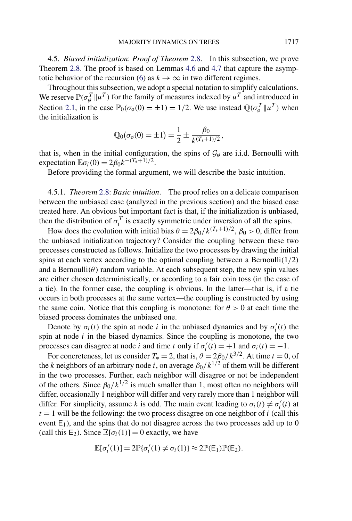<span id="page-23-0"></span>4.5. *Biased initialization*: *Proof of Theorem* [2.8.](#page-7-0) In this subsection, we prove Theorem [2.8.](#page-7-0) The proof is based on Lemmas [4.6](#page-24-0) and [4.7](#page-29-0) that capture the asymp-totic behavior of the recursion [\(6\)](#page-4-0) as  $k \to \infty$  in two different regimes.

Throughout this subsection, we adopt a special notation to simplify calculations. We reserve  $\mathbb{P}(\sigma_{\phi}^T || u^T)$  for the family of measures indexed by  $u^T$  and introduced in Section [2.1,](#page-3-0) in the case  $\mathbb{P}_0(\sigma_0(0) = \pm 1) = 1/2$ . We use instead  $\mathbb{Q}(\sigma_0^T || u^T)$  when the initialization is

$$
\mathbb{Q}_0(\sigma_\emptyset(0) = \pm 1) = \frac{1}{2} \pm \frac{\beta_0}{k^{(T_*+1)/2}},
$$

that is, when in the initial configuration, the spins of  $\mathcal{G}_{\emptyset}$  are i.i.d. Bernoulli with expectation  $\mathbb{E}\sigma_i(0) = 2\beta_0 k^{-(T_*+1)/2}$ .

Before providing the formal argument, we will describe the basic intuition.

4.5.1. *Theorem* [2.8:](#page-7-0) *Basic intuition*. The proof relies on a delicate comparison between the unbiased case (analyzed in the previous section) and the biased case treated here. An obvious but important fact is that, if the initialization is unbiased, then the distribution of  $\sigma_i^T$  is exactly symmetric under inversion of all the spins.

How does the evolution with initial bias  $\theta = 2\beta_0/k^{(T_*+1)/2}$ ,  $\beta_0 > 0$ , differ from the unbiased initialization trajectory? Consider the coupling between these two processes constructed as follows. Initialize the two processes by drawing the initial spins at each vertex according to the optimal coupling between a Bernoulli*(*1*/*2*)* and a Bernoulli $(\theta)$  random variable. At each subsequent step, the new spin values are either chosen deterministically, or according to a fair coin toss (in the case of a tie). In the former case, the coupling is obvious. In the latter—that is, if a tie occurs in both processes at the same vertex—the coupling is constructed by using the same coin. Notice that this coupling is monotone: for  $\theta > 0$  at each time the biased process dominates the unbiased one.

Denote by  $\sigma_i(t)$  the spin at node *i* in the unbiased dynamics and by  $\sigma'_i(t)$  the spin at node *i* in the biased dynamics. Since the coupling is monotone, the two processes can disagree at node *i* and time *t* only if  $\sigma_i'(t) = +1$  and  $\sigma_i(t) = -1$ .

For concreteness, let us consider  $T_* = 2$ , that is,  $\theta = 2\beta_0/k^{3/2}$ . At time  $t = 0$ , of the *k* neighbors of an arbitrary node *i*, on average *β*0*/k*1*/*<sup>2</sup> of them will be different in the two processes. Further, each neighbor will disagree or not be independent of the others. Since  $\beta_0/k^{1/2}$  is much smaller than 1, most often no neighbors will differ, occasionally 1 neighbor will differ and very rarely more than 1 neighbor will differ. For simplicity, assume *k* is odd. The main event leading to  $\sigma_i(t) \neq \sigma'_i(t)$  at  $t = 1$  will be the following: the two process disagree on one neighbor of *i* (call this event  $E_1$ ), and the spins that do not disagree across the two processes add up to 0 (call this E<sub>2</sub>). Since  $\mathbb{E}[\sigma_i(1)] = 0$  exactly, we have

$$
\mathbb{E}[\sigma'_i(1)] = 2\mathbb{P}\{\sigma'_i(1) \neq \sigma_i(1)\} \approx 2\mathbb{P}(\mathsf{E}_1)\mathbb{P}(\mathsf{E}_2).
$$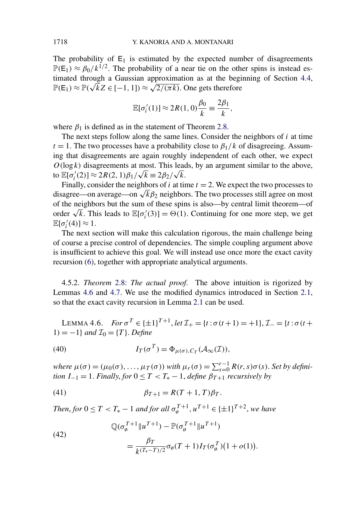<span id="page-24-0"></span>The probability of  $E_1$  is estimated by the expected number of disagreements  $\mathbb{P}(E_1) \approx \beta_0 / k^{1/2}$ . The probability of a near tie on the other spins is instead estimated through a Gaussian approximation as at the beginning of Section [4.4,](#page-18-0) timated through a Gaussian approximation as at the begintle  $\mathbb{P}(E_1) \approx \mathbb{P}(\sqrt{k}Z \in [-1, 1]) \approx \sqrt{2/(\pi k)}$ . One gets therefore

$$
\mathbb{E}[\sigma'_i(1)] \approx 2R(1,0)\frac{\beta_0}{k} \equiv \frac{2\beta_1}{k},
$$

where  $\beta_1$  is defined as in the statement of Theorem [2.8.](#page-7-0)

The next steps follow along the same lines. Consider the neighbors of *i* at time  $t = 1$ . The two processes have a probability close to  $\beta_1/k$  of disagreeing. Assuming that disagreements are again roughly independent of each other, we expect  $O(\log k)$  disagreements at most. This leads, by an argument similar to the above,  $U(\log k)$  disagreements at most. This lead<br>to  $\mathbb{E}[\sigma_i'(2)] \approx 2R(2, 1)\beta_1/\sqrt{k} \equiv 2\beta_2/\sqrt{k}$ .

Finally, consider the neighbors of  $i$  at time  $t = 2$ . We expect the two processes to disagree—on average—on  $\sqrt{k}\beta_2$  neighbors. The two processes still agree on most of the neighbors but the sum of these spins is also—by central limit theorem—of or the neignbors but the sum or these spins is also—by central limit theorem—or order  $\sqrt{k}$ . This leads to  $\mathbb{E}[\sigma_i'(3)] = \Theta(1)$ . Continuing for one more step, we get  $\mathbb{E}[\sigma'_i(4)] \approx 1.$ 

The next section will make this calculation rigorous, the main challenge being of course a precise control of dependencies. The simple coupling argument above is insufficient to achieve this goal. We will instead use once more the exact cavity recursion [\(6\)](#page-4-0), together with appropriate analytical arguments.

4.5.2. *Theorem* [2.8:](#page-7-0) *The actual proof*. The above intuition is rigorized by Lemmas 4.6 and [4.7.](#page-29-0) We use the modified dynamics introduced in Section [2.1,](#page-3-0) so that the exact cavity recursion in Lemma [2.1](#page-4-0) can be used.

LEMMA 4.6. *For*  $\sigma^T \in {\pm 1}^{T+1}$ , *let*  $\mathcal{I}_+ = {\tau : \sigma(t+1) = +1}$ ,  $\mathcal{I}_- = {\tau : \sigma(t+1) = +1}$  $1) = -1$ *} and*  $\mathcal{I}_0 = \{T\}$ *. Define* 

(40) 
$$
I_T(\sigma^T) = \Phi_{\mu(\sigma), C_T}(\mathcal{A}_{\infty}(T)),
$$

*where*  $\mu(\sigma) = (\mu_0(\sigma), \dots, \mu_T(\sigma))$  *with*  $\mu_r(\sigma) = \sum_{s=0}^{r-1} R(r, s) \sigma(s)$ . *Set by definition*  $I_{-1} = 1$ *. Finally, for*  $0 \leq T < T_* - 1$ *, define*  $\beta_{T+1}$  *recursively by* 

*.*

(41) 
$$
\beta_{T+1} = R(T+1, T)\beta_T.
$$

*Then, for*  $0 \le T < T_* - 1$  *and for all*  $\sigma_{\phi}^{T+1}$ ,  $u^{T+1} \in {\{\pm 1\}}^{T+2}$ , we have

(42)  
\n
$$
\mathbb{Q}(\sigma_{\emptyset}^{T+1} \|u^{T+1}) - \mathbb{P}(\sigma_{\emptyset}^{T+1} \|u^{T+1})
$$
\n
$$
= \frac{\beta_T}{k^{(T_*-T)/2}} \sigma_{\emptyset}(T+1) I_T(\sigma_{\emptyset}^T) (1+o(1))
$$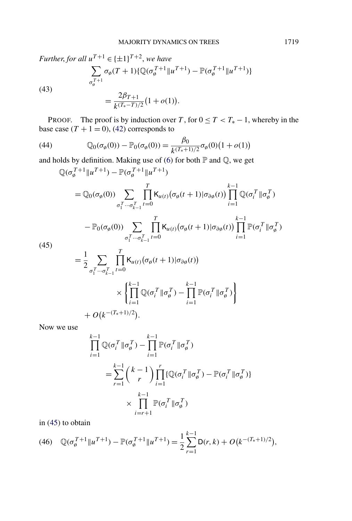<span id="page-25-0"></span>Further, for all 
$$
u^{T+1} \in \{\pm 1\}^{T+2}
$$
, we have

\n
$$
\sum_{\sigma_{\emptyset}^{T+1}} \sigma_{\emptyset}(T+1) \{ \mathbb{Q}(\sigma_{\emptyset}^{T+1} \| u^{T+1}) - \mathbb{P}(\sigma_{\emptyset}^{T+1} \| u^{T+1}) \}
$$
\n(43)

\n
$$
= \frac{2\beta_{T+1}}{k^{(T_{*}-T)/2}} \big( 1 + o(1) \big).
$$

PROOF. The proof is by induction over *T*, for  $0 \le T < T_* - 1$ , whereby in the base case  $(T + 1 = 0)$ , [\(42\)](#page-24-0) corresponds to

(44) 
$$
\mathbb{Q}_0(\sigma_\emptyset(0)) - \mathbb{P}_0(\sigma_\emptyset(0)) = \frac{\beta_0}{k^{(T_*+1)/2}} \sigma_\emptyset(0) (1 + o(1))
$$

and holds by definition. Making use of [\(6\)](#page-4-0) for both  $\mathbb P$  and  $\mathbb Q$ , we get

$$
\mathbb{Q}(\sigma_{\theta}^{T+1}||u^{T+1}) - \mathbb{P}(\sigma_{\theta}^{T+1}||u^{T+1})
$$
\n
$$
= \mathbb{Q}_{0}(\sigma_{\theta}(0)) \sum_{\sigma_{1}^{T}\cdots\sigma_{k-1}^{T}} \prod_{t=0}^{T} \mathsf{K}_{u(t)}(\sigma_{\theta}(t+1)|\sigma_{\partial\theta}(t)) \prod_{i=1}^{k-1} \mathbb{Q}(\sigma_{i}^{T}||\sigma_{\theta}^{T})
$$
\n
$$
- \mathbb{P}_{0}(\sigma_{\theta}(0)) \sum_{\sigma_{1}^{T}\cdots\sigma_{k-1}^{T}} \prod_{t=0}^{T} \mathsf{K}_{u(t)}(\sigma_{\theta}(t+1)|\sigma_{\partial\theta}(t)) \prod_{i=1}^{k-1} \mathbb{P}(\sigma_{i}^{T}||\sigma_{\theta}^{T})
$$
\n45)\n
$$
= \frac{1}{2} \sum_{\sigma_{1}^{T}\cdots\sigma_{k-1}^{T}} \prod_{t=0}^{T} \mathsf{K}_{u(t)}(\sigma_{\theta}(t+1)|\sigma_{\partial\theta}(t))
$$

 $\left(4\right)$ 

$$
\begin{aligned}\n& \frac{1}{2} \sum_{\sigma_1^T \cdots \sigma_{k-1}^T} \prod_{t=0}^T \mathsf{K}_{u(t)}(\sigma_{\emptyset}(t+1)|\sigma_{\partial \emptyset}(t)) \\
& \times \left\{ \prod_{i=1}^{k-1} \mathbb{Q}(\sigma_i^T || \sigma_{\emptyset}^T) - \prod_{i=1}^{k-1} \mathbb{P}(\sigma_i^T || \sigma_{\emptyset}^T) \right\} \\
& + O\big(k^{-(T_*+1)/2}\big).\n\end{aligned}
$$

Now we use

$$
\prod_{i=1}^{k-1} \mathbb{Q}(\sigma_i^T \| \sigma_{\emptyset}^T) - \prod_{i=1}^{k-1} \mathbb{P}(\sigma_i^T \| \sigma_{\emptyset}^T)
$$
\n
$$
= \sum_{r=1}^{k-1} {k-1 \choose r} \prod_{i=1}^r \{ \mathbb{Q}(\sigma_i^T \| \sigma_{\emptyset}^T) - \mathbb{P}(\sigma_i^T \| \sigma_{\emptyset}^T) \}
$$
\n
$$
\times \prod_{i=r+1}^{k-1} \mathbb{P}(\sigma_i^T \| \sigma_{\emptyset}^T)
$$

in (45) to obtain

(46) 
$$
\mathbb{Q}(\sigma_{\emptyset}^{T+1}||u^{T+1}) - \mathbb{P}(\sigma_{\emptyset}^{T+1}||u^{T+1}) = \frac{1}{2}\sum_{r=1}^{k-1}D(r,k) + O(k^{-(T_{*}+1)/2}),
$$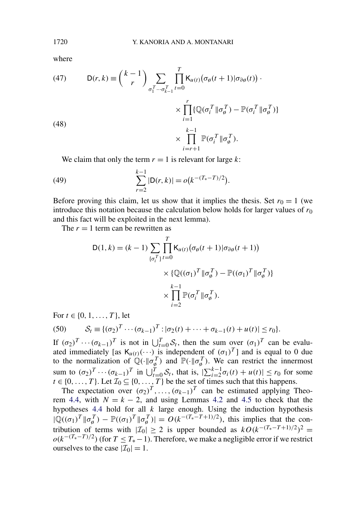where

(47) 
$$
D(r,k) = {k-1 \choose r} \sum_{\sigma_1^T \cdots \sigma_{k-1}^T} \prod_{t=0}^T K_{u(t)} (\sigma_\emptyset(t+1) | \sigma_{\partial\emptyset}(t)) \cdot \times \prod_{i=1}^r \{ \mathbb{Q}(\sigma_i^T || \sigma_\emptyset^T) - \mathbb{P}(\sigma_i^T || \sigma_\emptyset^T) \} \times \prod_{i=r+1}^k \mathbb{P}(\sigma_i^T || \sigma_\emptyset^T).
$$

We claim that only the term  $r = 1$  is relevant for large  $k$ :

(49) 
$$
\sum_{r=2}^{k-1} |D(r, k)| = o(k^{-(T_*-T)/2}).
$$

Before proving this claim, let us show that it implies the thesis. Set  $r_0 = 1$  (we introduce this notation because the calculation below holds for larger values of  $r_0$ and this fact will be exploited in the next lemma).

The  $r = 1$  term can be rewritten as

$$
D(1,k) = (k-1) \sum_{\{\sigma_i^T\}} \prod_{t=0}^T K_{u(t)} (\sigma_\emptyset(t+1) | \sigma_{\partial\emptyset}(t+1))
$$

$$
\times \{ \mathbb{Q}((\sigma_1)^T || \sigma_\emptyset^T) - \mathbb{P}((\sigma_1)^T || \sigma_\emptyset^T) \}
$$

$$
\times \prod_{i=2}^{k-1} \mathbb{P}(\sigma_i^T || \sigma_\emptyset^T).
$$

For  $t \in \{0, 1, \ldots, T\}$ , let

(50) 
$$
S_t \equiv \{ (\sigma_2)^T \cdots (\sigma_{k-1})^T : |\sigma_2(t) + \cdots + \sigma_{k-1}(t) + u(t)| \leq r_0 \}.
$$

If  $(\sigma_2)^T \cdots (\sigma_{k-1})^T$  is not in  $\bigcup_{t=0}^T S_t$ , then the sum over  $(\sigma_1)^T$  can be evaluated immediately [as  $\mathsf{K}_{u(t)}(\cdots)$  is independent of  $(\sigma_1)^T$ ] and is equal to 0 due to the normalization of  $\mathbb{Q}(\cdot|\sigma_{\phi}^T)$  and  $\mathbb{P}(\cdot|\sigma_{\phi}^T)$ . We can restrict the innermost sum to  $(\sigma_2)^T \cdots (\sigma_{k-1})^T$  in  $\bigcup_{t=0}^T S_t$ , that is,  $\bigl| \sum_{i=2}^{k-1} \sigma_i(t) + u(t) \bigr| \le r_0$  for some  $t \in \{0, ..., T\}$ . Let  $\mathcal{I}_0 \subseteq \{0, ..., T\}$  be the set of times such that this happens.

The expectation over  $(\sigma_2)^T$ , ...,  $(\sigma_{k-1})^T$  can be estimated applying Theo-rem [4.4,](#page-17-0) with  $N = k - 2$ , and using Lemmas [4.2](#page-15-0) and [4.5](#page-19-0) to check that the hypotheses [4.4](#page-17-0) hold for all *k* large enough. Using the induction hypothesis  $|\mathbb{Q}((\sigma_1)^T || \sigma_{\emptyset}^T) - \mathbb{P}((\sigma_1)^T || \sigma_{\emptyset}^T)| = O(k^{-(T_*-T+1)/2})$ , this implies that the contribution of terms with  $|\mathcal{I}_0| \geq 2$  is upper bounded as  $kO(k^{-(T_*-T+1)/2})^2$  =  $o(k^{-(T_*-T)/2})$  (for  $T \leq T_*-1$ ). Therefore, we make a negligible error if we restrict ourselves to the case  $|\mathcal{I}_0| = 1$ .

<span id="page-26-0"></span>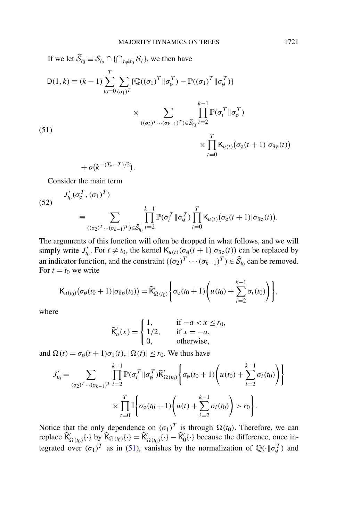<span id="page-27-0"></span>If we let 
$$
\widehat{S}_{t_0} \equiv S_{t_0} \cap \{ \bigcap_{t \neq t_0} \overline{S}_t \}
$$
, we then have  
\n
$$
D(1, k) \equiv (k - 1) \sum_{t_0 = 0}^T \sum_{(\sigma_1)^T} \{ \mathbb{Q}((\sigma_1)^T || \sigma_\emptyset^T) - \mathbb{P}((\sigma_1)^T || \sigma_\emptyset^T) \}
$$
\n
$$
\times \sum_{((\sigma_2)^T \cdots (\sigma_{k-1})^T) \in \widehat{S}_{t_0}} \prod_{i=2}^{k-1} \mathbb{P}(\sigma_i^T || \sigma_\emptyset^T)
$$
\n(51)\n
$$
\times \prod_{t=0}^T K_{u(t)} (\sigma_\emptyset(t+1) | \sigma_{\partial \emptyset}(t))
$$

$$
+o(k^{-(T_*-T)/2}).
$$

Consider the main term

(52) 
$$
J'_{t_0}(\sigma_\emptyset^T, (\sigma_1)^T)
$$
  
\n
$$
\equiv \sum_{((\sigma_2)^T \cdots (\sigma_{k-1})^T) \in \widehat{\mathcal{S}}_{t_0}} \prod_{i=2}^{k-1} \mathbb{P}(\sigma_i^T \| \sigma_\emptyset^T) \prod_{t=0}^T \mathsf{K}_{u(t)} (\sigma_\emptyset(t+1) | \sigma_{\partial \emptyset}(t)).
$$

The arguments of this function will often be dropped in what follows, and we will simply write *J*<sub>*t*0</sub>. For  $t \neq t_0$ , the kernel  $K_{u(t)}(\sigma_\theta(t+1)|\sigma_{\partial\theta}(t))$  can be replaced by an indicator function, and the constraint  $((\sigma_2)^T \cdots (\sigma_{k-1})^T) \in \widehat{S}_{t_0}$  can be removed. For  $t = t_0$  we write

$$
\mathsf{K}_{u(t_0)}\big(\sigma_\emptyset(t_0+1)|\sigma_{\partial\emptyset}(t_0)\big)=\widehat{\mathsf{K}}'_{\Omega(t_0)}\bigg\{\sigma_\emptyset(t_0+1)\bigg(u(t_0)+\sum_{i=2}^{k-1}\sigma_i(t_0)\bigg)\bigg\},
$$

where

$$
\widehat{\mathsf{K}}_a'(x) = \begin{cases} 1, & \text{if } -a < x \le r_0, \\ 1/2, & \text{if } x = -a, \\ 0, & \text{otherwise,} \end{cases}
$$

and  $\Omega(t) = \sigma_{\emptyset}(t+1)\sigma_1(t)$ ,  $|\Omega(t)| \le r_0$ . We thus have

$$
J'_{t_0} = \sum_{(\sigma_2)^T \dots (\sigma_{k-1})^T} \prod_{i=2}^{k-1} \mathbb{P}(\sigma_i^T || \sigma_{\emptyset}^T) \widehat{\mathsf{K}}'_{\Omega(t_0)} \left\{ \sigma_{\emptyset}(t_0 + 1) \left( u(t_0) + \sum_{i=2}^{k-1} \sigma_i(t_0) \right) \right\}
$$

$$
\times \prod_{t=0}^T \mathbb{I} \left\{ \sigma_{\emptyset}(t_0 + 1) \left( u(t) + \sum_{i=2}^{k-1} \sigma_i(t_0) \right) > r_0 \right\}.
$$

Notice that the only dependence on  $(\sigma_1)^T$  is through  $\Omega(t_0)$ . Therefore, we can replace  $\widehat{\mathsf{K}}'_{\Omega(t_0)}\{\cdot\}$  by  $\widehat{\mathsf{K}}_{\Omega(t_0)}\{\cdot\} = \widehat{\mathsf{K}}'_{\Omega(t_0)}\{\cdot\} - \widehat{\mathsf{K}}'_{0}\{\cdot\}$  because the difference, once integrated over  $(\sigma_1)^T$  as in (51), vanishes by the normalization of  $\mathbb{Q}(\cdot | \sigma_{\theta}^T)$  and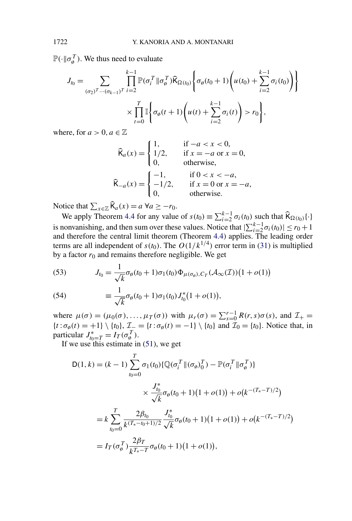$\mathbb{P}(\cdot \| \sigma_{\emptyset}^T)$ . We thus need to evaluate

$$
J_{t_0} = \sum_{(\sigma_2)^T \dots (\sigma_{k-1})^T} \prod_{i=2}^{k-1} \mathbb{P}(\sigma_i^T \| \sigma_{\emptyset}^T) \widehat{\mathsf{K}}_{\Omega(t_0)} \left\{ \sigma_{\emptyset}(t_0 + 1) \left( u(t_0) + \sum_{i=2}^{k-1} \sigma_i(t_0) \right) \right\}
$$

$$
\times \prod_{t=0}^T \mathbb{I} \left\{ \sigma_{\emptyset}(t+1) \left( u(t) + \sum_{i=2}^{k-1} \sigma_i(t) \right) > r_0 \right\},
$$

where, for  $a > 0$ ,  $a \in \mathbb{Z}$ 

$$
\widehat{\mathsf{K}}_a(x) = \begin{cases}\n1, & \text{if } -a < x < 0, \\
1/2, & \text{if } x = -a \text{ or } x = 0, \\
0, & \text{otherwise,} \n\end{cases}
$$
\n
$$
\widehat{\mathsf{K}}_{-a}(x) = \begin{cases}\n-1, & \text{if } 0 < x < -a, \\
-1/2, & \text{if } x = 0 \text{ or } x = -a, \\
0, & \text{otherwise.}\n\end{cases}
$$

Notice that  $\sum_{x \in \mathbb{Z}} \widehat{\mathsf{K}}_a(x) = a \ \forall a \geq -r_0$ .

We apply Theorem [4.4](#page-17-0) for any value of  $s(t_0) = \sum_{i=2}^{k-1} \sigma_i(t_0)$  such that  $\widehat{K}_{\Omega(t_0)}\{\cdot\}$ is nonvanishing, and then sum over these values. Notice that  $|\sum_{i=2}^{k-1} \sigma_i(t_0)| \le r_0 + 1$ and therefore the central limit theorem (Theorem [4.4\)](#page-17-0) applies. The leading order terms are all independent of  $s(t_0)$ . The  $O(1/k^{1/4})$  error term in [\(31\)](#page-18-0) is multiplied by a factor  $r_0$  and remains therefore negligible. We get

(53) 
$$
J_{t_0} = \frac{1}{\sqrt{k}} \sigma_\emptyset(t_0 + 1) \sigma_1(t_0) \Phi_{\mu(\sigma_\emptyset), C_T}(\mathcal{A}_\infty(T)) (1 + o(1))
$$

(54) 
$$
\equiv \frac{1}{\sqrt{k}} \sigma_{\emptyset}(t_0+1) \sigma_1(t_0) J_{t_0}^*(1+o(1)),
$$

where  $\mu(\sigma) = (\mu_0(\sigma), \dots, \mu_T(\sigma))$  with  $\mu_r(\sigma) = \sum_{s=0}^{r-1} R(r, s) \sigma(s)$ , and  $\mathcal{I}_+$  ${t : \sigma_{\emptyset}(t) = +1} \setminus {t_0}, \mathcal{I} = {t : \sigma_{\emptyset}(t) = -1} \setminus {t_0}$  and  $\mathcal{I}_0 = {t_0}.$  Notice that, in particular  $J_{t_0=T}^* = I_T(\sigma_{\emptyset}^T)$ .

If we use this estimate in [\(51\)](#page-27-0), we get

$$
D(1, k) = (k - 1) \sum_{t_0=0}^{T} \sigma_1(t_0) \{ \mathbb{Q}(\sigma_i^T \| (\sigma_\emptyset)_0^T) - \mathbb{P}(\sigma_i^T \| \sigma_\emptyset^T) \}
$$

$$
\times \frac{J_{t_0}^*}{\sqrt{k}} \sigma_\emptyset(t_0 + 1) (1 + o(1)) + o(k^{-(T_* - T)/2})
$$

$$
= k \sum_{t_0=0}^{T} \frac{2\beta_{t_0}}{k^{(T_* - t_0 + 1)/2}} \frac{J_{t_0}^*}{\sqrt{k}} \sigma_\emptyset(t_0 + 1) (1 + o(1)) + o(k^{-(T_* - T)/2})
$$

$$
= I_T(\sigma_\emptyset^T) \frac{2\beta_T}{k^{T_* - T}} \sigma_\emptyset(t_0 + 1) (1 + o(1)),
$$

<span id="page-28-0"></span>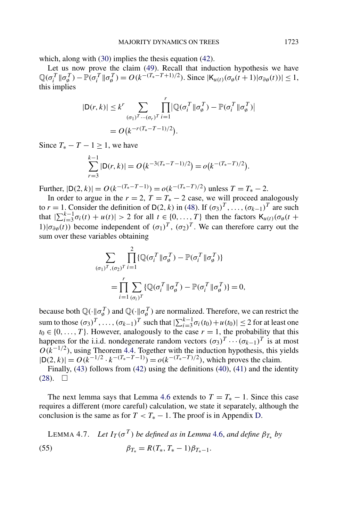<span id="page-29-0"></span>which, along with [\(30\)](#page-16-0) implies the thesis equation [\(42\)](#page-24-0).

Let us now prove the claim [\(49\)](#page-26-0). Recall that induction hypothesis we have  $\mathbb{Q}(\sigma_i^T || \sigma_{\phi}^T) - \mathbb{P}(\sigma_i^T || \sigma_{\phi}^T) = O(k^{-(T_*-T+1)/2})$ . Since  $|\mathsf{K}_{u(t)}(\sigma_{\phi}(t+1)|| \sigma_{\partial \phi}(t))| \leq 1$ , this implies

$$
|\mathsf{D}(r,k)| \leq k^r \sum_{(\sigma_1)^T \cdots (\sigma_r)^T} \prod_{i=1}^r |\mathbb{Q}(\sigma_i^T \| \sigma_{\emptyset}^T) - \mathbb{P}(\sigma_i^T \| \sigma_{\emptyset}^T)|
$$
  
=  $O(k^{-r(T_*-T-1)/2}).$ 

Since  $T_* - T - 1 \geq 1$ , we have

$$
\sum_{r=3}^{k-1} |D(r, k)| = O(k^{-3(T_*-T-1)/2}) = o(k^{-(T_*-T)/2}).
$$

 $Further, |D(2, k)| = O(k^{-(T_*-T-1)}) = o(k^{-(T_*-T)/2})$  unless  $T = T_* - 2$ .

In order to argue in the  $r = 2$ ,  $T = T_* - 2$  case, we will proceed analogously to  $r = 1$ . Consider the definition of D(2*, k)* in [\(48\)](#page-26-0). If  $(\sigma_3)^T, \ldots, (\sigma_{k-1})^T$  are such that  $|\sum_{i=3}^{k-1} \sigma_i(t) + u(t)| > 2$  for all  $t \in \{0, ..., T\}$  then the factors  $K_{u(t)}(\sigma_\emptyset(t +$ 1) $|\sigma_{\partial g}(t)|$  become independent of  $(\sigma_1)^T$ ,  $(\sigma_2)^T$ . We can therefore carry out the sum over these variables obtaining

$$
\sum_{(\sigma_1)^T, (\sigma_2)^T} \prod_{i=1}^2 \{ \mathbb{Q}(\sigma_i^T \| \sigma_{\emptyset}^T) - \mathbb{P}(\sigma_i^T \| \sigma_{\emptyset}^T) \}
$$
  
= 
$$
\prod_{i=1}^r \sum_{(\sigma_i)^T} \{ \mathbb{Q}(\sigma_i^T \| \sigma_{\emptyset}^T) - \mathbb{P}(\sigma_i^T \| \sigma_{\emptyset}^T) \} = 0,
$$

because both  $\mathbb{Q}(\cdot \| \sigma_{\emptyset}^T)$  and  $\mathbb{Q}(\cdot \| \sigma_{\emptyset}^T)$  are normalized. Therefore, we can restrict the sum to those  $(\sigma_3)^T$ , ...,  $(\sigma_{k-1})^T$  such that  $|\sum_{i=3}^{k-1} \sigma_i(t_0) + u(t_0)| \le 2$  for at least one  $t_0 \in \{0, \ldots, T\}$ . However, analogously to the case  $r = 1$ , the probability that this happens for the i.i.d. nondegenerate random vectors  $(\sigma_3)^T \cdots (\sigma_{k-1})^T$  is at most  $O(k^{-1/2})$ , using Theorem [4.4.](#page-17-0) Together with the induction hypothesis, this yields  $|D(2, k)| = O(k^{-1/2} \cdot k^{-(T_*-T-1)}) = o(k^{-(T_*-T)/2})$ , which proves the claim.

Finally, [\(43\)](#page-25-0) follows from [\(42\)](#page-24-0) using the definitions [\(40\)](#page-24-0), [\(41\)](#page-24-0) and the identity  $(28). \square$  $(28). \square$ 

The next lemma says that Lemma [4.6](#page-24-0) extends to  $T = T_* - 1$ . Since this case requires a different (more careful) calculation, we state it separately, although the conclusion is the same as for  $T < T_* - 1$ . The proof is in Appendix [D.](#page-46-0)

LEMMA 4.7. *Let*  $I_T(\sigma^T)$  *be defined as in Lemma [4.6,](#page-24-0) and define*  $\beta_{T_{\alpha}}$  *by* (55)  $\beta_{T_*} = R(T_*, T_* - 1)\beta_{T_* - 1}.$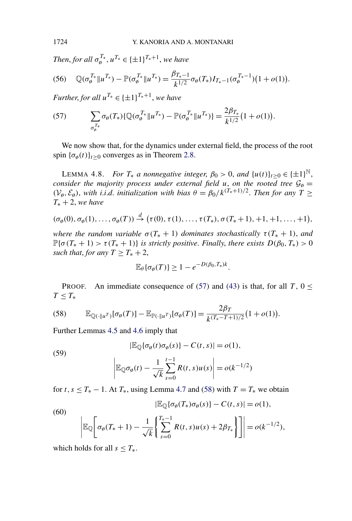*Then, for all*  $\sigma_{\phi}^{T_*}$ ,  $u^{T_*} \in {\{\pm 1\}}^{T_*+1}$ , we have

$$
(56) \quad \mathbb{Q}(\sigma_{\emptyset}^{T_*} \| u^{T_*}) - \mathbb{P}(\sigma_{\emptyset}^{T_*} \| u^{T_*}) = \frac{\beta_{T_*-1}}{k^{1/2}} \sigma_{\emptyset}(T_*) I_{T_*-1}(\sigma_{\emptyset}^{T_*-1})(1+o(1)).
$$

*Further, for all*  $u^{T_*} \in {\{\pm 1\}}^{T_*+1}$ , *we have* 

(57) 
$$
\sum_{\sigma_{\theta}^{T_*}} \sigma_{\theta}(T_*) \{ \mathbb{Q}(\sigma_{\theta}^{T_*} \| u^{T_*}) - \mathbb{P}(\sigma_{\theta}^{T_*} \| u^{T_*}) \} = \frac{2\beta_{T_*}}{k^{1/2}} (1 + o(1)).
$$

We now show that, for the dynamics under external field, the process of the root spin  $\{\sigma_{\emptyset}(t)\}_{t\geq 0}$  converges as in Theorem [2.8.](#page-7-0)

LEMMA 4.8. *For*  $T_*$  *a nonnegative integer*,  $\beta_0 > 0$ , *and*  $\{u(t)\}_{t>0} \in {\pm 1\}^{\mathbb{N}}$ , *consider the majority process under external field u, on the rooted tree*  $G_{\emptyset} =$  $(V_{\emptyset}, \mathcal{E}_{\emptyset})$ , *with i.i.d. initialization with bias*  $\theta = \beta_0 / k^{(T_*+1)/2}$ . *Then for any*  $T \geq$ *T*<sup>∗</sup> + 2, *we have*

$$
(\sigma_{\emptyset}(0), \sigma_{\emptyset}(1), \ldots, \sigma_{\emptyset}(T)) \stackrel{d}{\rightarrow} (\tau(0), \tau(1), \ldots, \tau(T_*), \sigma(T_*+1), +1, +1, \ldots, +1),
$$

*where the random variable*  $\sigma(T_* + 1)$  *dominates stochastically*  $\tau(T_* + 1)$ *, and*  $\mathbb{P}\{\sigma(T_*+1) > \tau(T_*+1)\}\$  *is strictly positive. Finally, there exists*  $D(\beta_0, T_*) > 0$ *such that, for any*  $T \geq T_* + 2$ ,

$$
\mathbb{E}_{\theta}\{\sigma_{\emptyset}(T)\} \geq 1 - e^{-D(\beta_0,T_*)k}.
$$

PROOF. An immediate consequence of (57) and [\(43\)](#page-25-0) is that, for all  $T$ ,  $0 \le$  $T \leq T_*$ 

(58) 
$$
\mathbb{E}_{\mathbb{Q}(\cdot||u^T)}[\sigma_{\emptyset}(T)] - \mathbb{E}_{\mathbb{P}(\cdot||u^T)}[\sigma_{\emptyset}(T)] = \frac{2\beta_T}{k^{(T_*-T+1)/2}}(1+o(1)).
$$

Further Lemmas [4.5](#page-19-0) and [4.6](#page-24-0) imply that

(59)  

$$
|\mathbb{E}_{\mathbb{Q}}\{\sigma_{\emptyset}(t)\sigma_{\emptyset}(s)\} - C(t,s)| = o(1),
$$

$$
\left|\mathbb{E}_{\mathbb{Q}}\sigma_{\emptyset}(t) - \frac{1}{\sqrt{k}}\sum_{s=0}^{t-1}R(t,s)u(s)\right| = o(k^{-1/2})
$$

for *t*,  $s \leq T_* - 1$ . At  $T_*$ , using Lemma [4.7](#page-29-0) and (58) with  $T = T_*$  we obtain

(60)  

$$
|\mathbb{E}_{\mathbb{Q}}\{\sigma_{\emptyset}(T_*)\sigma_{\emptyset}(s)\} - C(t,s)| = o(1),
$$

$$
\left|\mathbb{E}_{\mathbb{Q}}\left[\sigma_{\emptyset}(T_*+1) - \frac{1}{\sqrt{k}} \left\{\sum_{s=0}^{T_*-1} R(t,s)u(s) + 2\beta_{T_*}\right\}\right]\right| = o(k^{-1/2}),
$$

which holds for all  $s \leq T_*$ .

<span id="page-30-0"></span>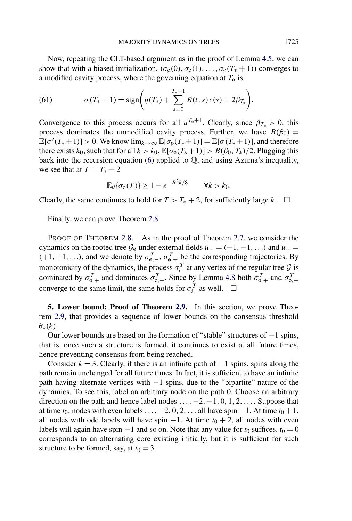<span id="page-31-0"></span>Now, repeating the CLT-based argument as in the proof of Lemma [4.5,](#page-19-0) we can show that with a biased initialization,  $(\sigma_{\emptyset}(0), \sigma_{\emptyset}(1), \ldots, \sigma_{\emptyset}(T_{*} + 1))$  converges to a modified cavity process, where the governing equation at  $T_*$  is

(61) 
$$
\sigma(T_*+1) = \text{sign}\bigg(\eta(T_*) + \sum_{s=0}^{T_*-1} R(t,s)\tau(s) + 2\beta_{T_*}\bigg).
$$

Convergence to this process occurs for all  $u^{T_*+1}$ . Clearly, since  $\beta_{T_*} > 0$ , this process dominates the unmodified cavity process. Further, we have  $B(\beta_0)$  =  $\mathbb{E}[\sigma'(T_*+1)] > 0$ . We know  $\lim_{k \to \infty} \mathbb{E}[\sigma_\theta(T_*+1)] = \mathbb{E}[\sigma(T_*+1)]$ , and therefore there exists  $k_0$ , such that for all  $k > k_0$ ,  $\mathbb{E}[\sigma_\phi(T_*+1)] > B(\beta_0, T_*)/2$ . Plugging this back into the recursion equation  $(6)$  applied to  $\mathbb{Q}$ , and using Azuma's inequality, we see that at  $T = T_* + 2$ 

$$
\mathbb{E}_{\theta}\{\sigma_{\emptyset}(T)\} \ge 1 - e^{-B^2k/8} \qquad \forall k > k_0.
$$

Clearly, the same continues to hold for  $T > T_* + 2$ , for sufficiently large *k*.  $□$ 

Finally, we can prove Theorem [2.8.](#page-7-0)

PROOF OF THEOREM [2.8.](#page-7-0) As in the proof of Theorem [2.7,](#page-6-0) we consider the dynamics on the rooted tree  $\mathcal{G}_{\emptyset}$  under external fields  $u_{-} = (-1, -1, \ldots)$  and  $u_{+} =$  $(+1, +1, \ldots)$ , and we denote by  $\sigma_{\emptyset,-}^T$ ,  $\sigma_{\emptyset,+}^T$  be the corresponding trajectories. By monotonicity of the dynamics, the process  $\sigma_i^T$  at any vertex of the regular tree  $\mathcal{G}$  is dominated by  $\sigma_{\emptyset,+}^T$  and dominates  $\sigma_{\emptyset,-}^T$ . Since by Lemma [4.8](#page-30-0) both  $\sigma_{\emptyset,+}^T$  and  $\sigma_{\emptyset,-}^T$ converge to the same limit, the same holds for  $\sigma_i^T$  as well.  $\Box$ 

**5. Lower bound: Proof of Theorem [2.9.](#page-8-0)** In this section, we prove Theorem [2.9,](#page-8-0) that provides a sequence of lower bounds on the consensus threshold *θ*∗*(k)*.

Our lower bounds are based on the formation of "stable" structures of −1 spins, that is, once such a structure is formed, it continues to exist at all future times, hence preventing consensus from being reached.

Consider  $k = 3$ . Clearly, if there is an infinite path of  $-1$  spins, spins along the path remain unchanged for all future times. In fact, it is sufficient to have an infinite path having alternate vertices with −1 spins, due to the "bipartite" nature of the dynamics. To see this, label an arbitrary node on the path 0. Choose an arbitrary direction on the path and hence label nodes *...,*−2*,*−1*,* 0*,* 1*,* 2*,....* Suppose that at time  $t_0$ , nodes with even labels  $\dots$ ,  $-2$ , 0, 2,  $\dots$  all have spin  $-1$ . At time  $t_0 + 1$ , all nodes with odd labels will have spin  $-1$ . At time  $t_0 + 2$ , all nodes with even labels will again have spin  $-1$  and so on. Note that any value for  $t_0$  suffices.  $t_0 = 0$ corresponds to an alternating core existing initially, but it is sufficient for such structure to be formed, say, at  $t_0 = 3$ .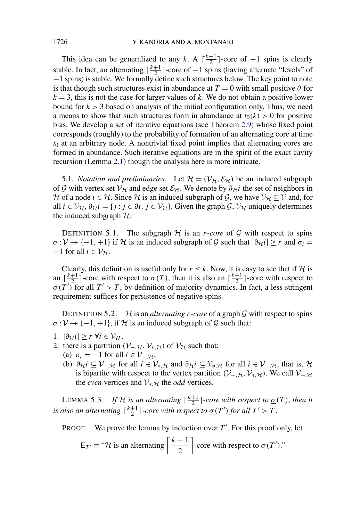<span id="page-32-0"></span>This idea can be generalized to any *k*. A  $\lceil \frac{k+1}{2} \rceil$ -core of −1 spins is clearly stable. In fact, an alternating  $\lceil \frac{k+1}{2} \rceil$ -core of  $-1$  spins (having alternate "levels" of −1 spins) is stable. We formally define such structures below. The key point to note is that though such structures exist in abundance at  $T = 0$  with small positive  $\theta$  for  $k = 3$ , this is not the case for larger values of k. We do not obtain a positive lower bound for  $k > 3$  based on analysis of the initial configuration only. Thus, we need a means to show that such structures form in abundance at  $t<sub>0</sub>(k) > 0$  for positive bias. We develop a set of iterative equations (see Theorem [2.9\)](#page-8-0) whose fixed point corresponds (roughly) to the probability of formation of an alternating core at time *t*<sup>0</sup> at an arbitrary node. A nontrivial fixed point implies that alternating cores are formed in abundance. Such iterative equations are in the spirit of the exact cavity recursion (Lemma [2.1\)](#page-4-0) though the analysis here is more intricate.

5.1. *Notation and preliminaries*. Let  $\mathcal{H} = (\mathcal{V}_{\mathcal{H}}, \mathcal{E}_{\mathcal{H}})$  be an induced subgraph of G with vertex set  $V_H$  and edge set  $\mathcal{E}_H$ . We denote by  $\partial_H i$  the set of neighbors in H of a node *i*  $\in$  H. Since H is an induced subgraph of G, we have  $V_H \subseteq V$  and, for all  $i \in V_H$ ,  $\partial_H i = \{j : j \in \partial i, j \in V_H\}$ . Given the graph  $\mathcal{G}, V_H$  uniquely determines the induced subgraph  $H$ .

DEFINITION 5.1. The subgraph  $H$  is an *r*-*core* of  $G$  with respect to spins  $\sigma: V \to \{-1, +1\}$  if H is an induced subgraph of G such that  $|\partial_H i| \geq r$  and  $\sigma_i =$  $-1$  for all  $i \in V_{\mathcal{H}}$ .

Clearly, this definition is useful only for  $r \leq k$ . Now, it is easy to see that if H is an  $\lceil \frac{k+1}{2} \rceil$ -core with respect to  $\underline{\sigma}(T)$ , then it is also an  $\lceil \frac{k+1}{2} \rceil$ -core with respect to  $\underline{\sigma}(T')$  for all  $T' > T$ , by definition of majority dynamics. In fact, a less stringent requirement suffices for persistence of negative spins.

DEFINITION 5.2.  $\mathcal{H}$  is an *alternating r-core* of a graph  $\mathcal{G}$  with respect to spins  $\sigma : V \to \{-1, +1\}$ , if H is an induced subgraph of G such that:

- 1.  $|\partial_{\mathcal{H}}i|$  ≥ *r* ∀*i* ∈  $\mathcal{V}_H$ ,
- 2. there is a partition  $(V_-, \mathcal{H}, V_*, \mathcal{H})$  of  $V_H$  such that:
	- (a)  $\sigma_i = -1$  for all  $i \in \mathcal{V}_{-, \mathcal{H}}$ ,
		- (b)  $\partial_H i \subseteq V_{-,H}$  for all  $i \in V_{*,H}$  and  $\partial_H i \subseteq V_{*,H}$  for all  $i \in V_{-,H}$ , that is, H is bipartite with respect to the vertex partition  $(V_{-}, \mathcal{H}, V_{*,} \mathcal{H})$ . We call  $V_{-}, \mathcal{H}$ the *even* vertices and  $V_{\ast, \mathcal{H}}$  the *odd* vertices.

LEMMA 5.3. *If*  $H$  *is an alternating*  $\lceil \frac{k+1}{2} \rceil$ -core with respect to  $\underline{\sigma}(T)$ , then it *is also an alternating*  $\lceil \frac{k+1}{2} \rceil$ -core with respect to  $\underline{\sigma}(T')$  for all  $T' > T$ .

PROOF. We prove the lemma by induction over  $T'$ . For this proof only, let

$$
E_{T'} \equiv \text{``} \mathcal{H}
$$
 is an alternating  $\left\lceil \frac{k+1}{2} \right\rceil$ -core with respect to  $\underline{\sigma}(T')$ ."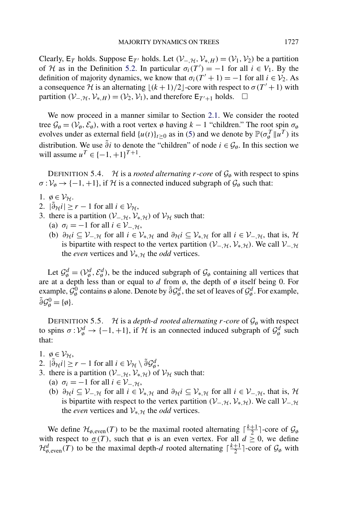<span id="page-33-0"></span>Clearly,  $E_T$  holds. Suppose  $E_{T'}$  holds. Let  $(\mathcal{V}_{-,H},\mathcal{V}_{*,H}) = (\mathcal{V}_1,\mathcal{V}_2)$  be a partition of *H* as in the Definition [5.2.](#page-32-0) In particular  $\sigma_i(T') = -1$  for all  $i \in V_1$ . By the definition of majority dynamics, we know that  $\sigma_i(T' + 1) = -1$  for all  $i \in V_2$ . As a consequence H is an alternating  $\lfloor (k+1)/2 \rfloor$ -core with respect to  $\sigma(T'+1)$  with partition  $(V_{-,H}, V_{*,H}) = (V_2, V_1)$ , and therefore  $E_{T'+1}$  holds.  $\Box$ 

We now proceed in a manner similar to Section [2.1.](#page-3-0) We consider the rooted tree  $\mathcal{G}_{\emptyset} = (\mathcal{V}_{\emptyset}, \mathcal{E}_{\emptyset})$ , with a root vertex  $\emptyset$  having  $k - 1$  "children." The root spin  $\sigma_{\emptyset}$ evolves under as external field  $\{u(t)\}_{t\geq 0}$  as in [\(5\)](#page-3-0) and we denote by  $\mathbb{P}(\sigma_{\phi}^T || u^T)$  its distribution. We use  $\tilde{\partial}$ *i* to denote the "children" of node  $i \in \mathcal{G}_{\emptyset}$ . In this section we will assume  $u^T$  ∈ {−1, +1}<sup>T+1</sup>.

DEFINITION 5.4. H is a *rooted alternating r-core* of  $\mathcal{G}_{\emptyset}$  with respect to spins  $\sigma : \mathcal{V}_{\emptyset} \to \{-1, +1\}$ , if H is a connected induced subgraph of  $\mathcal{G}_{\emptyset}$  such that:

- 1.  $\emptyset \in \mathcal{V}_{\mathcal{H}}$ .
- 2.  $|\tilde{\partial}_{\mathcal{H}} i| \ge r 1$  for all  $i \in \mathcal{V}_{\mathcal{H}}$ ,
- 3. there is a partition  $(V_{-}, \mathcal{H}, V_{*,\mathcal{H}})$  of  $V_{\mathcal{H}}$  such that:
	- (a)  $\sigma_i = -1$  for all  $i \in \mathcal{V}_{-, \mathcal{H}}$ ,
	- (b)  $\partial_H i \subseteq V_{-,H}$  for all  $i \in V_{*,H}$  and  $\partial_H i \subseteq V_{*,H}$  for all  $i \in V_{-,H}$ , that is, H is bipartite with respect to the vertex partition  $(V_-, \mathcal{H}, V_*, \mathcal{H})$ . We call  $V_-, \mathcal{H}$ the *even* vertices and  $V_{*H}$  the *odd* vertices.

Let  $\mathcal{G}_{\emptyset}^d = (\mathcal{V}_{\emptyset}^d, \mathcal{E}_{\emptyset}^d)$ , be the induced subgraph of  $\mathcal{G}_{\emptyset}$  containing all vertices that are at a depth less than or equal to  $d$  from  $\phi$ , the depth of  $\phi$  itself being 0. For example,  $\mathcal{G}_{\emptyset}^0$  contains ø alone. Denote by  $\tilde{\partial} \mathcal{G}_{\emptyset}^d$ , the set of leaves of  $\mathcal{G}_{\emptyset}^d$ . For example,  $\tilde{\partial}\mathcal{G}_{\emptyset}^{0} = {\emptyset}.$ 

DEFINITION 5.5. H is a *depth-d rooted alternating*  $r$ *-core* of  $\mathcal{G}_{\emptyset}$  with respect to spins  $\sigma: V^d_{\emptyset} \to \{-1, +1\}$ , if H is an connected induced subgraph of  $\mathcal{G}^d_{\emptyset}$  such that:

- 1.  $\emptyset \in \mathcal{V}_{\mathcal{H}}$ ,
- 2.  $|\tilde{\partial}_{\mathcal{H}} i| \geq r 1$  for all  $i \in \mathcal{V}_{\mathcal{H}} \setminus \tilde{\partial} \mathcal{G}_{\emptyset}^d$ ,
- 3. there is a partition  $(V_{-},\mathcal{H},\mathcal{V}_{*,\mathcal{H}})$  of  $\mathcal{V}_{\mathcal{H}}$  such that:
	- (a)  $\sigma_i = -1$  for all  $i \in \mathcal{V}_{-, \mathcal{H}}$ ,
	- (b)  $\partial_H i \subseteq V_{-,H}$  for all  $i \in V_{*,H}$  and  $\partial_H i \subseteq V_{*,H}$  for all  $i \in V_{-,H}$ , that is, H is bipartite with respect to the vertex partition  $(V_{-},\mathcal{H},\mathcal{V}_{*,\mathcal{H}})$ . We call  $V_{-},\mathcal{H}$ the *even* vertices and  $V_{*,\mathcal{H}}$  the *odd* vertices.

We define  $\mathcal{H}_{\emptyset, \text{even}}(T)$  to be the maximal rooted alternating  $\lceil \frac{k+1}{2} \rceil$ -core of  $\mathcal{G}_{\emptyset}$ with respect to  $\sigma(T)$ , such that  $\phi$  is an even vertex. For all  $d \geq 0$ , we define  $\mathcal{H}_{\phi,even}^d(T)$  to be the maximal depth-*d* rooted alternating  $\lceil \frac{k+1}{2} \rceil$ -core of  $\mathcal{G}_{\phi}$  with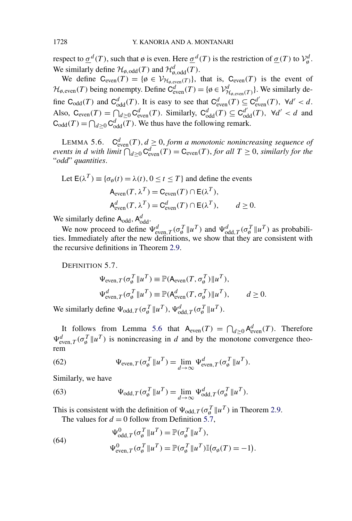respect to  $\underline{\sigma}^d(T)$ , such that  $\emptyset$  is even. Here  $\underline{\sigma}^d(T)$  is the restriction of  $\underline{\sigma}(T)$  to  $\mathcal{V}_{\emptyset}^d$ . We similarly define  $\mathcal{H}_{\emptyset, \text{odd}}(T)$  and  $\mathcal{H}_{\emptyset, \text{odd}}^d(T)$ .

We define  $C_{even}(T) = \{ \emptyset \in \mathcal{V}_{\mathcal{H}_{\emptyset,even}(T)} \}$ , that is,  $C_{even}(T)$  is the event of  $\mathcal{H}_{\phi, \text{even}}(T)$  being nonempty. Define  $C^d_{\text{even}}(T) = \{\phi \in \mathcal{V}_{\mathcal{H}_{\phi, \text{even}}(T)}^d\}$ . We similarly define  $C_{odd}(T)$  and  $C_{odd}^d(T)$ . It is easy to see that  $C_{even}^d(T) \subseteq C_{even}^{d'}(T)$ ,  $\forall d' < d$ . Also,  $C_{\text{even}}(T) = \bigcap_{d \geq 0} C_{\text{even}}^d(T)$ . Similarly,  $C_{\text{odd}}^d(T) \subseteq C_{\text{odd}}^d(T)$ ,  $\forall d' < d$  and  $C_{\text{odd}}(T) = \bigcap_{d \geq 0} C_{\text{odd}}^d(T)$ . We thus have the following remark.

LEMMA 5.6.  $C^d_{even}(T), d \geq 0$ , *form a monotonic nonincreasing sequence of events in d with limit*  $\bigcap_{d\geq 0} C^d_{even}(T) = C_{even}(T)$ , *for all*  $T \geq 0$ , *similarly for the* "*odd*" *quantities*.

Let  $E(\lambda^T) \equiv {\sigma_0(t) = \lambda(t), 0 \le t \le T}$  and define the events  $A_{even}(T, \lambda^T) = C_{even}(T) \cap E(\lambda^T)$ ,  $A^d_{\text{even}}(T, \lambda^T) = C^d_{\text{even}}(T) \cap E(\lambda^T), \quad d \ge 0.$ 

We similarly define  $A_{\text{odd}}$ ,  $A_{\text{odd}}^d$ .

We now proceed to define  $\Psi_{even, T}^d(\sigma_{\emptyset}^T || u^T)$  and  $\Psi_{odd, T}^d(\sigma_{\emptyset}^T || u^T)$  as probabilities. Immediately after the new definitions, we show that they are consistent with the recursive definitions in Theorem [2.9.](#page-8-0)

DEFINITION 5.7.

$$
\Psi_{\text{even},T}(\sigma_{\emptyset}^T \| u^T) \equiv \mathbb{P}(\mathsf{A}_{\text{even}}(T, \sigma_{\emptyset}^T) \| u^T),
$$
  

$$
\Psi_{\text{even},T}^d(\sigma_{\emptyset}^T \| u^T) \equiv \mathbb{P}(\mathsf{A}_{\text{even}}^d(T, \sigma_{\emptyset}^T) \| u^T), \qquad d \ge 0.
$$

We similarly define  $\Psi_{\text{odd},T}(\sigma_{\emptyset}^T || u^T), \Psi_{\text{odd},T}^d(\sigma_{\emptyset}^T || u^T).$ 

It follows from Lemma 5.6 that  $A_{even}(T) = \bigcap_{d \geq 0} A_{even}^d(T)$ . Therefore  $\Psi_{\text{even},T}^d(\sigma_{\emptyset}^T || u^T)$  is nonincreasing in *d* and by the monotone convergence theorem

(62) 
$$
\Psi_{\text{even},T}(\sigma^T_{\phi} \| u^T) = \lim_{d \to \infty} \Psi^d_{\text{even},T}(\sigma^T_{\phi} \| u^T).
$$

Similarly, we have

(63) 
$$
\Psi_{\text{odd},T}(\sigma_{\emptyset}^T || u^T) = \lim_{d \to \infty} \Psi_{\text{odd},T}^d(\sigma_{\emptyset}^T || u^T).
$$

This is consistent with the definition of  $\Psi_{\text{odd},T}(\sigma_{\emptyset}^T || u^T)$  in Theorem [2.9.](#page-8-0) The values for  $d = 0$  follow from Definition 5.7,

*.*

(64)  
\n
$$
\Psi_{\text{odd},T}^{0}(\sigma_{\theta}^{T}||u^{T}) = \mathbb{P}(\sigma_{\theta}^{T}||u^{T}),
$$
\n
$$
\Psi_{\text{even},T}^{0}(\sigma_{\theta}^{T}||u^{T}) = \mathbb{P}(\sigma_{\theta}^{T}||u^{T})\mathbb{I}(\sigma_{\theta}(T)) = -1)
$$

<span id="page-34-0"></span>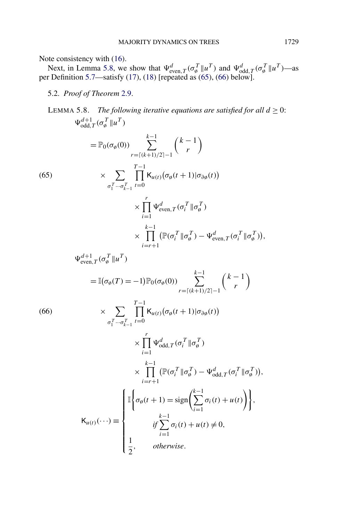<span id="page-35-0"></span>Note consistency with [\(16\)](#page-8-0).

Next, in Lemma 5.8, we show that  $\Psi_{\text{even},T}^d(\sigma_{\emptyset}^T || u^T)$  and  $\Psi_{\text{odd},T}^d(\sigma_{\emptyset}^T || u^T)$ —as per Definition [5.7—](#page-34-0)satisfy [\(17\)](#page-8-0), [\(18\)](#page-8-0) [repeated as (65), (66) below].

5.2. *Proof of Theorem* [2.9.](#page-8-0)

LEMMA 5.8. *The following iterative equations are satisfied for all*  $d > 0$ :  $\Psi_{\text{odd},T}^{d+1}(\sigma_{\emptyset}^T || u^T)$  $=$   $\mathbb{P}_0(\sigma_\emptyset(0))$ *k* −1 *r*=*(k*+1*)/*2−1  $(k - 1)$ *r*  $\overline{ }$  $\times$  $\sigma_1^T \cdots \sigma_{k-1}^T$ *T*−1<br>  $\prod$ *t*=0 (65)  $\times \sum \prod K_{u(t)}(\sigma_\emptyset(t+1)|\sigma_{\partial\emptyset}(t))$  $\times \prod^r$ *i*=1  $\Psi_{\text{even},T}^d(\sigma_i^T \| \sigma_{\emptyset}^T)$ × *k*−1<br>  $\prod$ *i*=*r*+1  $\left(\mathbb{P}(\sigma_i^T \| \sigma_{\emptyset}^T) - \Psi_{\text{even},T}^d(\sigma_i^T \| \sigma_{\emptyset}^T)\right),$  $\Psi_{\text{even},T}^{d+1}(\sigma_{\emptyset}^T || u^T)$  $= \mathbb{I}(\sigma_{\emptyset}(T) = -1)\mathbb{P}_{0}(\sigma_{\emptyset}(0))$ *k* −1 *r*=*(k*+1*)/*2−1  $(k - 1)$ *r*  $\overline{ }$  $\times$  $\sigma_1^T \cdots \sigma_{k-1}^T$ *T*−1<br>  $\prod$ *t*=0 (66)  $\times \sum \prod K_{u(t)}(\sigma_{\emptyset}(t+1)|\sigma_{\partial\emptyset}(t))$  $\times \prod^r$ *i*=1  $\Psi_{\text{odd},T}^{d}(\sigma_{i}^{T}||\sigma_{\emptyset}^{T})$ × *k*<sup>-1</sup><br>Π *i*=*r*+1  $(\mathbb{P}(\sigma_i^T \| \sigma_{\emptyset}^T) - \Psi_{\text{odd},T}^d(\sigma_i^T \| \sigma_{\emptyset}^T)),$  $K_{u(t)}(\cdots) \equiv$  $\mathbf{f}$  $\begin{array}{c}\n\phantom{\overline{1}}\phantom{\overline{1}}\phantom{\overline{1}}\phantom{\overline{1}}\phantom{\overline{1}}\phantom{\overline{1}}\phantom{\overline{1}}\phantom{\overline{1}}\phantom{\overline{1}}\phantom{\overline{1}}\phantom{\overline{1}}\phantom{\overline{1}}\phantom{\overline{1}}\phantom{\overline{1}}\phantom{\overline{1}}\phantom{\overline{1}}\phantom{\overline{1}}\phantom{\overline{1}}\phantom{\overline{1}}\phantom{\overline{1}}\phantom{\overline{1}}\phantom{\overline{1}}\phantom{\overline{1}}\phantom{\over$  $|$ I  $\begin{cases} \sigma_{\varphi}(t+1) = \text{sign}\left(\sum^{k-1} \right) \end{cases}$ *i*=1  $\sigma_i(t) + u(t)$ , *if k* −1 *i*=1  $\sigma_i(t) + u(t) \neq 0$ , 1  $\frac{1}{2}$ , *otherwise*.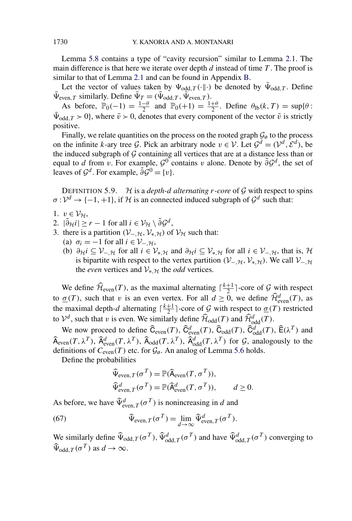Lemma [5.8](#page-35-0) contains a type of "cavity recursion" similar to Lemma [2.1.](#page-4-0) The main difference is that here we iterate over depth *d* instead of time *T* . The proof is similar to that of Lemma [2.1](#page-4-0) and can be found in Appendix [B.](#page-42-0)

Let the vector of values taken by  $\Psi_{\text{odd},T}(\cdot\|\cdot)$  be denoted by  $\bar{\Psi}_{\text{odd},T}$ . Define  $\bar{\Psi}_{\text{even},T}$  similarly. Define  $\bar{\Psi}_T = (\bar{\Psi}_{\text{odd},T}, \bar{\Psi}_{\text{even},T})$ .

As before,  $\mathbb{P}_0(-1) = \frac{1-\theta}{2}$  and  $\mathbb{P}_0(+1) = \frac{1+\theta}{2}$ . Define  $\theta_{\text{lb}}(k,T) = \sup\{\theta:$  $\Psi_{\text{odd},T} > 0$ , where  $\bar{v} > 0$ , denotes that every component of the vector  $\bar{v}$  is strictly positive.

Finally, we relate quantities on the process on the rooted graph  $\mathcal{G}_{\phi}$  to the process on the infinite *k*-ary tree G. Pick an arbitrary node  $v \in V$ . Let  $\mathcal{G}^d = (\mathcal{V}^d, \mathcal{E}^d)$ , be the induced subgraph of  $G$  containing all vertices that are at a distance less than or equal to *d* from *v*. For example,  $\mathcal{G}^0$  contains *v* alone. Denote by  $\tilde{\partial} \mathcal{G}^d$ , the set of leaves of  $\mathcal{G}^d$ . For example,  $\tilde{\partial} \mathcal{G}^0 = \{v\}.$ 

DEFINITION 5.9. H is a *depth-d alternating r-core* of  $G$  with respect to spins  $\sigma: \mathcal{V}^d \to \{-1, +1\}$ , if H is an connected induced subgraph of  $\mathcal{G}^d$  such that:

- 1.  $v \in \mathcal{V}_{\mathcal{H}}$ ,
- 2.  $|\tilde{\partial}_{\mathcal{H}}i| \geq r 1$  for all  $i \in \mathcal{V}_{\mathcal{H}} \setminus \tilde{\partial} \mathcal{G}^d$ ,
- 3. there is a partition  $(V_{-},\mathcal{H},\mathcal{V}_{*},\mathcal{H})$  of  $\mathcal{V}_{\mathcal{H}}$  such that:
	- (a)  $\sigma_i = -1$  for all  $i \in \mathcal{V}_{-, \mathcal{H}}$ ,
	- (b)  $\partial_H i \subseteq V_{-,H}$  for all  $i \in V_{*,H}$  and  $\partial_H i \subseteq V_{*,H}$  for all  $i \in V_{-,H}$ , that is, H is bipartite with respect to the vertex partition  $(V_{-},\mathcal{H},\mathcal{V}_{*},\mathcal{H})$ . We call  $V_{-},\mathcal{H}$ the *even* vertices and  $V_{*H}$  the *odd* vertices.

We define  $\widehat{\mathcal{H}}_{even}(T)$ , as the maximal alternating  $\lceil \frac{k+1}{2} \rceil$ -core of  $\mathcal G$  with respect to  $\underline{\sigma}(T)$ , such that *v* is an even vertex. For all  $d \ge 0$ , we define  $\widehat{\mathcal{H}}_{even}^d(T)$ , as the maximal depth-*d* alternating  $\lceil \frac{k+1}{2} \rceil$ -core of G with respect to  $\underline{\sigma}(T)$  restricted to  $V^d$ , such that *v* is even. We similarly define  $\widehat{\mathcal{H}}_{odd}(T)$  and  $\widehat{\mathcal{H}}_{odd}^d(T)$ .

We now proceed to define  $\widehat{C}_{even}(T)$ ,  $\widehat{C}_{even}^d(T)$ ,  $\widehat{C}_{odd}^d(T)$ ,  $\widehat{C}_{odd}^d(T)$ ,  $\widehat{E}(\lambda^T)$  and  $\widehat{A}_{even}(T, \lambda^T)$ ,  $\widehat{A}_{even}^d(T, \lambda^T)$ ,  $\widehat{A}_{odd}(T, \lambda^T)$ ,  $\widehat{A}_{odd}^d(T, \lambda^T)$  for  $\mathcal{G}$ , analogously to the definitions of  $C_{\text{even}}(T)$  etc. for  $\mathcal{G}_{\emptyset}$ . An analog of Lemma [5.6](#page-34-0) holds.

Define the probabilities

$$
\begin{aligned}\n\widehat{\Psi}_{\text{even},T}(\sigma^T) &= \mathbb{P}(\widehat{\mathsf{A}}_{\text{even}}(T,\sigma^T)), \\
\widehat{\Psi}_{\text{even},T}^d(\sigma^T) &= \mathbb{P}(\widehat{\mathsf{A}}_{\text{even}}^d(T,\sigma^T)), \qquad d \ge 0.\n\end{aligned}
$$

As before, we have  $\widehat{\Psi}_{even, T}^d(\sigma^T)$  is nonincreasing in *d* and

(67) 
$$
\widehat{\Psi}_{\text{even},T}(\sigma^T) = \lim_{d \to \infty} \widehat{\Psi}_{\text{even},T}^d(\sigma^T).
$$

We similarly define  $\widehat{\Psi}_{odd, T}(\sigma^T)$ ,  $\widehat{\Psi}_{odd, T}^d(\sigma^T)$  and have  $\widehat{\Psi}_{odd, T}^d(\sigma^T)$  converging to  $\widehat{\Psi}_{\text{odd }T}(\sigma^T)$  as  $d \to \infty$ .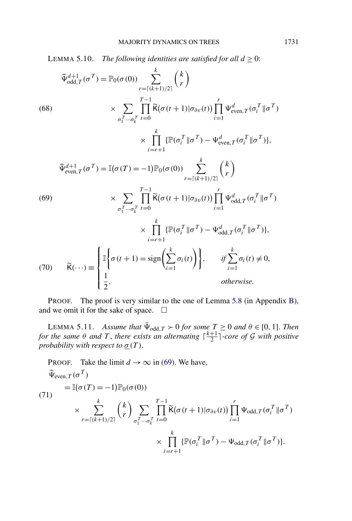<span id="page-37-0"></span>LEMMA 5.10. *The following identities are satisfied for all*  $d \ge 0$ :

$$
\widehat{\Psi}_{odd,T}^{d+1}(\sigma^{T}) = \mathbb{P}_{0}(\sigma(0)) \sum_{r=\lceil (k+1)/2 \rceil}^{k} {k \choose r}
$$
\n(68)\n
$$
\times \sum_{\sigma_{1}^{T} \cdots \sigma_{k}^{T}} \prod_{t=0}^{T-1} \widetilde{K}(\sigma(t+1)|\sigma_{\partial v}(t)) \prod_{i=1}^{r} \Psi_{even,T}^{d}(\sigma_{i}^{T} || \sigma^{T})
$$
\n
$$
\times \prod_{i=r+1}^{k} {\mathbb{P}(\sigma_{i}^{T} || \sigma^{T})} - \Psi_{even,T}^{d}(\sigma_{i}^{T} || \sigma^{T})},
$$
\n
$$
\widehat{\Psi}_{even,T}^{d+1}(\sigma^{T}) = \mathbb{I}(\sigma(T) = -1) \mathbb{P}_{0}(\sigma(0)) \sum_{r=\lceil (k+1)/2 \rceil}^{k} {k \choose r}
$$
\n(69)\n
$$
\times \sum_{\sigma_{1}^{T} \cdots \sigma_{k}^{T}} \prod_{t=0}^{T-1} \widetilde{K}(\sigma(t+1)|\sigma_{\partial v}(t)) \prod_{i=1}^{r} \Psi_{odd,T}^{d}(\sigma_{i}^{T} || \sigma^{T})
$$
\n
$$
\times \prod_{i=r+1}^{k} {\mathbb{P}(\sigma_{i}^{T} || \sigma^{T})} - \Psi_{odd,T}^{d}(\sigma_{i}^{T} || \sigma^{T})},
$$
\n(70)\n
$$
\widetilde{K}(\cdots) \equiv \begin{cases} \mathbb{I} \left\{ \sigma(t+1) = \text{sign}\left(\sum_{i=1}^{k} \sigma_{i}(t)\right) \right\}, & \text{if } \sum_{i=1}^{k} \sigma_{i}(t) \neq 0, \\ \frac{1}{2}, & \text{otherwise.} \end{cases}
$$

PROOF. The proof is very similar to the one of Lemma [5.8](#page-35-0) (in Appendix [B\)](#page-42-0), and we omit it for the sake of space.  $\Box$ 

LEMMA 5.11. *Assume that*  $\bar{\Psi}_{odd,T} > 0$  *for some*  $T \ge 0$  *and*  $\theta \in [0, 1]$ *. Then for the same*  $\theta$  *and*  $T$ , *there exists an alternating*  $\lceil \frac{k+1}{2} \rceil$ *-core of*  $\mathcal G$  *with positive probability with respect to*  $\underline{\sigma}(T)$ .

PROOF. Take the limit 
$$
d \to \infty
$$
 in (69). We have,  
\n
$$
\begin{aligned}\n\widehat{\Psi}_{\text{even},T}(\sigma^T) &= \mathbb{I}(\sigma(T) = -1)\mathbb{P}_0(\sigma(0)) \\
\times \sum_{r=\lceil (k+1)/2 \rceil}^k {k \choose r} \sum_{\sigma_1^T \cdots \sigma_k^T} \prod_{t=0}^{T-1} \widetilde{\mathsf{K}}(\sigma(t+1)|\sigma_{\partial v}(t)) \prod_{i=1}^r \Psi_{\text{odd},T}(\sigma_i^T || \sigma^T) \\
\times \prod_{i=r+1}^k {\mathbb{P}}(\sigma_i^T || \sigma^T) - \Psi_{\text{odd},T}(\sigma_i^T || \sigma^T)].\n\end{aligned}
$$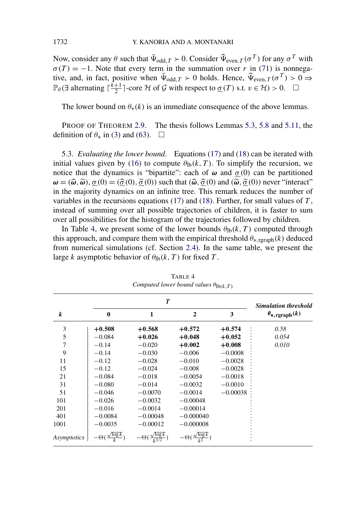<span id="page-38-0"></span>Now, consider any *θ* such that  $\bar{\Psi}_{odd,T} > 0$ . Consider  $\hat{\Psi}_{even,T}(\sigma^T)$  for any  $\sigma^T$  with  $\sigma(T) = -1$ . Note that every term in the summation over *r* in [\(71\)](#page-37-0) is nonnegative, and, in fact, positive when  $\bar{\Psi}_{odd,T} > 0$  holds. Hence,  $\hat{\Psi}_{even,T}(\sigma^T) > 0 \Rightarrow$  $\mathbb{P}_{\theta}(\exists \text{ alternating } \lceil \frac{k+1}{2} \rceil\text{-core } \mathcal{H} \text{ of } \mathcal{G} \text{ with respect to } \underline{\sigma}(T) \text{ s.t. } v \in \mathcal{H}) > 0.$ 

The lower bound on  $\theta_*(k)$  is an immediate consequence of the above lemmas.

PROOF OF THEOREM [2.9.](#page-8-0) The thesis follows Lemmas [5.3,](#page-32-0) [5.8](#page-35-0) and [5.11,](#page-37-0) the definition of  $\theta_*$  in [\(3\)](#page-1-0) and [\(63\)](#page-34-0).  $\Box$ 

5.3. *Evaluating the lower bound*. Equations [\(17\)](#page-8-0) and [\(18\)](#page-8-0) can be iterated with initial values given by [\(16\)](#page-8-0) to compute  $\theta_{\text{lb}}(k,T)$ . To simplify the recursion, we notice that the dynamics is "bipartite": each of  $\omega$  and  $\sigma(0)$  can be partitioned  $\omega = (\widehat{\omega}, \widetilde{\omega}), \underline{\sigma}(0) = (\widehat{\underline{\sigma}}(0), \widetilde{\underline{\sigma}}(0))$  such that  $(\widehat{\omega}, \widehat{\underline{\sigma}}(0)$  and  $(\widetilde{\omega}, \widetilde{\underline{\sigma}}(0))$  never "interact" in the majority dynamics on an infinite tree. This remark reduces the number of variables in the recursions equations [\(17\)](#page-8-0) and [\(18\)](#page-8-0). Further, for small values of *T* , instead of summing over all possible trajectories of children, it is faster to sum over all possibilities for the histogram of the trajectories followed by children.

In Table 4, we present some of the lower bounds  $\theta_{\text{lb}}(k, T)$  computed through this approach, and compare them with the empirical threshold  $\theta_{*,\text{rgraph}}(k)$  deduced from numerical simulations (cf. Section [2.4\)](#page-9-0). In the same table, we present the large *k* asymptotic behavior of  $\theta_{\text{lb}}(k, T)$  for fixed *T*.

|                    |              |                                               | <b>Simulation threshold</b>          |            |                                |
|--------------------|--------------|-----------------------------------------------|--------------------------------------|------------|--------------------------------|
| k                  | $\mathbf{0}$ | 1                                             | $\overline{2}$                       | 3          | $\theta_{*, \text{rgraph}}(k)$ |
| 3                  | $+0.508$     | $+0.568$                                      | $+0.572$                             | $+0.574$   | 0.58                           |
| 5                  | $-0.084$     | $+0.026$                                      | $+0.048$                             | $+0.052$   | 0.054                          |
| 7                  | $-0.14$      | $-0.020$                                      | $+0.002$                             | $+0.008$   | 0.010                          |
| 9                  | $-0.14$      | $-0.030$                                      | $-0.006$                             | $-0.0008$  |                                |
| 11                 | $-0.12$      | $-0.028$                                      | $-0.010$                             | $-0.0028$  |                                |
| 15                 | $-0.12$      | $-0.024$                                      | $-0.008$                             | $-0.0028$  |                                |
| 21                 | $-0.084$     | $-0.018$                                      | $-0.0054$                            | $-0.0018$  |                                |
| 31                 | $-0.080$     | $-0.014$                                      | $-0.0032$                            | $-0.0010$  |                                |
| 51                 | $-0.046$     | $-0.0070$                                     | $-0.0014$                            | $-0.00038$ |                                |
| 101                | $-0.026$     | $-0.0032$                                     | $-0.00048$                           |            |                                |
| 201                | $-0.016$     | $-0.0014$                                     | $-0.00014$                           |            |                                |
| 401                | $-0.0084$    | $-0.00048$                                    | $-0.000040$                          |            |                                |
| 1001               | $-0.0035$    | $-0.00012$                                    | $-0.000008$                          |            |                                |
| <i>Asymptotics</i> | $-\Theta(x)$ | $-\Theta\left(\frac{\sqrt{\log k}}{2}\right)$ | $-\Theta(\frac{\sqrt{\log k}}{l^2})$ |            |                                |

TABLE 4 *Computed lower bound values*  $\theta_{\text{lb}(k, T)}$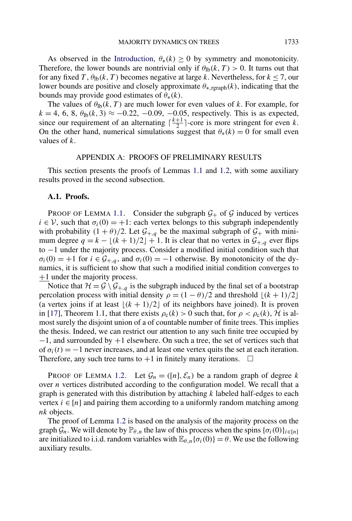<span id="page-39-0"></span>As observed in the [Introduction,](#page-0-0)  $\theta_*(k) \geq 0$  by symmetry and monotonicity. Therefore, the lower bounds are nontrivial only if  $\theta_{\text{lb}}(k,T) > 0$ . It turns out that for any fixed *T*,  $\theta_{\text{lb}}(k, T)$  becomes negative at large *k*. Nevertheless, for  $k \le 7$ , our lower bounds are positive and closely approximate *θ*∗*,*rgraph*(k)*, indicating that the bounds may provide good estimates of  $\theta_*(k)$ .

The values of  $\theta_{\text{lb}}(k,T)$  are much lower for even values of *k*. For example, for  $k = 4, 6, 8, \theta_{\text{lb}}(k, 3) \approx -0.22, -0.09, -0.05$ , respectively. This is as expected, since our requirement of an alternating  $\lceil \frac{k+1}{2} \rceil$ -core is more stringent for even *k*. On the other hand, numerical simulations suggest that  $\theta_*(k) = 0$  for small even values of *k*.

#### APPENDIX A: PROOFS OF PRELIMINARY RESULTS

This section presents the proofs of Lemmas [1.1](#page-2-0) and [1.2,](#page-3-0) with some auxiliary results proved in the second subsection.

### **A.1. Proofs.**

PROOF OF LEMMA [1.1.](#page-2-0) Consider the subgraph  $G_+$  of G induced by vertices  $i \in V$ , such that  $\sigma_i(0) = +1$ : each vertex belongs to this subgraph independently with probability  $(1 + \theta)/2$ . Let  $\mathcal{G}_{+,q}$  be the maximal subgraph of  $\mathcal{G}_+$  with minimum degree  $q = k - \lfloor (k+1)/2 \rfloor + 1$ . It is clear that no vertex in  $\mathcal{G}_{+,q}$  ever flips to −1 under the majority process. Consider a modified initial condition such that  $\sigma_i(0) = +1$  for  $i \in \mathcal{G}_{+,q}$ , and  $\sigma_i(0) = -1$  otherwise. By monotonicity of the dynamics, it is sufficient to show that such a modified initial condition converges to +1 under the majority process.

Notice that  $\mathcal{H} = \mathcal{G} \setminus \mathcal{G}_{+,q}$  is the subgraph induced by the final set of a bootstrap percolation process with initial density  $\rho = (1 - \theta)/2$  and threshold  $\lfloor (k+1)/2 \rfloor$ (a vertex joins if at least  $\lfloor (k+1)/2 \rfloor$  of its neighbors have joined). It is proven in [\[17\]](#page-53-0), Theorem 1.1, that there exists  $\rho_c(k) > 0$  such that, for  $\rho < \rho_c(k)$ , H is almost surely the disjoint union of a of countable number of finite trees. This implies the thesis. Indeed, we can restrict our attention to any such finite tree occupied by −1, and surrounded by +1 elsewhere. On such a tree, the set of vertices such that of  $\sigma_i(t) = -1$  never increases, and at least one vertex quits the set at each iteration. Therefore, any such tree turns to  $+1$  in finitely many iterations.  $\Box$ 

PROOF OF LEMMA [1.2.](#page-3-0) Let  $\mathcal{G}_n = ([n], \mathcal{E}_n)$  be a random graph of degree k over *n* vertices distributed according to the configuration model. We recall that a graph is generated with this distribution by attaching *k* labeled half-edges to each vertex  $i \in [n]$  and pairing them according to a uniformly random matching among *nk* objects.

The proof of Lemma [1.2](#page-3-0) is based on the analysis of the majority process on the graph  $\mathcal{G}_n$ . We will denote by  $\mathbb{P}_{\theta,n}$  the law of this process when the spins  $\{\sigma_i(0)\}_{i\in[n]}$ are initialized to i.i.d. random variables with  $\mathbb{E}_{\theta,n} {\{\sigma_i(0)\}} = \theta$ . We use the following auxiliary results.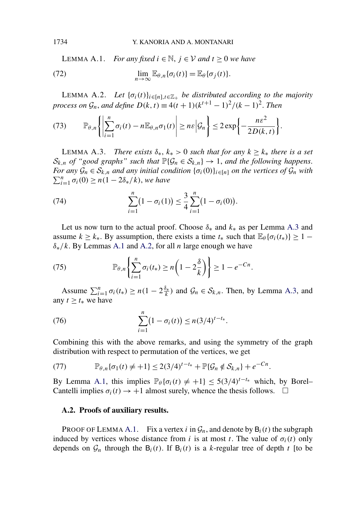<span id="page-40-0"></span>LEMMA A.1. *For any fixed*  $i \in \mathbb{N}$ ,  $j \in \mathcal{V}$  and  $t ≥ 0$  we have

(72) 
$$
\lim_{n\to\infty}\mathbb{E}_{\theta,n}\{\sigma_i(t)\}=\mathbb{E}_{\theta}\{\sigma_j(t)\}.
$$

LEMMA A.2. *Let*  $\{\sigma_i(t)\}_{i \in [n], t \in \mathbb{Z}_+}$  *be distributed according to the majority process on*  $\mathcal{G}_n$ *, and define*  $D(k, t) \equiv 4(t+1)(k^{t+1} - 1)^2/(k-1)^2$ *. Then* 

(73) 
$$
\mathbb{P}_{\theta,n}\left\{\left|\sum_{i=1}^n\sigma_i(t)-n\mathbb{E}_{\theta,n}\sigma_1(t)\right|\geq n\epsilon\Big|\mathcal{G}_n\right\}\leq 2\exp\left\{-\frac{n\epsilon^2}{2D(k,t)}\right\}.
$$

LEMMA A.3. *There exists*  $\delta_*, k_* > 0$  *such that for any*  $k \geq k_*$  *there is a set*  $S_{k,n}$  *of "good graphs" such that*  $\mathbb{P}\{\mathcal{G}_n \in S_{k,n}\} \to 1$ , *and the following happens. For any*  $\mathcal{G}_n \in \mathcal{S}_{k,n}$  *and any initial condition*  $\{\sigma_i(0)\}_{i \in [n]}$  *on the vertices of*  $\mathcal{G}_n$  *with*  $\sum_{i=1}^{n} \sigma_i(0) \ge n(1 - 2\delta_*/k)$ , *we have* 

(74) 
$$
\sum_{i=1}^{n} (1 - \sigma_i(1)) \leq \frac{3}{4} \sum_{i=1}^{n} (1 - \sigma_i(0)).
$$

Let us now turn to the actual proof. Choose  $\delta_*$  and  $k_*$  as per Lemma A.3 and assume  $k \geq k_*$ . By assumption, there exists a time  $t_*$  such that  $\mathbb{E}_{\theta} {\{\sigma_i(t_*)\}} \geq 1$ *δ*∗*/k*. By Lemmas A.1 and A.2, for all *n* large enough we have

(75) 
$$
\mathbb{P}_{\theta,n}\left\{\sum_{i=1}^n\sigma_i(t_*)\geq n\left(1-2\frac{\delta}{k}\right)\right\}\geq 1-e^{-Cn}.
$$

Assume  $\sum_{i=1}^{n} \sigma_i(t_*) \ge n(1 - 2\frac{\delta_*}{k})$  and  $\mathcal{G}_n \in \mathcal{S}_{k,n}$ . Then, by Lemma A.3, and any  $t \geq t_*$  we have

(76) 
$$
\sum_{i=1}^{n} (1 - \sigma_i(t)) \le n(3/4)^{t - t_*}.
$$

Combining this with the above remarks, and using the symmetry of the graph distribution with respect to permutation of the vertices, we get

(77) 
$$
\mathbb{P}_{\theta,n}\{\sigma_1(t)\neq+1\}\leq 2(3/4)^{t-t_*}+\mathbb{P}\{\mathcal{G}_n\notin\mathcal{S}_{k,n}\}+e^{-Cn}.
$$

By Lemma A.1, this implies  $\mathbb{P}_{\theta} {\{\sigma_i(t) \neq +1\}} \leq 5(3/4)^{t-t_*}$  which, by Borel– Cantelli implies  $\sigma_i(t) \to +1$  almost surely, whence the thesis follows.  $\Box$ 

### **A.2. Proofs of auxiliary results.**

PROOF OF LEMMA A.1. Fix a vertex *i* in  $\mathcal{G}_n$ , and denote by  $B_i(t)$  the subgraph induced by vertices whose distance from *i* is at most *t*. The value of  $\sigma_i(t)$  only depends on  $\mathcal{G}_n$  through the  $B_i(t)$ . If  $B_i(t)$  is a *k*-regular tree of depth *t* [to be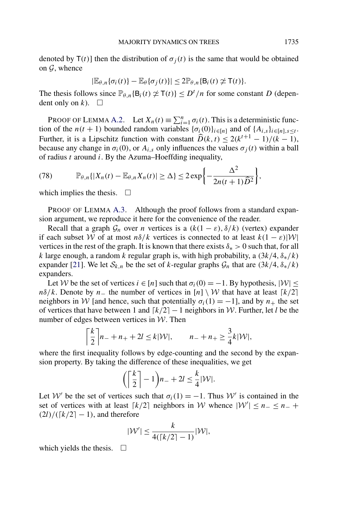denoted by  $T(t)$ ] then the distribution of  $\sigma_i(t)$  is the same that would be obtained on  $\mathcal{G}$ , whence

$$
|\mathbb{E}_{\theta,n}\{\sigma_i(t)\}-\mathbb{E}_{\theta}\{\sigma_j(t)\}|\leq 2\mathbb{P}_{\theta,n}\{\mathsf{B}_i(t)\not\simeq \mathsf{T}(t)\}.
$$

The thesis follows since  $\mathbb{P}_{\theta,n} \{B_i(t) \neq T(t)\} \leq D^t/n$  for some constant *D* (dependent only on *k*).  $\Box$ 

PROOF OF LEMMA [A.2.](#page-40-0) Let  $X_n(t) \equiv \sum_{i=1}^n \sigma_i(t)$ . This is a deterministic function of the *n*(*t* + 1) bounded random variables  $\{\sigma_i(0)\}_{i \in [n]}$  and of  $\{A_{i,s}\}_{i \in [n], s \leq t}$ . Further, it is a Lipschitz function with constant  $\widehat{D}(k, t) \leq 2(k^{t+1} - 1)/(k - 1)$ , because any change in  $\sigma_i(0)$ , or  $A_{i,s}$  only influences the values  $\sigma_i(t)$  within a ball of radius *t* around *i*. By the Azuma–Hoeffding inequality,

(78) 
$$
\mathbb{P}_{\theta,n}\{|X_n(t)-\mathbb{E}_{\theta,n}X_n(t)|\geq \Delta\}\leq 2\exp\bigg\{-\frac{\Delta^2}{2n(t+1)\widehat{D}^2}\bigg\},\,
$$

which implies the thesis.  $\Box$ 

PROOF OF LEMMA [A.3.](#page-40-0) Although the proof follows from a standard expansion argument, we reproduce it here for the convenience of the reader.

Recall that a graph  $\mathcal{G}_n$  over *n* vertices is a  $(k(1 - \varepsilon), \delta/k)$  (vertex) expander if each subset W of at most  $n\delta/k$  vertices is connected to at least  $k(1 - \varepsilon)|W|$ vertices in the rest of the graph. It is known that there exists  $\delta_* > 0$  such that, for all *k* large enough, a random *k* regular graph is, with high probability, a *(*3*k/*4*,δ*∗*/k)* expander [\[21\]](#page-53-0). We let  $S_{k,n}$  be the set of *k*-regular graphs  $\mathcal{G}_n$  that are  $(\frac{3k}{4}, \delta^*/k)$ expanders.

Let W be the set of vertices  $i \in [n]$  such that  $\sigma_i(0) = -1$ . By hypothesis,  $|W| \le$ *nδ/k*. Denote by *n*− the number of vertices in  $[n] \setminus W$  that have at least  $\lceil k/2 \rceil$ neighbors in W [and hence, such that potentially  $\sigma_i(1) = -1$ ], and by  $n_+$  the set of vertices that have between 1 and *k/*2− 1 neighbors in W. Further, let *l* be the number of edges between vertices in  $W$ . Then

$$
\left\lceil \frac{k}{2} \right\rceil n_- + n_+ + 2l \le k|\mathcal{W}|, \qquad n_- + n_+ \ge \frac{3}{4}k|\mathcal{W}|,
$$

where the first inequality follows by edge-counting and the second by the expansion property. By taking the difference of these inequalities, we get

$$
\left(\left\lceil \frac{k}{2}\right\rceil - 1\right) n_- + 2l \leq \frac{k}{4} |\mathcal{W}|.
$$

Let W' be the set of vertices such that  $\sigma_i(1) = -1$ . Thus W' is contained in the set of vertices with at least  $\lceil k/2 \rceil$  neighbors in W whence  $|\mathcal{W}'| \le n - \le n - +$  $(2l)/([k/2] - 1)$ , and therefore

$$
|\mathcal{W}'| \leq \frac{k}{4(\lceil k/2 \rceil - 1)} |\mathcal{W}|,
$$

which yields the thesis.  $\Box$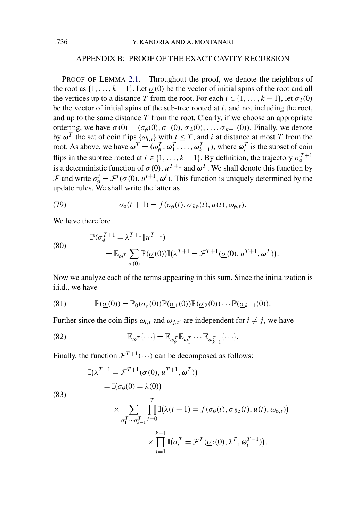# APPENDIX B: PROOF OF THE EXACT CAVITY RECURSION

<span id="page-42-0"></span>PROOF OF LEMMA [2.1.](#page-4-0) Throughout the proof, we denote the neighbors of the root as  $\{1, \ldots, k-1\}$ . Let  $\sigma(0)$  be the vector of initial spins of the root and all the vertices up to a distance *T* from the root. For each  $i \in \{1, \ldots, k-1\}$ , let  $\sigma_i(0)$ be the vector of initial spins of the sub-tree rooted at *i*, and not including the root, and up to the same distance *T* from the root. Clearly, if we choose an appropriate ordering, we have  $\sigma(0) = (\sigma_{\emptyset}(0), \sigma_1(0), \sigma_2(0), \ldots, \sigma_{k-1}(0))$ . Finally, we denote by  $\omega^T$  the set of coin flips  $\{\omega_{i,t}\}\$  with  $t \leq T$ , and *i* at distance at most *T* from the root. As above, we have  $\omega^T = (\omega_{\phi}^T, \omega_1^T, \dots, \omega_{k-1}^T)$ , where  $\omega_i^T$  is the subset of coin flips in the subtree rooted at  $i \in \{1, ..., k-1\}$ . By definition, the trajectory  $\sigma_{\varphi}^{T+1}$ is a deterministic function of  $\sigma(0)$ ,  $u^{T+1}$  and  $\omega^T$ . We shall denote this function by  $\mathcal{F}$  and write  $\sigma_{\phi}^t = \mathcal{F}^t(\underline{\sigma}(0), u^{t+1}, \omega^t)$ . This function is uniquely determined by the update rules. We shall write the latter as

(79) 
$$
\sigma_{\emptyset}(t+1) = f(\sigma_{\emptyset}(t), \underline{\sigma}_{\partial \emptyset}(t), u(t), \omega_{\emptyset, t}).
$$

We have therefore

(80)  
\n
$$
\mathbb{P}(\sigma_{\emptyset}^{T+1} = \lambda^{T+1} || u^{T+1})
$$
\n
$$
= \mathbb{E}_{\omega^T} \sum_{\underline{\sigma}(0)} \mathbb{P}(\underline{\sigma}(0)) \mathbb{I}(\lambda^{T+1} = \mathcal{F}^{T+1}(\underline{\sigma}(0), u^{T+1}, \omega^T)).
$$

Now we analyze each of the terms appearing in this sum. Since the initialization is i.i.d., we have

(81) 
$$
\mathbb{P}(\underline{\sigma}(0)) = \mathbb{P}_0(\sigma_\emptyset(0)) \mathbb{P}(\underline{\sigma}_1(0)) \mathbb{P}(\underline{\sigma}_2(0)) \cdots \mathbb{P}(\underline{\sigma}_{k-1}(0)).
$$

Further since the coin flips  $\omega_{i,t}$  and  $\omega_{i,t'}$  are independent for  $i \neq j$ , we have

(82) 
$$
\mathbb{E}_{\boldsymbol{\omega}^T}\{\cdots\} = \mathbb{E}_{\omega_{\boldsymbol{\omega}}^T}\mathbb{E}_{\boldsymbol{\omega}_1^T}\cdots\mathbb{E}_{\boldsymbol{\omega}_{k-1}^T}\{\cdots\}.
$$

Finally, the function  $\mathcal{F}^{T+1}(\cdots)$  can be decomposed as follows:

(83)  
\n
$$
\mathbb{I}(\lambda^{T+1} = \mathcal{F}^{T+1}(\underline{\sigma}(0), u^{T+1}, \omega^T))
$$
\n
$$
= \mathbb{I}(\sigma_{\emptyset}(0) = \lambda(0))
$$
\n
$$
\times \sum_{\sigma_1^T \cdots \sigma_{k-1}^T} \prod_{t=0}^T \mathbb{I}(\lambda(t+1) = f(\sigma_{\emptyset}(t), \underline{\sigma}_{\partial \emptyset}(t), u(t), \omega_{\emptyset, t}))
$$
\n
$$
\times \prod_{i=1}^{k-1} \mathbb{I}(\sigma_i^T = \mathcal{F}^T(\underline{\sigma}_i(0), \lambda^T, \omega_i^{T-1})).
$$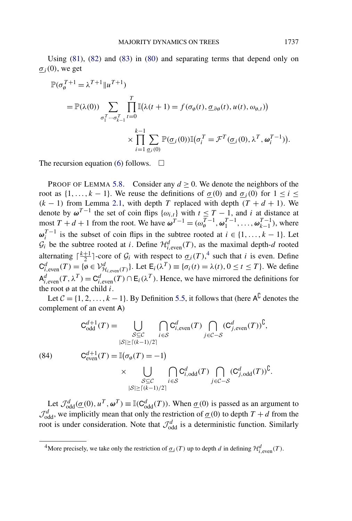<span id="page-43-0"></span>Using [\(81\)](#page-42-0), [\(82\)](#page-42-0) and [\(83\)](#page-42-0) in [\(80\)](#page-42-0) and separating terms that depend only on  $\sigma_i(0)$ , we get

$$
\mathbb{P}(\sigma_{\theta}^{T+1} = \lambda^{T+1} || u^{T+1})
$$
\n
$$
= \mathbb{P}(\lambda(0)) \sum_{\sigma_{1}^{T} \cdots \sigma_{k-1}^{T}} \prod_{t=0}^{T} \mathbb{I}(\lambda(t+1) = f(\sigma_{\theta}(t), \underline{\sigma}_{\partial\theta}(t), u(t), \omega_{\theta, t}))
$$
\n
$$
\times \prod_{i=1}^{k-1} \sum_{\underline{\sigma}_{i}(0)} \mathbb{P}(\underline{\sigma}_{i}(0)) \mathbb{I}(\sigma_{i}^{T} = \mathcal{F}^{T}(\underline{\sigma}_{i}(0), \lambda^{T}, \omega_{i}^{T-1})).
$$

The recursion equation [\(6\)](#page-4-0) follows.  $\Box$ 

PROOF OF LEMMA [5.8.](#page-35-0) Consider any  $d \ge 0$ . We denote the neighbors of the root as  $\{1, \ldots, k-1\}$ . We reuse the definitions of  $\underline{\sigma}(0)$  and  $\underline{\sigma}_i(0)$  for  $1 \le i \le k$  $(k - 1)$  from Lemma [2.1,](#page-4-0) with depth *T* replaced with depth  $(T + d + 1)$ . We denote by  $\omega^{T-1}$  the set of coin flips  $\{\omega_{i,t}\}\$  with  $t \leq T-1$ , and *i* at distance at most  $T + d + 1$  from the root. We have  $\boldsymbol{\omega}^{T-1} = (\omega_{\phi}^{T-1}, \omega_{1}^{T-1}, \dots, \omega_{k-1}^{T-1})$ , where  $\omega_i^{T-1}$  is the subset of coin flips in the subtree rooted at  $i \in \{1, ..., k-1\}$ . Let  $\mathcal{G}_i$  be the subtree rooted at *i*. Define  $\mathcal{H}_{i,\text{even}}^d(T)$ , as the maximal depth-*d* rooted alternating  $\lceil \frac{k+1}{2} \rceil$ -core of  $\mathcal{G}_i$  with respect to  $\underline{\sigma}_i(T)$ , such that *i* is even. Define  $C^d_{i,\text{even}}(T) = \{ \emptyset \in \mathcal{V}^d_{\mathcal{H}_{i,\text{even}}(T)} \}.$  Let  $E_i(\lambda^T) \equiv \{ \sigma_i(t) = \lambda(t), 0 \le t \le T \}.$  We define  $A^d_{i,\text{even}}(T, \lambda^T) = C^d_{i,\text{even}}(T) \cap E_i(\lambda^T)$ . Hence, we have mirrored the definitions for the root ø at the child *i*.

Let  $C = \{1, 2, ..., k - 1\}$ . By Definition [5.5,](#page-33-0) it follows that (here  $A^C$  denotes the complement of an event A)

(84) 
$$
C_{\text{odd}}^{d+1}(T) = \bigcup_{\substack{S \subseteq C \\ |\mathcal{S}| \geq \lceil (k-1)/2 \rceil}} \bigcap_{i \in \mathcal{S}} C_{i,\text{even}}^d(T) \bigcap_{j \in \mathcal{C} - \mathcal{S}} (C_{j,\text{even}}^d(T))^\complement,
$$

$$
C_{\text{even}}^{d+1}(T) = \mathbb{I}(\sigma_\emptyset(T) = -1)
$$

$$
\times \bigcup_{\substack{S \subseteq C \\ |\mathcal{S}| \geq \lceil (k-1)/2 \rceil}} \bigcap_{i \in \mathcal{S}} C_{i,\text{odd}}^d(T) \bigcap_{j \in \mathcal{C} - \mathcal{S}} (C_{j,\text{odd}}^d(T))^\complement.
$$

Let  $\mathcal{J}_{odd}^d(\underline{\sigma}(0), u^T, \omega^T) \equiv \mathbb{I}(C_{odd}^d(T))$ . When  $\underline{\sigma}(0)$  is passed as an argument to  $\mathcal{J}_{\text{odd}}^d$ , we implicitly mean that only the restriction of  $\underline{\sigma}(0)$  to depth  $T + d$  from the root is under consideration. Note that  $\mathcal{J}_{odd}^d$  is a deterministic function. Similarly

<sup>&</sup>lt;sup>4</sup>More precisely, we take only the restriction of  $\underline{\sigma}_i(T)$  up to depth *d* in defining  $\mathcal{H}_{i,\text{even}}^d(T)$ .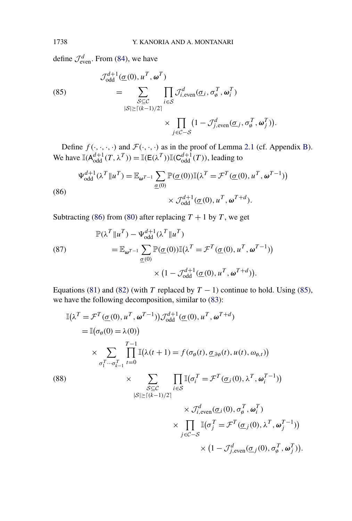define  $\mathcal{J}_{\text{even}}^d$ . From [\(84\)](#page-43-0), we have

(85)  
\n
$$
\mathcal{J}_{odd}^{d+1}(\underline{\sigma}(0), u^T, \omega^T)
$$
\n
$$
= \sum_{\substack{S \subseteq C \\ |S| \ge [(k-1)/2]}} \prod_{i \in S} \mathcal{J}_{i, \text{even}}^d(\underline{\sigma}_i, \sigma_{\emptyset}^T, \omega_i^T)
$$
\n
$$
\times \prod_{j \in C-S} (1 - \mathcal{J}_{j, \text{even}}^d(\underline{\sigma}_j, \sigma_{\emptyset}^T, \omega_j^T)).
$$

Define  $f(\cdot, \cdot, \cdot, \cdot)$  and  $\mathcal{F}(\cdot, \cdot, \cdot)$  as in the proof of Lemma [2.1](#page-4-0) (cf. Appendix [B\)](#page-42-0). We have  $\mathbb{I}(A_{\text{odd}}^{d+1}(T, \lambda^T)) = \mathbb{I}(E(\lambda^T))\mathbb{I}(C_{\text{odd}}^{d+1}(T))$ , leading to

(86)  

$$
\Psi_{\text{odd}}^{d+1}(\lambda^T \| u^T) = \mathbb{E}_{\omega^{T-1}} \sum_{\underline{\sigma}(0)} \mathbb{P}(\underline{\sigma}(0)) \mathbb{I}(\lambda^T = \mathcal{F}^T(\underline{\sigma}(0), u^T, \omega^{T-1}))
$$

$$
\times \mathcal{J}_{\text{odd}}^{d+1}(\underline{\sigma}(0), u^T, \omega^{T+d}).
$$

Subtracting (86) from [\(80\)](#page-42-0) after replacing  $T + 1$  by  $T$ , we get

(87)  
\n
$$
\mathbb{P}(\lambda^T \| u^T) - \Psi_{\text{odd}}^{d+1}(\lambda^T \| u^T)
$$
\n
$$
= \mathbb{E}_{\omega^{T-1}} \sum_{\underline{\sigma}(0)} \mathbb{P}(\underline{\sigma}(0)) \mathbb{I}(\lambda^T = \mathcal{F}^T(\underline{\sigma}(0), u^T, \omega^{T-1}))
$$
\n
$$
\times (1 - \mathcal{J}_{\text{odd}}^{d+1}(\underline{\sigma}(0), u^T, \omega^{T+d})).
$$

Equations [\(81\)](#page-42-0) and [\(82\)](#page-42-0) (with *T* replaced by  $T - 1$ ) continue to hold. Using (85), we have the following decomposition, similar to [\(83\)](#page-42-0):

$$
\mathbb{I}(\lambda^{T} = \mathcal{F}^{T}(\underline{\sigma}(0), u^{T}, \omega^{T-1})) \mathcal{J}_{odd}^{d+1}(\underline{\sigma}(0), u^{T}, \omega^{T+d})
$$
\n
$$
= \mathbb{I}(\sigma_{\emptyset}(0) = \lambda(0))
$$
\n
$$
\times \sum_{\sigma_{1}^{T} \cdots \sigma_{k-1}^{T} \neq 0} \prod_{i=0}^{T-1} \mathbb{I}(\lambda(t+1) = f(\sigma_{\emptyset}(t), \underline{\sigma}_{\partial \emptyset}(t), u(t), \omega_{\emptyset, t}))
$$
\n(88)\n
$$
\times \sum_{\substack{S \subseteq \mathcal{C} \\ |\mathcal{S}| \geq \lceil (k-1)/2 \rceil}} \prod_{i \in S} \mathbb{I}(\sigma_{i}^{T} = \mathcal{F}^{T}(\underline{\sigma}_{i}(0), \lambda^{T}, \omega_{i}^{T-1}))
$$
\n
$$
\times \mathcal{J}_{i, \text{even}}^{d}(\underline{\sigma}_{i}(0), \sigma_{\emptyset}^{T}, \omega_{i}^{T})
$$
\n
$$
\times \prod_{j \in \mathcal{C} - S} \mathbb{I}(\sigma_{j}^{T} = \mathcal{F}^{T}(\underline{\sigma}_{j}(0), \lambda^{T}, \omega_{j}^{T-1}))
$$
\n
$$
\times (1 - \mathcal{J}_{j, \text{even}}^{d}(\underline{\sigma}_{j}(0), \sigma_{\emptyset}^{T}, \omega_{j}^{T})).
$$

<span id="page-44-0"></span>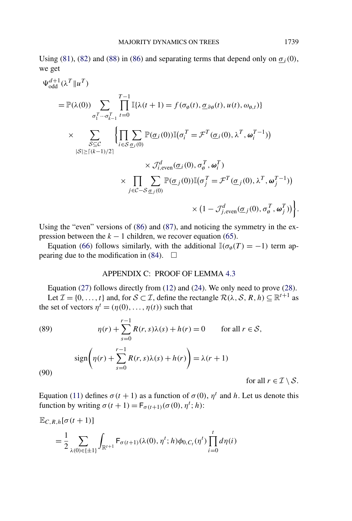<span id="page-45-0"></span>Using [\(81\)](#page-42-0), [\(82\)](#page-42-0) and [\(88\)](#page-44-0) in [\(86\)](#page-44-0) and separating terms that depend only on  $\sigma_i(0)$ , we get

$$
\Psi_{\text{odd}}^{d+1}(\lambda^{T} \| u^{T})
$$
\n
$$
= \mathbb{P}(\lambda(0)) \sum_{\sigma_{1}^{T} \cdots \sigma_{k-1}^{T}} \prod_{t=0}^{T-1} \mathbb{I}\{\lambda(t+1) = f(\sigma_{\emptyset}(t), \underline{\sigma}_{\partial \emptyset}(t), u(t), \omega_{\emptyset, t})\}
$$
\n
$$
\times \sum_{\substack{S \subseteq \mathcal{C} \\ |S| \geq [(k-1)/2]}} \left\{ \prod_{i \in S} \sum_{\underline{\sigma}_{i}(0)} \mathbb{P}(\underline{\sigma}_{i}(0)) \mathbb{I}(\sigma_{i}^{T} = \mathcal{F}^{T}(\underline{\sigma}_{i}(0), \lambda^{T}, \omega_{i}^{T-1})) \right. \\ \times \mathcal{J}_{i,\text{even}}^{d}(\underline{\sigma}_{i}(0), \sigma_{\emptyset}^{T}, \omega_{i}^{T})
$$
\n
$$
\times \prod_{j \in \mathcal{C} - S} \sum_{\underline{\sigma}_{j}(0)} \mathbb{P}(\underline{\sigma}_{j}(0)) \mathbb{I}(\sigma_{j}^{T} = \mathcal{F}^{T}(\underline{\sigma}_{j}(0), \lambda^{T}, \omega_{j}^{T-1})) \times (1 - \mathcal{J}_{j,\text{even}}^{d}(\underline{\sigma}_{j}(0), \sigma_{\emptyset}^{T}, \omega_{j}^{T})) \right\}.
$$

Using the "even" versions of [\(86\)](#page-44-0) and [\(87\)](#page-44-0), and noticing the symmetry in the expression between the  $k - 1$  children, we recover equation [\(65\)](#page-35-0).

Equation [\(66\)](#page-35-0) follows similarly, with the additional  $\mathbb{I}(\sigma_{\emptyset}(T) = -1)$  term ap-pearing due to the modification in [\(84\)](#page-43-0).  $\Box$ 

## APPENDIX C: PROOF OF LEMMA [4.3](#page-16-0)

Equation [\(27\)](#page-16-0) follows directly from [\(12\)](#page-6-0) and [\(24\)](#page-15-0). We only need to prove [\(28\)](#page-16-0). Let  $\mathcal{I} = \{0, ..., t\}$  and, for  $\mathcal{S} \subset \mathcal{I}$ , define the rectangle  $\mathcal{R}(\lambda, \mathcal{S}, R, h) \subseteq \mathbb{R}^{t+1}$  as the set of vectors  $\eta^t = (\eta(0), \dots, \eta(t))$  such that

(89) 
$$
\eta(r) + \sum_{s=0}^{r-1} R(r, s)\lambda(s) + h(r) = 0 \quad \text{for all } r \in S,
$$

$$
\text{sign}\left(\eta(r) + \sum_{s=0}^{r-1} R(r, s)\lambda(s) + h(r)\right) = \lambda(r+1)
$$
  
(90) for all

Equation [\(11\)](#page-5-0) defines  $σ(t + 1)$  as a function of  $σ(0)$ ,  $η<sup>t</sup>$  and *h*. Let us denote this function by writing  $\sigma(t+1) = F_{\sigma(t+1)}(\sigma(0), \eta^t; h)$ :

$$
\mathbb{E}_{C,R,h}[\sigma(t+1)]
$$
\n
$$
= \frac{1}{2} \sum_{\lambda(0) \in \{\pm 1\}} \int_{\mathbb{R}^{t+1}} F_{\sigma(t+1)}(\lambda(0), \eta^t; h) \phi_{0,C_t}(\eta^t) \prod_{i=0}^t d\eta(i)
$$

 $r \in \mathcal{I} \setminus \mathcal{S}$ .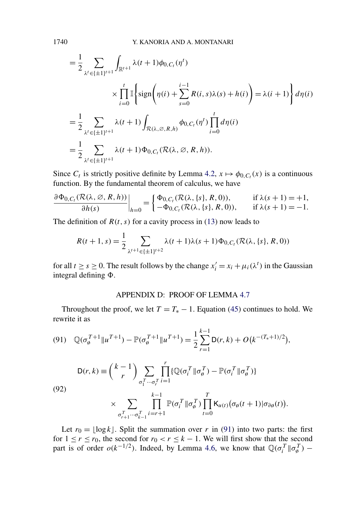$$
= \frac{1}{2} \sum_{\lambda^{t} \in \{\pm 1\}^{t+1}} \int_{\mathbb{R}^{t+1}} \lambda(t+1) \phi_{0,C_{t}}(\eta^{t})
$$
  

$$
\times \prod_{i=0}^{t} \mathbb{I} \left\{ \text{sign}\left(\eta(i) + \sum_{s=0}^{i-1} R(i,s)\lambda(s) + h(i)\right) = \lambda(i+1) \right\} d\eta(i)
$$
  

$$
= \frac{1}{2} \sum_{\lambda^{t} \in \{\pm 1\}^{t+1}} \lambda(t+1) \int_{\mathcal{R}(\lambda,\emptyset,R,h)} \phi_{0,C_{t}}(\eta^{t}) \prod_{i=0}^{t} d\eta(i)
$$
  

$$
= \frac{1}{2} \sum_{\lambda^{t} \in \{\pm 1\}^{t+1}} \lambda(t+1) \Phi_{0,C_{t}}(\mathcal{R}(\lambda,\emptyset,R,h)).
$$

Since  $C_t$  is strictly positive definite by Lemma [4.2,](#page-15-0)  $x \mapsto \phi_{0,C_t}(x)$  is a continuous function. By the fundamental theorem of calculus, we have

$$
\frac{\partial \Phi_{0,C_t}(\mathcal{R}(\lambda,\emptyset,R,h))}{\partial h(s)}\bigg|_{h=0} = \begin{cases} \Phi_{0,C_t}(\mathcal{R}(\lambda,\{s\},R,0)), & \text{if } \lambda(s+1)=+1, \\ -\Phi_{0,C_t}(\mathcal{R}(\lambda,\{s\},R,0)), & \text{if } \lambda(s+1)=-1. \end{cases}
$$

The definition of  $R(t, s)$  for a cavity process in [\(13\)](#page-6-0) now leads to

$$
R(t+1,s) = \frac{1}{2} \sum_{\lambda^{t+1} \in \{\pm 1\}^{t+2}} \lambda(t+1)\lambda(s+1)\Phi_{0,C_t}(\mathcal{R}(\lambda,\{s\},R,0))
$$

for all  $t \ge s \ge 0$ . The result follows by the change  $x_i' = x_i + \mu_i(\lambda^t)$  in the Gaussian integral defining  $\Phi$ .

# APPENDIX D: PROOF OF LEMMA [4.7](#page-29-0)

Throughout the proof, we let  $T = T_* - 1$ . Equation [\(45\)](#page-25-0) continues to hold. We rewrite it as

(91) 
$$
\mathbb{Q}(\sigma_{\emptyset}^{T+1} \| u^{T+1}) - \mathbb{P}(\sigma_{\emptyset}^{T+1} \| u^{T+1}) = \frac{1}{2} \sum_{r=1}^{k-1} \mathsf{D}(r, k) + O(k^{-(T_{*}+1)/2}),
$$

$$
\mathsf{D}(r, k) \equiv {k-1 \choose r} \sum_{\sigma_{1}^{T} \cdots \sigma_{r}^{T}} \prod_{i=1}^{r} \{ \mathbb{Q}(\sigma_{i}^{T} \| \sigma_{\emptyset}^{T}) - \mathbb{P}(\sigma_{i}^{T} \| \sigma_{\emptyset}^{T}) \}
$$

(92)

$$
\times \sum_{\sigma_{r+1}^T\cdots\sigma_{k-1}^T} \prod_{i=r+1}^{k-1} \mathbb{P}(\sigma_i^T \| \sigma_{\emptyset}^T) \prod_{t=0}^T \mathsf{K}_{u(t)}(\sigma_{\emptyset}(t+1) | \sigma_{\partial \emptyset}(t)).
$$

Let  $r_0 = \lfloor \log k \rfloor$ . Split the summation over *r* in (91) into two parts: the first for  $1 \le r \le r_0$ , the second for  $r_0 < r \le k - 1$ . We will first show that the second part is of order  $o(k^{-1/2})$ . Indeed, by Lemma [4.6,](#page-24-0) we know that  $\mathbb{Q}(\sigma_i^T || \sigma_{\phi}^T)$  –

<span id="page-46-0"></span>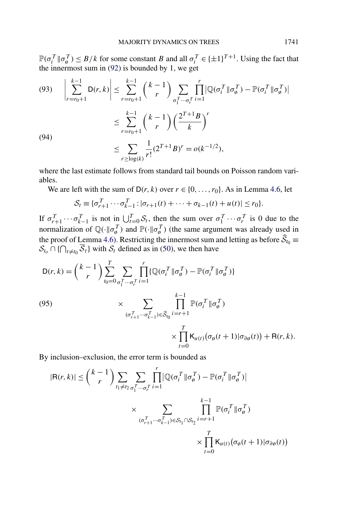<span id="page-47-0"></span> $\mathbb{P}(\sigma_i^T || \sigma_{\emptyset}^T) \leq B/k$  for some constant *B* and all  $\sigma_i^T \in \{\pm 1\}^{T+1}$ . Using the fact that the innermost sum in [\(92\)](#page-46-0) is bounded by 1, we get

(93) 
$$
\left| \sum_{r=r_0+1}^{k-1} D(r, k) \right| \leq \sum_{r=r_0+1}^{k-1} {k-1 \choose r} \sum_{\sigma_1^T \cdots \sigma_r^T} \prod_{i=1}^r |\mathbb{Q}(\sigma_i^T \| \sigma_{\emptyset}^T) - \mathbb{P}(\sigma_i^T \| \sigma_{\emptyset}^T) |
$$

$$
\leq \sum_{r=r_0+1}^{k-1} {k-1 \choose r} \left(\frac{2^{T+1}B}{k}\right)^r
$$

$$
\leq \sum_{r \geq \log(k)} \frac{1}{r!} (2^{T+1}B)^r = o(k^{-1/2}),
$$

where the last estimate follows from standard tail bounds on Poisson random variables.

We are left with the sum of  $D(r, k)$  over  $r \in \{0, \ldots, r_0\}$ . As in Lemma [4.6,](#page-24-0) let

$$
S_t \equiv \{\sigma_{r+1}^T \cdots \sigma_{k-1}^T : |\sigma_{r+1}(t) + \cdots + \sigma_{k-1}(t) + u(t)| \leq r_0\}.
$$

If  $\sigma_{r+1}^T \cdots \sigma_{k-1}^T$  is not in  $\bigcup_{t=0}^T S_t$ , then the sum over  $\sigma_1^T \cdots \sigma_r^T$  is 0 due to the normalization of  $\mathbb{Q}(\cdot \| \sigma_{\emptyset}^T)$  and  $\mathbb{P}(\cdot \| \sigma_{\emptyset}^T)$  (the same argument was already used in the proof of Lemma [4.6\)](#page-24-0). Restricting the innermost sum and letting as before  $\widehat{S}_{t_0}$   $\equiv$  $S_{t_0} \cap {\{\bigcap_{t \neq t_0} \overline{S}_t\}}$  with  $S_t$  defined as in [\(50\)](#page-26-0), we then have

$$
D(r,k) = {k-1 \choose r} \sum_{t_0=0}^{T} \sum_{\sigma_1^T \cdots \sigma_r^T} \prod_{i=1}^r \{ \mathbb{Q}(\sigma_i^T \| \sigma_\emptyset^T) - \mathbb{P}(\sigma_i^T \| \sigma_\emptyset^T) \}
$$
  
\n(95)  
\n
$$
\times \sum_{(\sigma_{r+1}^T \cdots \sigma_{k-1}^T) \in \widehat{S}_{t_0}} \prod_{i=r+1}^{k-1} \mathbb{P}(\sigma_i^T \| \sigma_\emptyset^T)
$$
  
\n
$$
\times \prod_{t=0}^T K_{u(t)} (\sigma_\emptyset(t+1) | \sigma_{\partial \emptyset}(t)) + R(r,k).
$$

By inclusion–exclusion, the error term is bounded as

$$
|\mathsf{R}(r,k)| \leq {k-1 \choose r} \sum_{t_1 \neq t_2} \sum_{\sigma_1^T \cdots \sigma_r^T} \prod_{i=1}^r |\mathbb{Q}(\sigma_i^T \| \sigma_\emptyset^T) - \mathbb{P}(\sigma_i^T \| \sigma_\emptyset^T)|
$$
  
 
$$
\times \sum_{(\sigma_{r+1}^T \cdots \sigma_{k-1}^T) \in S_{t_1} \cap S_{t_2}} \prod_{i=r+1}^{k-1} \mathbb{P}(\sigma_i^T \| \sigma_\emptyset^T)
$$
  
 
$$
\times \prod_{t=0}^T \mathsf{K}_{u(t)}(\sigma_\emptyset(t+1) | \sigma_{\partial \emptyset}(t))
$$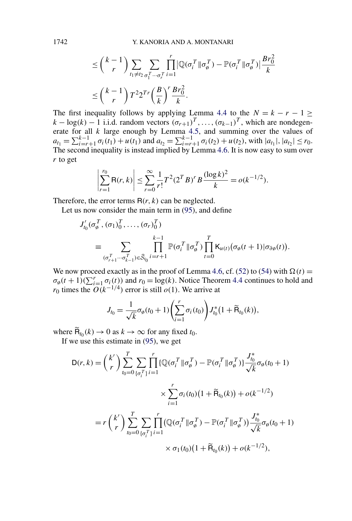$$
\leq {k-1 \choose r} \sum_{t_1 \neq t_2} \sum_{\sigma_1^T \cdots \sigma_r^T} \prod_{i=1}^r |\mathbb{Q}(\sigma_i^T \| \sigma_{\emptyset}^T) - \mathbb{P}(\sigma_i^T \| \sigma_{\emptyset}^T) | \frac{Br_0^2}{k}
$$
  

$$
\leq {k-1 \choose r} T^2 2^{Tr} \left(\frac{B}{k}\right)^r \frac{Br_0^2}{k}.
$$

The first inequality follows by applying Lemma [4.4](#page-17-0) to the  $N = k - r - 1 \ge$  $k - \log(k) - 1$  i.i.d. random vectors  $(\sigma_{r+1})^T$ ,  $\ldots$ ,  $(\sigma_{k-1})^T$ , which are nondegenerate for all *k* large enough by Lemma [4.5,](#page-19-0) and summing over the values of  $a_{t_1} = \sum_{i=r+1}^{k-1} \sigma_i(t_1) + u(t_1)$  and  $a_{t_2} = \sum_{i=r+1}^{k-1} \sigma_i(t_2) + u(t_2)$ , with  $|a_{t_1}|, |a_{t_2}| \le r_0$ . The second inequality is instead implied by Lemma [4.6.](#page-24-0) It is now easy to sum over *r* to get

$$
\left|\sum_{r=1}^{r_0} \mathsf{R}(r,k)\right| \le \sum_{r=0}^{\infty} \frac{1}{r!} T^2 (2^T B)^r B \frac{(\log k)^2}{k} = o(k^{-1/2}).
$$

Therefore, the error terms  $R(r, k)$  can be neglected.

Let us now consider the main term in [\(95\)](#page-47-0), and define

$$
J'_{t_0}(\sigma_\emptyset^T, (\sigma_1)_0^T, \dots, (\sigma_r)_0^T)
$$
  
\n
$$
\equiv \sum_{(\sigma_{r+1}^T \cdots \sigma_{k-1}^T) \in \widehat{S}_{t_0}} \prod_{i=r+1}^{k-1} \mathbb{P}(\sigma_i^T \| \sigma_\emptyset^T) \prod_{t=0}^T \mathsf{K}_{u(t)} (\sigma_\emptyset(t+1) | \sigma_{\partial \emptyset}(t)).
$$

We now proceed exactly as in the proof of Lemma [4.6,](#page-24-0) cf. [\(52\)](#page-27-0) to [\(54\)](#page-28-0) with  $\Omega(t)$  =  $\sigma_{\varphi}(t+1)(\sum_{i=1}^{r} \sigma_i(t))$  and  $r_0 = \log(k)$ . Notice Theorem [4.4](#page-17-0) continues to hold and *r*<sub>0</sub> times the  $O(k^{-1/4})$  error is still  $o(1)$ . We arrive at

$$
J_{t_0} = \frac{1}{\sqrt{k}} \sigma_{\emptyset}(t_0 + 1) \left( \sum_{i=1}^r \sigma_i(t_0) \right) J_{t_0}^*(1 + \widetilde{\mathsf{R}}_{t_0}(k)),
$$

where  $\widetilde{B}_{t_0}(k) \to 0$  as  $k \to \infty$  for any fixed  $t_0$ .

If we use this estimate in [\(95\)](#page-47-0), we get

$$
D(r,k) = {k' \choose r} \sum_{t_0=0}^{T} \sum_{\{\sigma_i^T\}} \prod_{i=1}^{r} \{ \mathbb{Q}(\sigma_i^T \| \sigma_{\theta}^T) - \mathbb{P}(\sigma_i^T \| \sigma_{\theta}^T) \} \frac{J_{t_0}^*}{\sqrt{k}} \sigma_{\theta}(t_0 + 1)
$$
  
 
$$
\times \sum_{i=1}^{r} \sigma_i(t_0) \left(1 + \widetilde{R}_{t_0}(k)\right) + o(k^{-1/2})
$$
  
\n
$$
= r {k' \choose r} \sum_{t_0=0}^{T} \sum_{\{\sigma_i^T\}} \prod_{i=1}^{r} \left( \mathbb{Q}(\sigma_i^T \| \sigma_{\theta}^T) - \mathbb{P}(\sigma_i^T \| \sigma_{\theta}^T) \right) \frac{J_{t_0}^*}{\sqrt{k}} \sigma_{\theta}(t_0 + 1)
$$
  
\n
$$
\times \sigma_1(t_0) \left(1 + \widetilde{R}_{t_0}(k)\right) + o(k^{-1/2}),
$$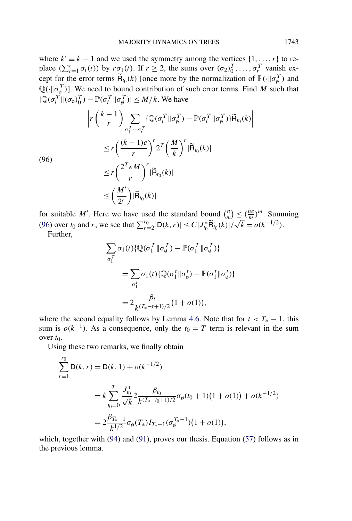where  $k' \equiv k - 1$  and we used the symmetry among the vertices  $\{1, \ldots, r\}$  to replace  $(\sum_{i=1}^r \sigma_i(t))$  by  $r\sigma_1(t)$ . If  $r \ge 2$ , the sums over  $(\sigma_2)_{0}^T, \ldots, \sigma_r^T$  vanish except for the error terms  $\tilde{H}_{t_0}(k)$  [once more by the normalization of  $\mathbb{P}(\cdot \| \sigma_{\emptyset}^T)$  and  $\mathbb{Q}(\cdot|\sigma_{\phi}^{T})$ ]. We need to bound contribution of such error terms. Find *M* such that  $|\mathbb{Q}(\sigma_i^T \| (\sigma_{\emptyset})_0^T) - \mathbb{P}(\sigma_i^T \| \sigma_{\emptyset}^T)| \leq M/k$ . We have

$$
\begin{split} & \left| r \left( \frac{k-1}{r} \right) \sum_{\sigma_1^T \cdots \sigma_r^T} \{ \mathbb{Q}(\sigma_i^T \|\sigma_\emptyset^T) - \mathbb{P}(\sigma_i^T \|\sigma_\emptyset^T) \} \widetilde{\mathsf{H}}_{t_0}(k) \right| \\ & \le r \left( \frac{(k-1)e}{r} \right)^r 2^T \left( \frac{M}{k} \right)^r |\widetilde{\mathsf{H}}_{t_0}(k)| \\ & \le r \left( \frac{2^T e M}{r} \right)^r |\widetilde{\mathsf{H}}_{t_0}(k)| \\ & \le \left( \frac{M'}{2^r} \right) |\widetilde{\mathsf{H}}_{t_0}(k)| \end{split}
$$

(96)

for suitable *M'*. Here we have used the standard bound  $\binom{n}{m} \leq \left(\frac{ne}{m}\right)^m$ . Summing (96) over *t*<sub>0</sub> and *r*, we see that  $\sum_{r=2}^{r_0} |D(k, r)| \le C |J_{t_0}^* \widetilde{R}_{t_0}(k)| / \sqrt{k} = o(k^{-1/2})$ .

Further,

$$
\sum_{\sigma_1^T} \sigma_1(t) \{ \mathbb{Q}(\sigma_1^T \| \sigma_\emptyset^T) - \mathbb{P}(\sigma_1^T \| \sigma_\emptyset^T) \}
$$
  

$$
= \sum_{\sigma_1^t} \sigma_1(t) \{ \mathbb{Q}(\sigma_1^t \| \sigma_\emptyset^t) - \mathbb{P}(\sigma_1^t \| \sigma_\emptyset^t) \}
$$
  

$$
= 2 \frac{\beta_t}{k^{(T_* - t + 1)/2}} (1 + o(1)),
$$

where the second equality follows by Lemma [4.6.](#page-24-0) Note that for  $t < T_* - 1$ , this sum is  $o(k^{-1})$ . As a consequence, only the  $t_0 = T$  term is relevant in the sum over  $t_0$ .

Using these two remarks, we finally obtain

$$
\sum_{r=1}^{r_0} \mathsf{D}(k, r) = \mathsf{D}(k, 1) + o(k^{-1/2})
$$
  
=  $k \sum_{t_0=0}^{T} \frac{J_{t_0}^*}{\sqrt{k}} 2 \frac{\beta_{t_0}}{k^{(T_* - t_0 + 1)/2}} \sigma_\emptyset(t_0 + 1)(1 + o(1)) + o(k^{-1/2})$   
=  $2 \frac{\beta_{T_* - 1}}{k^{1/2}} \sigma_\emptyset(T_*) I_{T_* - 1}(\sigma_\emptyset^{T_* - 1})(1 + o(1)),$ 

which, together with [\(94\)](#page-47-0) and [\(91\)](#page-46-0), proves our thesis. Equation [\(57\)](#page-30-0) follows as in the previous lemma.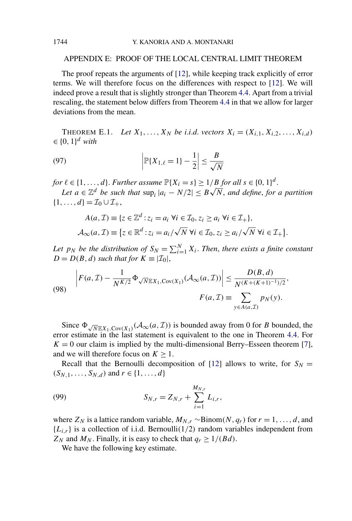### APPENDIX E: PROOF OF THE LOCAL CENTRAL LIMIT THEOREM

The proof repeats the arguments of [\[12\]](#page-53-0), while keeping track explicitly of error terms. We will therefore focus on the differences with respect to [\[12\]](#page-53-0). We will indeed prove a result that is slightly stronger than Theorem [4.4.](#page-17-0) Apart from a trivial rescaling, the statement below differs from Theorem [4.4](#page-17-0) in that we allow for larger deviations from the mean.

**THEOREM E.1.** Let  $X_1, ..., X_N$  be i.i.d. vectors  $X_i = (X_{i,1}, X_{i,2}, ..., X_{i,d})$  $\in \{0, 1\}^d$  *with* 

(97) 
$$
\left|\mathbb{P}\{X_{1,\ell}=1\}-\frac{1}{2}\right|\leq \frac{B}{\sqrt{N}}
$$

*for*  $\ell \in \{1, ..., d\}$ . *Further assume*  $\mathbb{P}\{X_i = s\} \geq 1/B$  *for all*  $s \in \{0, 1\}^d$ .

*Le*<sub>11</sub>, ..., *a*<sub>}</sub>. *Furtner assume*  $\mathbb{F}\{X_i = s\} \geq 1/D$  *for an*  $s \in \{0, 1\}^n$ .<br>Let  $a \in \mathbb{Z}^d$  be such that  $\sup_i |a_i - N/2| \leq B\sqrt{N}$ , and define, for a partition  $\{1, \ldots, d\} = \mathcal{I}_0 \cup \mathcal{I}_+,$ 

$$
A(a, \mathcal{I}) \equiv \{z \in \mathbb{Z}^d : z_i = a_i \,\,\forall i \in \mathcal{I}_0, z_i \ge a_i \,\,\forall i \in \mathcal{I}_+\},
$$

$$
\mathcal{A}_{\infty}(a, \mathcal{I}) \equiv \{z \in \mathbb{R}^d : z_i = a_i/\sqrt{N} \,\,\forall i \in \mathcal{I}_0, z_i \ge a_i/\sqrt{N} \,\,\forall i \in \mathcal{I}_+\}.
$$

*Let*  $p_N$  *be the distribution of*  $S_N = \sum_{i=1}^N X_i$ . *Then, there exists a finite constant*  $D = D(B, d)$  *such that for*  $K \equiv |\mathcal{I}_0|$ ,

(98) 
$$
\left| F(a, \mathcal{I}) - \frac{1}{N^{K/2}} \Phi_{\sqrt{N} \mathbb{E} X_1, \text{Cov}(X_1)}(\mathcal{A}_{\infty}(a, \mathcal{I})) \right| \leq \frac{D(B, d)}{N^{(K + (K+1)^{-1})/2}},
$$

$$
F(a, \mathcal{I}) \equiv \sum_{y \in A(a, \mathcal{I})} p_N(y).
$$

Since  $\Phi_{\sqrt{N}\mathbb{E}X_1,\text{Cov}(X_1)}(\mathcal{A}_{\infty}(a,\mathcal{I}))$  is bounded away from 0 for *B* bounded, the error estimate in the last statement is equivalent to the one in Theorem [4.4.](#page-17-0) For  $K = 0$  our claim is implied by the multi-dimensional Berry–Esseen theorem [\[7\]](#page-52-0), and we will therefore focus on  $K \geq 1$ .

Recall that the Bernoulli decomposition of [\[12\]](#page-53-0) allows to write, for  $S_N =$  $(S_{N,1},...,S_{N,d})$  and  $r \in \{1,...,d\}$ 

(99) 
$$
S_{N,r} = Z_{N,r} + \sum_{i=1}^{M_{N,r}} L_{i,r},
$$

where  $Z_N$  is a lattice random variable,  $M_{N,r} \sim \text{Binom}(N, q_r)$  for  $r = 1, \ldots, d$ , and  ${L_{i,r}}$  is a collection of i.i.d. Bernoulli(1/2) random variables independent from  $Z_N$  and  $M_N$ . Finally, it is easy to check that  $q_r \geq 1/(Bd)$ .

We have the following key estimate.

<span id="page-50-0"></span>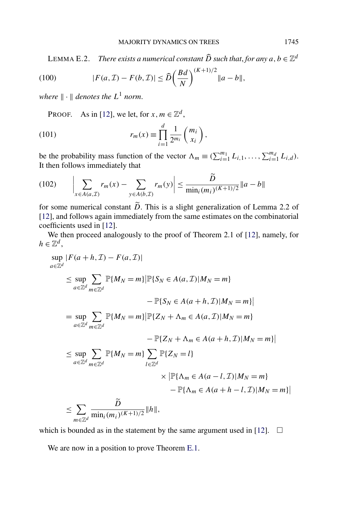<span id="page-51-0"></span>LEMMA E.2. *There exists a numerical constant*  $\widehat{D}$  *such that, for any*  $a, b \in \mathbb{Z}^d$ 

(100) 
$$
|F(a, \mathcal{I}) - F(b, \mathcal{I})| \leq \widehat{D} \left( \frac{Bd}{N} \right)^{(K+1)/2} ||a - b||,
$$

*where*  $\|\cdot\|$  *denotes the*  $L^1$  *norm.* 

PROOF. As in [\[12\]](#page-53-0), we let, for  $x, m \in \mathbb{Z}^d$ ,

(101) 
$$
r_m(x) \equiv \prod_{i=1}^d \frac{1}{2^{m_i}} {m_i \choose x_i},
$$

be the probability mass function of the vector  $\Lambda_m \equiv (\sum_{i=1}^{m_1} L_{i,1}, \dots, \sum_{i=1}^{m_d} L_{i,d})$ . It then follows immediately that

(102) 
$$
\left| \sum_{x \in A(a, \mathcal{I})} r_m(x) - \sum_{y \in A(b, \mathcal{I})} r_m(y) \right| \leq \frac{D}{\min_i (m_i)^{(K+1)/2}} \|a - b\|
$$

for some numerical constant  $\tilde{D}$ . This is a slight generalization of Lemma 2.2 of [\[12\]](#page-53-0), and follows again immediately from the same estimates on the combinatorial coefficients used in [\[12\]](#page-53-0).

We then proceed analogously to the proof of Theorem 2.1 of [\[12\]](#page-53-0), namely, for  $h \in \mathbb{Z}^d$ ,

$$
\sup_{a \in \mathbb{Z}^d} |F(a+h, \mathcal{I}) - F(a, \mathcal{I})|
$$
\n
$$
\leq \sup_{a \in \mathbb{Z}^d} \sum_{m \in \mathbb{Z}^d} \mathbb{P}\{M_N = m\} |\mathbb{P}\{S_N \in A(a, \mathcal{I})| M_N = m\}|
$$
\n
$$
- \mathbb{P}\{S_N \in A(a+h, \mathcal{I})| M_N = m\}|
$$
\n
$$
= \sup_{a \in \mathbb{Z}^d} \sum_{m \in \mathbb{Z}^d} \mathbb{P}\{M_N = m\} |\mathbb{P}\{Z_N + \Lambda_m \in A(a, \mathcal{I})| M_N = m\}|
$$
\n
$$
- \mathbb{P}\{Z_N + \Lambda_m \in A(a+h, \mathcal{I})| M_N = m\}|
$$
\n
$$
\leq \sup_{a \in \mathbb{Z}^d} \sum_{m \in \mathbb{Z}^d} \mathbb{P}\{M_N = m\} \sum_{l \in \mathbb{Z}^d} \mathbb{P}\{Z_N = l\}
$$
\n
$$
\times |\mathbb{P}\{\Lambda_m \in A(a-l, \mathcal{I})| M_N = m\}|
$$
\n
$$
- \mathbb{P}\{\Lambda_m \in A(a+h-l, \mathcal{I})| M_N = m\}|
$$
\n
$$
\leq \sum_{m \in \mathbb{Z}^d} \frac{\tilde{D}}{\min_i(m_i)^{(K+1)/2}} \|h\|,
$$

which is bounded as in the statement by the same argument used in [\[12\]](#page-53-0).  $\Box$ 

We are now in a position to prove Theorem [E.1.](#page-50-0)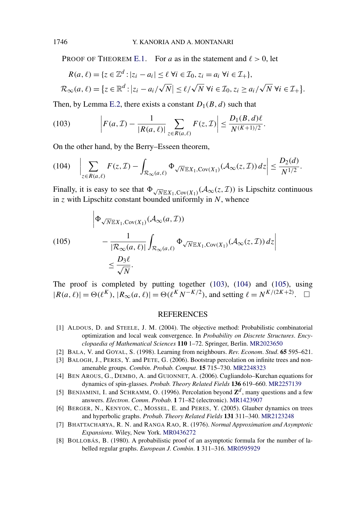PROOF OF THEOREM [E.1.](#page-50-0) For *a* as in the statement and  $\ell > 0$ , let

$$
R(a,\ell) = \{z \in \mathbb{Z}^d : |z_i - a_i| \le \ell \ \forall i \in \mathcal{I}_0, z_i = a_i \ \forall i \in \mathcal{I}_+\},
$$
  

$$
\mathcal{R}_{\infty}(a,\ell) = \{z \in \mathbb{R}^d : |z_i - a_i/\sqrt{N}| \le \ell/\sqrt{N} \ \forall i \in \mathcal{I}_0, z_i \ge a_i/\sqrt{N} \ \forall i \in \mathcal{I}_+\}.
$$

Then, by Lemma [E.2,](#page-51-0) there exists a constant  $D_1(B, d)$  such that

(103) 
$$
\left| F(a, \mathcal{I}) - \frac{1}{|R(a, \ell)|} \sum_{z \in R(a, \ell)} F(z, \mathcal{I}) \right| \leq \frac{D_1(B, d)\ell}{N^{(K+1)/2}}.
$$

On the other hand, by the Berry–Esseen theorem,

$$
(104) \quad \bigg|\sum_{z\in R(a,\ell)} F(z,\mathcal{I}) - \int_{\mathcal{R}_{\infty}(a,\ell)} \Phi_{\sqrt{N}\mathbb{E}X_1,\mathrm{Cov}(X_1)}(\mathcal{A}_{\infty}(z,\mathcal{I}))\,dz\bigg|\leq \frac{D_2(d)}{N^{1/2}}.
$$

Finally, it is easy to see that  $\Phi_{\sqrt{N}\mathbb{E}X_1,\text{Cov}(X_1)}(\mathcal{A}_{\infty}(z,\mathcal{I}))$  is Lipschitz continuous in *z* with Lipschitz constant bounded uniformly in *N*, whence

(105)  
\n
$$
\begin{aligned}\n&\left|\Phi_{\sqrt{N}\mathbb{E}X_1,\text{Cov}(X_1)}(\mathcal{A}_{\infty}(a,\mathcal{I}))\right.\\
&\left.-\frac{1}{|\mathcal{R}_{\infty}(a,\ell)|}\int_{\mathcal{R}_{\infty}(a,\ell)}\Phi_{\sqrt{N}\mathbb{E}X_1,\text{Cov}(X_1)}(\mathcal{A}_{\infty}(z,\mathcal{I}))\,dz\right| \\
&\leq \frac{D_3\ell}{\sqrt{N}}.\n\end{aligned}
$$

The proof is completed by putting together (103), (104) and (105), using  $|R(a, \ell)| = \Theta(\ell^{K}), |R_{\infty}(a, \ell)| = \Theta(\ell^{K} N^{-K/2}),$  and setting  $\ell = N^{K/(2K+2)}$ .  $\Box$ 

#### **REFERENCES**

- [1] ALDOUS, D. and STEELE, J. M. (2004). The objective method: Probabilistic combinatorial optimization and local weak convergence. In *Probability on Discrete Structures*. *Encyclopaedia of Mathematical Sciences* **110** 1–72. Springer, Berlin. [MR2023650](http://www.ams.org/mathscinet-getitem?mr=2023650)
- [2] BALA, V. and GOYAL, S. (1998). Learning from neighbours. *Rev*. *Econom*. *Stud*. **65** 595–621.
- [3] BALOGH, J., PERES, Y. and PETE, G. (2006). Bootstrap percolation on infinite trees and nonamenable groups. *Combin*. *Probab*. *Comput*. **15** 715–730. [MR2248323](http://www.ams.org/mathscinet-getitem?mr=2248323)
- [4] BEN AROUS, G., DEMBO, A. and GUIONNET, A. (2006). Cugliandolo–Kurchan equations for dynamics of spin-glasses. *Probab*. *Theory Related Fields* **136** 619–660. [MR2257139](http://www.ams.org/mathscinet-getitem?mr=2257139)
- [5] BENJAMINI, I. and SCHRAMM, O. (1996). Percolation beyond  $\mathbb{Z}^d$ , many questions and a few answers. *Electron*. *Comm*. *Probab*. **1** 71–82 (electronic). [MR1423907](http://www.ams.org/mathscinet-getitem?mr=1423907)
- [6] BERGER, N., KENYON, C., MOSSEL, E. and PERES, Y. (2005). Glauber dynamics on trees and hyperbolic graphs. *Probab*. *Theory Related Fields* **131** 311–340. [MR2123248](http://www.ams.org/mathscinet-getitem?mr=2123248)
- [7] BHATTACHARYA, R. N. and RANGA RAO, R. (1976). *Normal Approximation and Asymptotic Expansions*. Wiley, New York. [MR0436272](http://www.ams.org/mathscinet-getitem?mr=0436272)
- [8] BOLLOBÁS, B. (1980). A probabilistic proof of an asymptotic formula for the number of labelled regular graphs. *European J*. *Combin*. **1** 311–316. [MR0595929](http://www.ams.org/mathscinet-getitem?mr=0595929)

<span id="page-52-0"></span>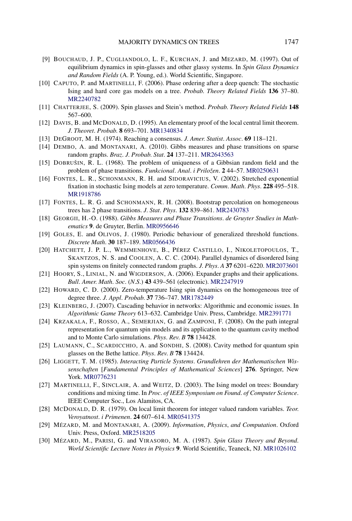- <span id="page-53-0"></span>[9] BOUCHAUD, J. P., CUGLIANDOLO, L. F., KURCHAN, J. and MEZARD, M. (1997). Out of equilibrium dynamics in spin-glasses and other glassy systems. In *Spin Glass Dynamics and Random Fields* (A. P. Young, ed.). World Scientific, Singapore.
- [10] CAPUTO, P. and MARTINELLI, F. (2006). Phase ordering after a deep quench: The stochastic Ising and hard core gas models on a tree. *Probab*. *Theory Related Fields* **136** 37–80. [MR2240782](http://www.ams.org/mathscinet-getitem?mr=2240782)
- [11] CHATTERJEE, S. (2009). Spin glasses and Stein's method. *Probab*. *Theory Related Fields* **148** 567–600.
- [12] DAVIS, B. and MCDONALD, D. (1995). An elementary proof of the local central limit theorem. *J*. *Theoret*. *Probab*. **8** 693–701. [MR1340834](http://www.ams.org/mathscinet-getitem?mr=1340834)
- [13] DEGROOT, M. H. (1974). Reaching a consensus. *J*. *Amer*. *Statist*. *Assoc*. **69** 118–121.
- [14] DEMBO, A. and MONTANARI, A. (2010). Gibbs measures and phase transitions on sparse random graphs. *Braz*. *J*. *Probab*. *Stat*. **24** 137–211. [MR2643563](http://www.ams.org/mathscinet-getitem?mr=2643563)
- [15] DOBRUŠIN, R. L. (1968). The problem of uniqueness of a Gibbsian random field and the problem of phase transitions. *Funkcional*. *Anal*. *i Priložen*. **2** 44–57. [MR0250631](http://www.ams.org/mathscinet-getitem?mr=0250631)
- [16] FONTES, L. R., SCHONMANN, R. H. and SIDORAVICIUS, V. (2002). Stretched exponential fixation in stochastic Ising models at zero temperature. *Comm*. *Math*. *Phys*. **228** 495–518. [MR1918786](http://www.ams.org/mathscinet-getitem?mr=1918786)
- [17] FONTES, L. R. G. and SCHONMANN, R. H. (2008). Bootstrap percolation on homogeneous trees has 2 phase transitions. *J*. *Stat*. *Phys*. **132** 839–861. [MR2430783](http://www.ams.org/mathscinet-getitem?mr=2430783)
- [18] GEORGII, H.-O. (1988). *Gibbs Measures and Phase Transitions*. *de Gruyter Studies in Mathematics* **9**. de Gruyter, Berlin. [MR0956646](http://www.ams.org/mathscinet-getitem?mr=0956646)
- [19] GOLES, E. and OLIVOS, J. (1980). Periodic behaviour of generalized threshold functions. *Discrete Math*. **30** 187–189. [MR0566436](http://www.ams.org/mathscinet-getitem?mr=0566436)
- [20] HATCHETT, J. P. L., WEMMENHOVE, B., PÉREZ CASTILLO, I., NIKOLETOPOULOS, T., SKANTZOS, N. S. and COOLEN, A. C. C. (2004). Parallel dynamics of disordered Ising spin systems on finitely connected random graphs. *J*. *Phys*. *A* **37** 6201–6220. [MR2073601](http://www.ams.org/mathscinet-getitem?mr=2073601)
- [21] HOORY, S., LINIAL, N. and WIGDERSON, A. (2006). Expander graphs and their applications. *Bull*. *Amer*. *Math*. *Soc*. (*N*.*S*.) **43** 439–561 (electronic). [MR2247919](http://www.ams.org/mathscinet-getitem?mr=2247919)
- [22] HOWARD, C. D. (2000). Zero-temperature Ising spin dynamics on the homogeneous tree of degree three. *J*. *Appl*. *Probab*. **37** 736–747. [MR1782449](http://www.ams.org/mathscinet-getitem?mr=1782449)
- [23] KLEINBERG, J. (2007). Cascading behavior in networks: Algorithmic and economic issues. In *Algorithmic Game Theory* 613–632. Cambridge Univ. Press, Cambridge. [MR2391771](http://www.ams.org/mathscinet-getitem?mr=2391771)
- [24] KRZAKALA, F., ROSSO, A., SEMERJIAN, G. and ZAMPONI, F. (2008). On the path integral representation for quantum spin models and its application to the quantum cavity method and to Monte Carlo simulations. *Phys*. *Rev*. *B* **78** 134428.
- [25] LAUMANN, C., SCARDICCHIO, A. and SONDHI, S. (2008). Cavity method for quantum spin glasses on the Bethe lattice. *Phys*. *Rev*. *B* **78** 134424.
- [26] LIGGETT, T. M. (1985). *Interacting Particle Systems*. *Grundlehren der Mathematischen Wissenschaften* [*Fundamental Principles of Mathematical Sciences*] **276**. Springer, New York. [MR0776231](http://www.ams.org/mathscinet-getitem?mr=0776231)
- [27] MARTINELLI, F., SINCLAIR, A. and WEITZ, D. (2003). The Ising model on trees: Boundary conditions and mixing time. In *Proc*. *of IEEE Symposium on Found*. *of Computer Science*. IEEE Computer Soc., Los Alamitos, CA.
- [28] MCDONALD, D. R. (1979). On local limit theorem for integer valued random variables. *Teor*. *Veroyatnost*. *i Primenen*. **24** 607–614. [MR0541375](http://www.ams.org/mathscinet-getitem?mr=0541375)
- [29] MÉZARD, M. and MONTANARI, A. (2009). *Information*, *Physics*, *and Computation*. Oxford Univ. Press, Oxford. [MR2518205](http://www.ams.org/mathscinet-getitem?mr=2518205)
- [30] MÉZARD, M., PARISI, G. and VIRASORO, M. A. (1987). *Spin Glass Theory and Beyond*. *World Scientific Lecture Notes in Physics* **9**. World Scientific, Teaneck, NJ. [MR1026102](http://www.ams.org/mathscinet-getitem?mr=1026102)